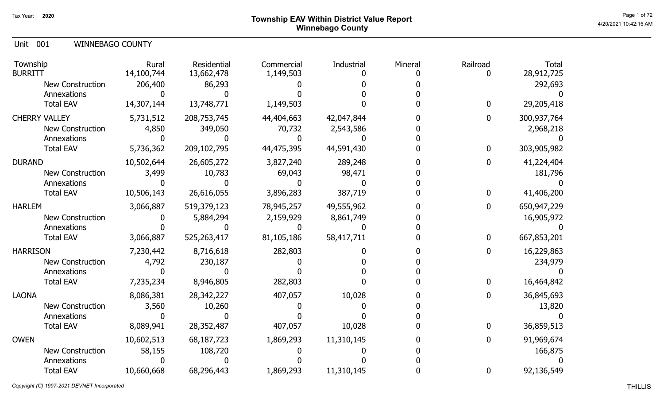# Page 1 of 72  $^{\sf Page\,1\,of\,72}$  Township EAV Within District Value Report Winnebago County

Unit 001 WINNEBAGO COUNTY

| Township<br><b>BURRITT</b> | Rural<br>14,100,744 | Residential<br>13,662,478 | Commercial<br>1,149,503 | Industrial | Mineral | Railroad     | <b>Total</b><br>28,912,725 |
|----------------------------|---------------------|---------------------------|-------------------------|------------|---------|--------------|----------------------------|
| New Construction           | 206,400             | 86,293                    |                         |            |         |              | 292,693                    |
| Annexations                |                     |                           |                         |            |         |              |                            |
| <b>Total EAV</b>           | 14,307,144          | 13,748,771                | 1,149,503               |            |         | $\bf{0}$     | 29,205,418                 |
| <b>CHERRY VALLEY</b>       | 5,731,512           | 208,753,745               | 44,404,663              | 42,047,844 |         | 0            | 300,937,764                |
| <b>New Construction</b>    | 4,850               | 349,050                   | 70,732                  | 2,543,586  |         |              | 2,968,218                  |
| Annexations                |                     |                           |                         |            |         |              |                            |
| <b>Total EAV</b>           | 5,736,362           | 209,102,795               | 44,475,395              | 44,591,430 |         | $\mathbf{0}$ | 303,905,982                |
| <b>DURAND</b>              | 10,502,644          | 26,605,272                | 3,827,240               | 289,248    |         | 0            | 41,224,404                 |
| <b>New Construction</b>    | 3,499               | 10,783                    | 69,043                  | 98,471     |         |              | 181,796                    |
| Annexations                |                     |                           |                         |            |         |              |                            |
| <b>Total EAV</b>           | 10,506,143          | 26,616,055                | 3,896,283               | 387,719    |         | 0            | 41,406,200                 |
| <b>HARLEM</b>              | 3,066,887           | 519,379,123               | 78,945,257              | 49,555,962 |         | $\mathbf{0}$ | 650,947,229                |
| <b>New Construction</b>    |                     | 5,884,294                 | 2,159,929               | 8,861,749  |         |              | 16,905,972                 |
| Annexations                |                     |                           |                         |            |         |              |                            |
| <b>Total EAV</b>           | 3,066,887           | 525,263,417               | 81,105,186              | 58,417,711 |         | 0            | 667,853,201                |
| <b>HARRISON</b>            | 7,230,442           | 8,716,618                 | 282,803                 |            |         | 0            | 16,229,863                 |
| <b>New Construction</b>    | 4,792               | 230,187                   |                         |            |         |              | 234,979                    |
| Annexations                |                     |                           |                         |            |         |              |                            |
| <b>Total EAV</b>           | 7,235,234           | 8,946,805                 | 282,803                 |            |         | 0            | 16,464,842                 |
| <b>LAONA</b>               | 8,086,381           | 28,342,227                | 407,057                 | 10,028     |         |              | 36,845,693                 |
| <b>New Construction</b>    | 3,560               | 10,260                    |                         |            |         |              | 13,820                     |
| Annexations                |                     |                           |                         |            |         |              |                            |
| <b>Total EAV</b>           | 8,089,941           | 28,352,487                | 407,057                 | 10,028     |         |              | 36,859,513                 |
| <b>OWEN</b>                | 10,602,513          | 68,187,723                | 1,869,293               | 11,310,145 |         | 0            | 91,969,674                 |
| <b>New Construction</b>    | 58,155              | 108,720                   |                         |            |         |              | 166,875                    |
| Annexations                |                     |                           |                         |            |         |              |                            |
| <b>Total EAV</b>           | 10,660,668          | 68,296,443                | 1,869,293               | 11,310,145 |         | 0            | 92,136,549                 |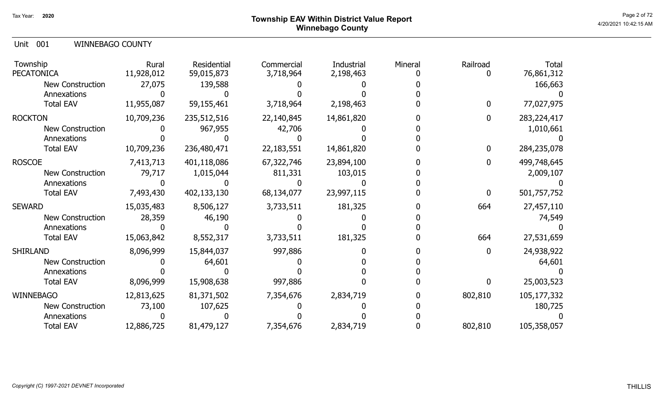# Page 2 of 72  $^{\text{Page 2 of 72}}$ Winnebago County

Unit 001 WINNEBAGO COUNTY

| Township<br><b>PECATONICA</b> | Rural<br>11,928,012 | Residential<br>59,015,873 | Commercial<br>3,718,964 | Industrial<br>2,198,463 | Mineral | Railroad | Total<br>76,861,312 |
|-------------------------------|---------------------|---------------------------|-------------------------|-------------------------|---------|----------|---------------------|
| New Construction              | 27,075              | 139,588                   |                         |                         |         |          | 166,663             |
| Annexations                   |                     |                           |                         |                         |         |          |                     |
| <b>Total EAV</b>              | 11,955,087          | 59,155,461                | 3,718,964               | 2,198,463               |         | 0        | 77,027,975          |
| <b>ROCKTON</b>                | 10,709,236          | 235,512,516               | 22,140,845              | 14,861,820              |         | 0        | 283, 224, 417       |
| <b>New Construction</b>       |                     | 967,955                   | 42,706                  |                         |         |          | 1,010,661           |
| Annexations                   |                     |                           |                         |                         |         |          |                     |
| <b>Total EAV</b>              | 10,709,236          | 236,480,471               | 22, 183, 551            | 14,861,820              |         | 0        | 284,235,078         |
| <b>ROSCOE</b>                 | 7,413,713           | 401,118,086               | 67,322,746              | 23,894,100              |         | 0        | 499,748,645         |
| New Construction              | 79,717              | 1,015,044                 | 811,331                 | 103,015                 |         |          | 2,009,107           |
| Annexations                   |                     |                           |                         |                         |         |          |                     |
| <b>Total EAV</b>              | 7,493,430           | 402,133,130               | 68,134,077              | 23,997,115              |         | 0        | 501,757,752         |
| <b>SEWARD</b>                 | 15,035,483          | 8,506,127                 | 3,733,511               | 181,325                 |         | 664      | 27,457,110          |
| <b>New Construction</b>       | 28,359              | 46,190                    |                         |                         |         |          | 74,549              |
| Annexations                   |                     |                           |                         |                         |         |          |                     |
| <b>Total EAV</b>              | 15,063,842          | 8,552,317                 | 3,733,511               | 181,325                 |         | 664      | 27,531,659          |
| <b>SHIRLAND</b>               | 8,096,999           | 15,844,037                | 997,886                 |                         |         | 0        | 24,938,922          |
| <b>New Construction</b>       |                     | 64,601                    |                         |                         |         |          | 64,601              |
| Annexations                   |                     |                           |                         |                         |         |          |                     |
| <b>Total EAV</b>              | 8,096,999           | 15,908,638                | 997,886                 |                         |         | O        | 25,003,523          |
| <b>WINNEBAGO</b>              | 12,813,625          | 81,371,502                | 7,354,676               | 2,834,719               |         | 802,810  | 105,177,332         |
| New Construction              | 73,100              | 107,625                   |                         |                         |         |          | 180,725             |
| Annexations                   |                     |                           |                         |                         |         |          |                     |
| <b>Total EAV</b>              | 12,886,725          | 81,479,127                | 7,354,676               | 2,834,719               |         | 802,810  | 105,358,057         |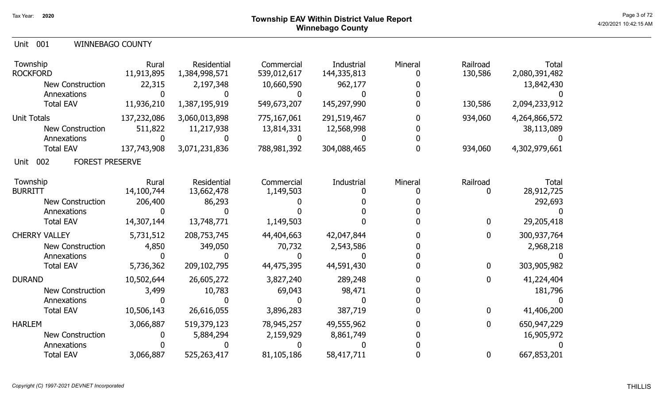| Unit 001 |  | <b>WINNEBAGO COUNTY</b> |
|----------|--|-------------------------|
|----------|--|-------------------------|

| Township<br><b>ROCKFORD</b>           | Rural<br>11,913,895 | Residential<br>1,384,998,571 | Commercial<br>539,012,617 | Industrial<br>144,335,813 | Mineral | Railroad<br>130,586 | <b>Total</b><br>2,080,391,482 |
|---------------------------------------|---------------------|------------------------------|---------------------------|---------------------------|---------|---------------------|-------------------------------|
| <b>New Construction</b>               | 22,315              | 2,197,348                    | 10,660,590                | 962,177                   |         |                     | 13,842,430                    |
| Annexations                           |                     |                              |                           |                           |         |                     |                               |
| <b>Total EAV</b>                      | 11,936,210          | 1,387,195,919                | 549,673,207               | 145,297,990               |         | 130,586             | 2,094,233,912                 |
| <b>Unit Totals</b>                    | 137,232,086         | 3,060,013,898                | 775,167,061               | 291,519,467               |         | 934,060             | 4,264,866,572                 |
| <b>New Construction</b>               | 511,822             | 11,217,938                   | 13,814,331                | 12,568,998                |         |                     | 38,113,089                    |
| Annexations                           |                     |                              |                           |                           |         |                     |                               |
| <b>Total EAV</b>                      | 137,743,908         | 3,071,231,836                | 788,981,392               | 304,088,465               |         | 934,060             | 4,302,979,661                 |
| 002<br><b>FOREST PRESERVE</b><br>Unit |                     |                              |                           |                           |         |                     |                               |
| Township                              | Rural               | Residential                  | Commercial                | Industrial                | Mineral | Railroad            | <b>Total</b>                  |
| <b>BURRITT</b>                        | 14,100,744          | 13,662,478                   | 1,149,503                 |                           |         | 0                   | 28,912,725                    |
| <b>New Construction</b>               | 206,400             | 86,293                       |                           |                           |         |                     | 292,693                       |
| Annexations                           |                     |                              |                           |                           |         |                     |                               |
| <b>Total EAV</b>                      | 14,307,144          | 13,748,771                   | 1,149,503                 |                           |         | $\mathbf 0$         | 29,205,418                    |
| <b>CHERRY VALLEY</b>                  | 5,731,512           | 208,753,745                  | 44,404,663                | 42,047,844                |         | 0                   | 300,937,764                   |
| <b>New Construction</b>               | 4,850               | 349,050                      | 70,732                    | 2,543,586                 |         |                     | 2,968,218                     |
| Annexations                           |                     |                              |                           |                           |         |                     |                               |
| <b>Total EAV</b>                      | 5,736,362           | 209,102,795                  | 44,475,395                | 44,591,430                |         | $\mathbf{0}$        | 303,905,982                   |
| <b>DURAND</b>                         | 10,502,644          | 26,605,272                   | 3,827,240                 | 289,248                   |         | 0                   | 41,224,404                    |
| <b>New Construction</b>               | 3,499               | 10,783                       | 69,043                    | 98,471                    |         |                     | 181,796                       |
| Annexations                           |                     |                              |                           |                           |         |                     |                               |
| <b>Total EAV</b>                      | 10,506,143          | 26,616,055                   | 3,896,283                 | 387,719                   |         | $\mathbf{0}$        | 41,406,200                    |
| <b>HARLEM</b>                         | 3,066,887           | 519,379,123                  | 78,945,257                | 49,555,962                |         | 0                   | 650,947,229                   |
| <b>New Construction</b>               |                     | 5,884,294                    | 2,159,929                 | 8,861,749                 |         |                     | 16,905,972                    |
| Annexations                           |                     |                              |                           |                           |         |                     |                               |
| <b>Total EAV</b>                      | 3,066,887           | 525,263,417                  | 81,105,186                | 58,417,711                |         | 0                   | 667,853,201                   |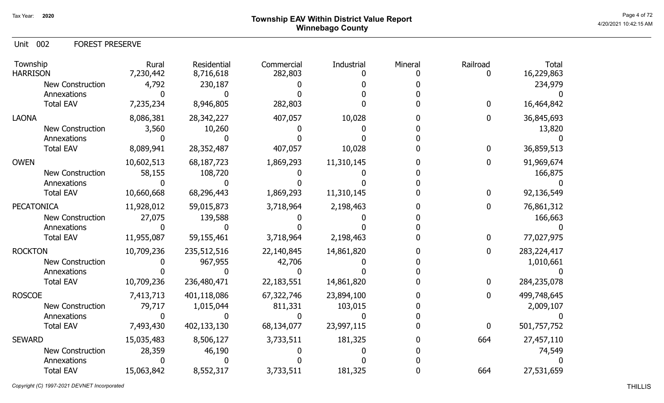# Page 4 of 72  $^{\text{Page 4 of 72}}$ Winnebago County

Unit 002 FOREST PRESERVE

| Township<br><b>HARRISON</b> | Rural<br>7,230,442 | Residential<br>8,716,618 | Commercial<br>282,803 | Industrial | Mineral | Railroad     | <b>Total</b><br>16,229,863 |
|-----------------------------|--------------------|--------------------------|-----------------------|------------|---------|--------------|----------------------------|
| <b>New Construction</b>     | 4,792              | 230,187                  |                       |            |         |              | 234,979                    |
| Annexations                 |                    |                          |                       |            |         |              |                            |
| <b>Total EAV</b>            | 7,235,234          | 8,946,805                | 282,803               |            |         | 0            | 16,464,842                 |
| <b>LAONA</b>                | 8,086,381          | 28,342,227               | 407,057               | 10,028     |         | 0            | 36,845,693                 |
| New Construction            | 3,560              | 10,260                   |                       |            |         |              | 13,820                     |
| Annexations                 |                    |                          |                       |            |         |              |                            |
| <b>Total EAV</b>            | 8,089,941          | 28,352,487               | 407,057               | 10,028     |         | $\mathbf{0}$ | 36,859,513                 |
| <b>OWEN</b>                 | 10,602,513         | 68,187,723               | 1,869,293             | 11,310,145 |         | 0            | 91,969,674                 |
| <b>New Construction</b>     | 58,155             | 108,720                  |                       |            |         |              | 166,875                    |
| Annexations                 |                    |                          |                       |            |         |              |                            |
| <b>Total EAV</b>            | 10,660,668         | 68,296,443               | 1,869,293             | 11,310,145 |         | $\Omega$     | 92,136,549                 |
| <b>PECATONICA</b>           | 11,928,012         | 59,015,873               | 3,718,964             | 2,198,463  |         | 0            | 76,861,312                 |
| <b>New Construction</b>     | 27,075             | 139,588                  |                       |            |         |              | 166,663                    |
| Annexations                 |                    |                          |                       |            |         |              |                            |
| <b>Total EAV</b>            | 11,955,087         | 59,155,461               | 3,718,964             | 2,198,463  |         |              | 77,027,975                 |
| <b>ROCKTON</b>              | 10,709,236         | 235,512,516              | 22,140,845            | 14,861,820 |         | $\mathbf{0}$ | 283,224,417                |
| <b>New Construction</b>     |                    | 967,955                  | 42,706                |            |         |              | 1,010,661                  |
| Annexations                 |                    |                          |                       |            |         |              |                            |
| <b>Total EAV</b>            | 10,709,236         | 236,480,471              | 22, 183, 551          | 14,861,820 |         | $\mathbf{0}$ | 284,235,078                |
| <b>ROSCOE</b>               | 7,413,713          | 401,118,086              | 67,322,746            | 23,894,100 |         |              | 499,748,645                |
| <b>New Construction</b>     | 79,717             | 1,015,044                | 811,331               | 103,015    |         |              | 2,009,107                  |
| Annexations                 |                    |                          |                       |            |         |              |                            |
| <b>Total EAV</b>            | 7,493,430          | 402,133,130              | 68,134,077            | 23,997,115 |         | $\mathbf{0}$ | 501,757,752                |
| <b>SEWARD</b>               | 15,035,483         | 8,506,127                | 3,733,511             | 181,325    |         | 664          | 27,457,110                 |
| <b>New Construction</b>     | 28,359             | 46,190                   |                       |            |         |              | 74,549                     |
| Annexations                 |                    |                          |                       |            |         |              |                            |
| <b>Total EAV</b>            | 15,063,842         | 8,552,317                | 3,733,511             | 181,325    |         | 664          | 27,531,659                 |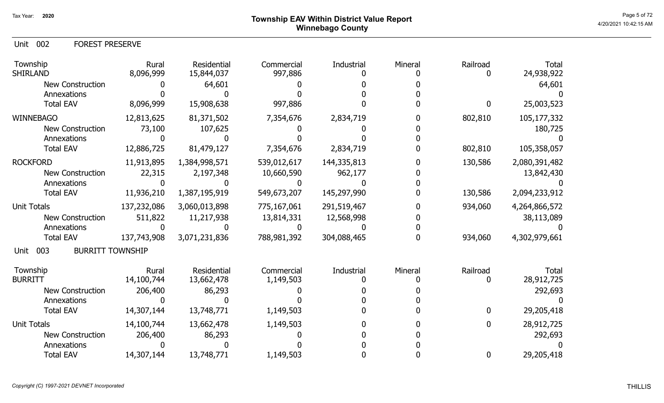Unit 002 FOREST PRESERVE

| Township<br><b>SHIRLAND</b>            | Rural<br>8,096,999 | Residential<br>15,844,037 | Commercial<br>997,886 | Industrial  | Mineral | Railroad         | <b>Total</b><br>24,938,922 |
|----------------------------------------|--------------------|---------------------------|-----------------------|-------------|---------|------------------|----------------------------|
| New Construction                       |                    | 64,601                    |                       |             |         |                  | 64,601                     |
| Annexations                            |                    |                           |                       |             |         |                  |                            |
| <b>Total EAV</b>                       | 8,096,999          | 15,908,638                | 997,886               |             |         | $\boldsymbol{0}$ | 25,003,523                 |
| <b>WINNEBAGO</b>                       | 12,813,625         | 81,371,502                | 7,354,676             | 2,834,719   |         | 802,810          | 105,177,332                |
| <b>New Construction</b>                | 73,100             | 107,625                   |                       |             |         |                  | 180,725                    |
| Annexations                            |                    |                           |                       |             |         |                  |                            |
| <b>Total EAV</b>                       | 12,886,725         | 81,479,127                | 7,354,676             | 2,834,719   |         | 802,810          | 105,358,057                |
| <b>ROCKFORD</b>                        | 11,913,895         | 1,384,998,571             | 539,012,617           | 144,335,813 |         | 130,586          | 2,080,391,482              |
| New Construction                       | 22,315             | 2,197,348                 | 10,660,590            | 962,177     |         |                  | 13,842,430                 |
| Annexations                            |                    |                           |                       |             |         |                  |                            |
| <b>Total EAV</b>                       | 11,936,210         | 1,387,195,919             | 549,673,207           | 145,297,990 |         | 130,586          | 2,094,233,912              |
| <b>Unit Totals</b>                     | 137,232,086        | 3,060,013,898             | 775,167,061           | 291,519,467 |         | 934,060          | 4,264,866,572              |
| <b>New Construction</b>                | 511,822            | 11,217,938                | 13,814,331            | 12,568,998  |         |                  | 38,113,089                 |
| Annexations                            |                    |                           |                       |             |         |                  |                            |
| <b>Total EAV</b>                       | 137,743,908        | 3,071,231,836             | 788,981,392           | 304,088,465 |         | 934,060          | 4,302,979,661              |
| <b>BURRITT TOWNSHIP</b><br>003<br>Unit |                    |                           |                       |             |         |                  |                            |
| Township                               | Rural              | Residential               | Commercial            | Industrial  | Mineral | Railroad         | <b>Total</b>               |
| <b>BURRITT</b>                         | 14,100,744         | 13,662,478                | 1,149,503             |             |         | 0                | 28,912,725                 |
| New Construction                       | 206,400            | 86,293                    |                       |             |         |                  | 292,693                    |
| Annexations                            |                    |                           |                       |             |         |                  |                            |
| <b>Total EAV</b>                       | 14,307,144         | 13,748,771                | 1,149,503             |             |         | $\mathbf{0}$     | 29,205,418                 |
| <b>Unit Totals</b>                     | 14,100,744         | 13,662,478                | 1,149,503             |             |         | 0                | 28,912,725                 |
| <b>New Construction</b>                | 206,400            | 86,293                    |                       |             |         |                  | 292,693                    |
| Annexations                            |                    |                           |                       |             |         |                  |                            |
| <b>Total EAV</b>                       | 14,307,144         | 13,748,771                | 1,149,503             |             |         | $\mathbf 0$      | 29,205,418                 |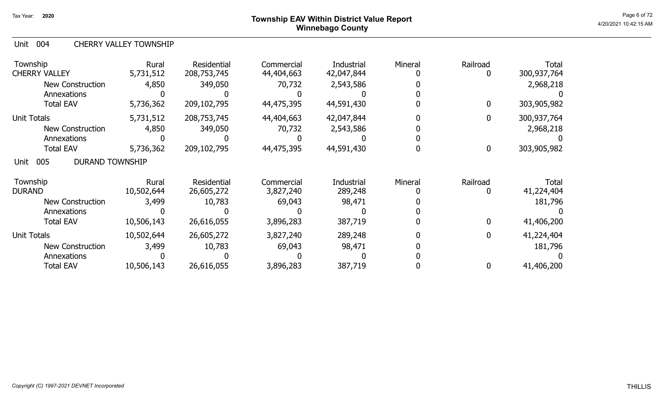# <sup>Page 6 of 72</sup> <sup>Page 6 of 72</sup> Winnebago County

### Unit 004 CHERRY VALLEY TOWNSHIP

| Township<br><b>CHERRY VALLEY</b>      | Rural<br>5,731,512  | Residential<br>208,753,745 | Commercial<br>44,404,663 | Industrial<br>42,047,844 | Mineral | Railroad         | <b>Total</b><br>300,937,764 |
|---------------------------------------|---------------------|----------------------------|--------------------------|--------------------------|---------|------------------|-----------------------------|
| New Construction<br>Annexations       | 4,850               | 349,050                    | 70,732                   | 2,543,586                |         |                  | 2,968,218                   |
| <b>Total EAV</b>                      | 5,736,362           | 209,102,795                | 44,475,395               | 44,591,430               |         | 0                | 303,905,982                 |
| <b>Unit Totals</b>                    | 5,731,512           | 208,753,745                | 44,404,663               | 42,047,844               |         | 0                | 300,937,764                 |
| <b>New Construction</b>               | 4,850               | 349,050                    | 70,732                   | 2,543,586                |         |                  | 2,968,218                   |
| Annexations                           |                     |                            |                          |                          |         |                  |                             |
| <b>Total EAV</b>                      | 5,736,362           | 209,102,795                | 44,475,395               | 44,591,430               |         | $\boldsymbol{0}$ | 303,905,982                 |
| 005<br><b>DURAND TOWNSHIP</b><br>Unit |                     |                            |                          |                          |         |                  |                             |
| Township<br><b>DURAND</b>             | Rural<br>10,502,644 | Residential<br>26,605,272  | Commercial<br>3,827,240  | Industrial<br>289,248    | Mineral | Railroad<br>0    | Total<br>41,224,404         |
| <b>New Construction</b>               | 3,499               | 10,783                     | 69,043                   | 98,471                   |         |                  | 181,796                     |
| Annexations                           |                     |                            |                          |                          |         |                  |                             |
| <b>Total EAV</b>                      | 10,506,143          | 26,616,055                 | 3,896,283                | 387,719                  |         | $\mathbf 0$      | 41,406,200                  |
| <b>Unit Totals</b>                    | 10,502,644          | 26,605,272                 | 3,827,240                | 289,248                  |         | $\mathbf 0$      | 41,224,404                  |
| <b>New Construction</b>               | 3,499               | 10,783                     | 69,043                   | 98,471                   |         |                  | 181,796                     |
| Annexations                           |                     |                            |                          |                          |         |                  |                             |
| <b>Total EAV</b>                      | 10,506,143          | 26,616,055                 | 3,896,283                | 387,719                  |         | 0                | 41,406,200                  |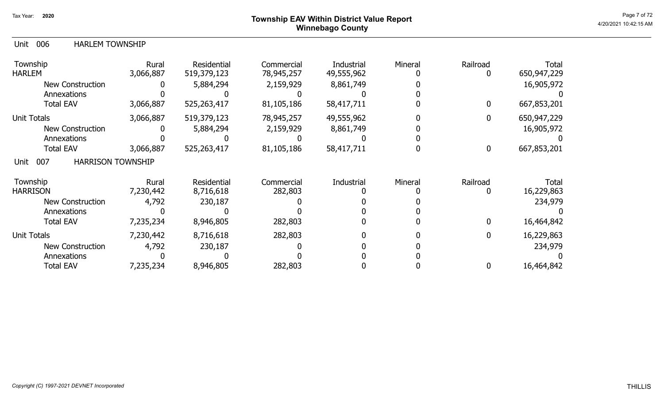## Page 7 of 72  $^{\text{Page 7 of 72}}$ Winnebago County

## Unit 006 HARLEM TOWNSHIP

| Township<br><b>HARLEM</b>               | Rural<br>3,066,887 | <b>Residential</b><br>519,379,123 | Commercial<br>78,945,257 | Industrial<br>49,555,962 | Mineral | Railroad         | <b>Total</b><br>650,947,229 |
|-----------------------------------------|--------------------|-----------------------------------|--------------------------|--------------------------|---------|------------------|-----------------------------|
| <b>New Construction</b>                 |                    | 5,884,294                         | 2,159,929                | 8,861,749                |         |                  | 16,905,972                  |
| Annexations                             |                    |                                   |                          |                          |         |                  |                             |
| <b>Total EAV</b>                        | 3,066,887          | 525,263,417                       | 81,105,186               | 58,417,711               |         | $\boldsymbol{0}$ | 667,853,201                 |
| <b>Unit Totals</b>                      | 3,066,887          | 519,379,123                       | 78,945,257               | 49,555,962               |         | 0                | 650,947,229                 |
| <b>New Construction</b>                 |                    | 5,884,294                         | 2,159,929                | 8,861,749                |         |                  | 16,905,972                  |
| Annexations                             |                    |                                   |                          |                          |         |                  |                             |
| <b>Total EAV</b>                        | 3,066,887          | 525,263,417                       | 81,105,186               | 58,417,711               |         | $\boldsymbol{0}$ | 667,853,201                 |
| <b>HARRISON TOWNSHIP</b><br>007<br>Unit |                    |                                   |                          |                          |         |                  |                             |
| Township                                | Rural              | <b>Residential</b>                | Commercial               | Industrial               | Mineral | Railroad         | Total                       |
| <b>HARRISON</b>                         | 7,230,442          | 8,716,618                         | 282,803                  |                          |         |                  | 16,229,863                  |
| <b>New Construction</b>                 | 4,792              | 230,187                           |                          |                          |         |                  | 234,979                     |
| Annexations                             |                    |                                   |                          |                          |         |                  |                             |
| <b>Total EAV</b>                        | 7,235,234          | 8,946,805                         | 282,803                  |                          |         | 0                | 16,464,842                  |
| <b>Unit Totals</b>                      | 7,230,442          | 8,716,618                         | 282,803                  |                          |         | 0                | 16,229,863                  |
| <b>New Construction</b>                 | 4,792              | 230,187                           |                          |                          |         |                  | 234,979                     |
| Annexations                             |                    |                                   |                          |                          |         |                  |                             |
| <b>Total EAV</b>                        | 7,235,234          | 8,946,805                         | 282,803                  |                          |         | $\mathbf 0$      | 16,464,842                  |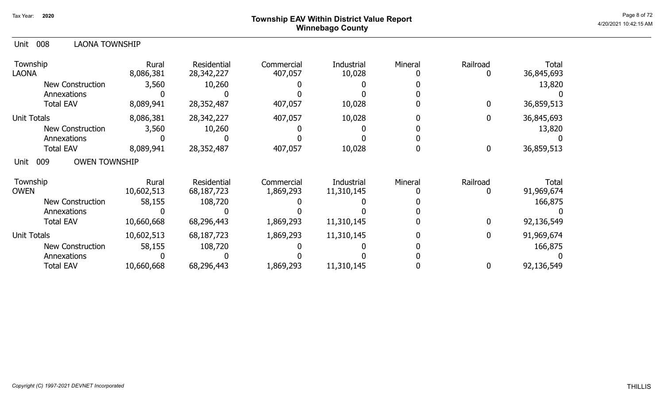# Page 8 of 72  $^{\text{Page 8 of 72}}$ Winnebago County

| 008<br><b>LAONA TOWNSHIP</b><br>Unit |                    |                           |                       |                      |         |              |                     |
|--------------------------------------|--------------------|---------------------------|-----------------------|----------------------|---------|--------------|---------------------|
| Township<br><b>LAONA</b>             | Rural<br>8,086,381 | Residential<br>28,342,227 | Commercial<br>407,057 | Industrial<br>10,028 | Mineral | Railroad     | Total<br>36,845,693 |
| New Construction                     | 3,560              | 10,260                    |                       |                      |         |              | 13,820              |
| Annexations                          |                    |                           |                       |                      |         |              |                     |
| <b>Total EAV</b>                     | 8,089,941          | 28,352,487                | 407,057               | 10,028               |         | 0            | 36,859,513          |
| Unit Totals                          | 8,086,381          | 28,342,227                | 407,057               | 10,028               |         | 0            | 36,845,693          |
| New Construction                     | 3,560              | 10,260                    |                       |                      |         |              | 13,820              |
| Annexations                          |                    |                           |                       |                      |         |              |                     |
| <b>Total EAV</b>                     | 8,089,941          | 28,352,487                | 407,057               | 10,028               |         | 0            | 36,859,513          |
| <b>OWEN TOWNSHIP</b><br>009<br>Unit  |                    |                           |                       |                      |         |              |                     |
| Township                             | Rural              | Residential               | Commercial            | Industrial           | Mineral | Railroad     | Total               |
| <b>OWEN</b>                          | 10,602,513         | 68,187,723                | 1,869,293             | 11,310,145           |         | 0            | 91,969,674          |
| <b>New Construction</b>              | 58,155             | 108,720                   |                       |                      |         |              | 166,875             |
| Annexations                          |                    |                           |                       |                      |         |              |                     |
| <b>Total EAV</b>                     | 10,660,668         | 68,296,443                | 1,869,293             | 11,310,145           |         | $\mathbf{0}$ | 92,136,549          |
| Unit Totals                          | 10,602,513         | 68,187,723                | 1,869,293             | 11,310,145           |         | 0            | 91,969,674          |
| <b>New Construction</b>              | 58,155             | 108,720                   |                       |                      |         |              | 166,875             |
| Annexations                          |                    |                           |                       |                      |         |              |                     |
| <b>Total EAV</b>                     | 10,660,668         | 68,296,443                | 1,869,293             | 11,310,145           |         | 0            | 92,136,549          |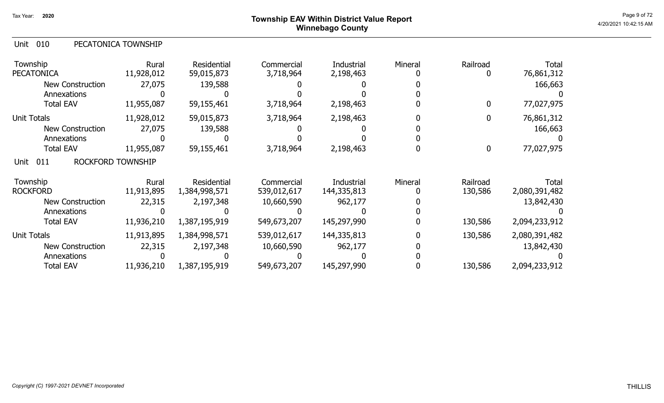# Page 9 of 72  $^{\sf Page~9~of~72}$  Township EAV Within District Value Report Winnebago County

|  | Unit 010 |  | PECATONICA TOWNSHIP |
|--|----------|--|---------------------|
|--|----------|--|---------------------|

| Township<br><b>PECATONICA</b>           | Rural<br>11,928,012 | Residential<br>59,015,873 | Commercial<br>3,718,964 | Industrial<br>2,198,463 | Mineral | Railroad | <b>Total</b><br>76,861,312 |
|-----------------------------------------|---------------------|---------------------------|-------------------------|-------------------------|---------|----------|----------------------------|
| <b>New Construction</b>                 | 27,075              | 139,588                   |                         |                         |         |          | 166,663                    |
| Annexations                             |                     |                           |                         |                         |         |          |                            |
| <b>Total EAV</b>                        | 11,955,087          | 59,155,461                | 3,718,964               | 2,198,463               |         | 0        | 77,027,975                 |
| <b>Unit Totals</b>                      | 11,928,012          | 59,015,873                | 3,718,964               | 2,198,463               |         |          | 76,861,312                 |
| <b>New Construction</b>                 | 27,075              | 139,588                   |                         |                         |         |          | 166,663                    |
| Annexations                             |                     |                           |                         |                         |         |          |                            |
| <b>Total EAV</b>                        | 11,955,087          | 59,155,461                | 3,718,964               | 2,198,463               |         | 0        | 77,027,975                 |
| <b>ROCKFORD TOWNSHIP</b><br>Unit<br>011 |                     |                           |                         |                         |         |          |                            |
| Township                                | Rural               | Residential               | Commercial              | Industrial              | Mineral | Railroad | Total                      |
| <b>ROCKFORD</b>                         | 11,913,895          | 1,384,998,571             | 539,012,617             | 144,335,813             |         | 130,586  | 2,080,391,482              |
| <b>New Construction</b>                 | 22,315              | 2,197,348                 | 10,660,590              | 962,177                 |         |          | 13,842,430                 |
| Annexations                             |                     |                           |                         |                         |         |          |                            |
| <b>Total EAV</b>                        | 11,936,210          | 1,387,195,919             | 549,673,207             | 145,297,990             |         | 130,586  | 2,094,233,912              |
| <b>Unit Totals</b>                      | 11,913,895          | 1,384,998,571             | 539,012,617             | 144,335,813             |         | 130,586  | 2,080,391,482              |
| <b>New Construction</b>                 | 22,315              | 2,197,348                 | 10,660,590              | 962,177                 |         |          | 13,842,430                 |
| Annexations                             |                     |                           |                         |                         |         |          |                            |
| <b>Total EAV</b>                        | 11,936,210          | 1,387,195,919             | 549,673,207             | 145,297,990             |         | 130,586  | 2,094,233,912              |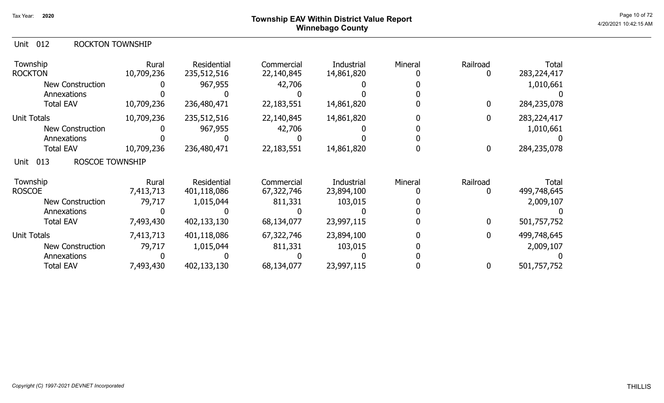## Unit 012 ROCKTON TOWNSHIP

| Township<br><b>ROCKTON</b>            | Rural<br>10,709,236 | Residential<br>235,512,516 | Commercial<br>22,140,845 | Industrial<br>14,861,820 | Mineral | Railroad    | Total<br>283, 224, 417 |
|---------------------------------------|---------------------|----------------------------|--------------------------|--------------------------|---------|-------------|------------------------|
| <b>New Construction</b>               |                     | 967,955                    | 42,706                   |                          |         |             | 1,010,661              |
| Annexations                           |                     |                            |                          |                          |         |             |                        |
| <b>Total EAV</b>                      | 10,709,236          | 236,480,471                | 22,183,551               | 14,861,820               |         | $\mathbf 0$ | 284,235,078            |
| <b>Unit Totals</b>                    | 10,709,236          | 235,512,516                | 22,140,845               | 14,861,820               |         | 0           | 283,224,417            |
| New Construction                      |                     | 967,955                    | 42,706                   |                          |         |             | 1,010,661              |
| Annexations                           |                     |                            |                          |                          |         |             |                        |
| <b>Total EAV</b>                      | 10,709,236          | 236,480,471                | 22,183,551               | 14,861,820               |         | $\bf{0}$    | 284,235,078            |
| 013<br><b>ROSCOE TOWNSHIP</b><br>Unit |                     |                            |                          |                          |         |             |                        |
| Township                              | Rural               | Residential                | Commercial               | Industrial               | Mineral | Railroad    | Total                  |
| <b>ROSCOE</b>                         | 7,413,713           | 401,118,086                | 67,322,746               | 23,894,100               |         |             | 499,748,645            |
| <b>New Construction</b>               | 79,717              | 1,015,044                  | 811,331                  | 103,015                  |         |             | 2,009,107              |
| Annexations                           |                     |                            |                          |                          |         |             |                        |
| <b>Total EAV</b>                      | 7,493,430           | 402,133,130                | 68,134,077               | 23,997,115               |         | 0           | 501,757,752            |
| Unit Totals                           | 7,413,713           | 401,118,086                | 67,322,746               | 23,894,100               |         | 0           | 499,748,645            |
| <b>New Construction</b>               | 79,717              | 1,015,044                  | 811,331                  | 103,015                  |         |             | 2,009,107              |
| Annexations                           |                     |                            |                          |                          |         |             |                        |
| <b>Total EAV</b>                      | 7,493,430           | 402,133,130                | 68,134,077               | 23,997,115               |         | 0           | 501,757,752            |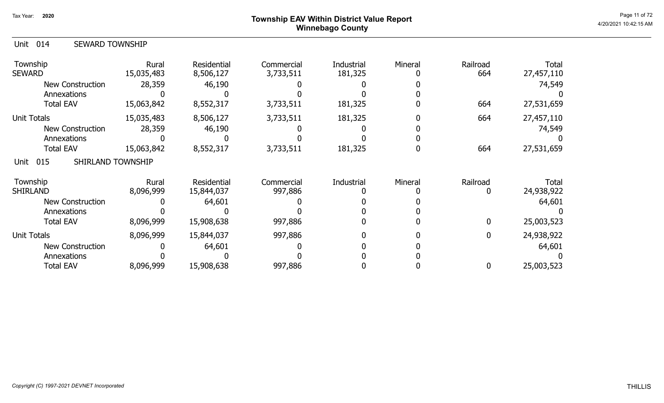## Page 11 of 72  $^{\sf Page\ 11\ of\ 72}$   $^{\sf Page\ 11\ of\ 72}$ Winnebago County

| Unit 014 |  |  | <b>SEWARD TOWNSHIP</b> |
|----------|--|--|------------------------|
|----------|--|--|------------------------|

| Township<br><b>SEWARD</b>        | Rural<br>15,035,483 | <b>Residential</b><br>8,506,127 | Commercial<br>3,733,511 | <b>Industrial</b><br>181,325 | Mineral | Railroad<br>664 | Total<br>27,457,110 |
|----------------------------------|---------------------|---------------------------------|-------------------------|------------------------------|---------|-----------------|---------------------|
| <b>New Construction</b>          | 28,359              | 46,190                          |                         |                              |         |                 | 74,549              |
| Annexations                      |                     |                                 |                         |                              |         |                 |                     |
| <b>Total EAV</b>                 | 15,063,842          | 8,552,317                       | 3,733,511               | 181,325                      |         | 664             | 27,531,659          |
| <b>Unit Totals</b>               | 15,035,483          | 8,506,127                       | 3,733,511               | 181,325                      |         | 664             | 27,457,110          |
| <b>New Construction</b>          | 28,359              | 46,190                          |                         |                              |         |                 | 74,549              |
| Annexations                      |                     |                                 |                         |                              |         |                 |                     |
| <b>Total EAV</b>                 | 15,063,842          | 8,552,317                       | 3,733,511               | 181,325                      |         | 664             | 27,531,659          |
| 015<br>SHIRLAND TOWNSHIP<br>Unit |                     |                                 |                         |                              |         |                 |                     |
| Township                         | Rural               | Residential                     | Commercial              | Industrial                   | Mineral | Railroad        | Total               |
| <b>SHIRLAND</b>                  | 8,096,999           | 15,844,037                      | 997,886                 |                              |         |                 | 24,938,922          |
| <b>New Construction</b>          |                     | 64,601                          |                         |                              |         |                 | 64,601              |
| Annexations                      |                     |                                 |                         |                              |         |                 |                     |
| <b>Total EAV</b>                 | 8,096,999           | 15,908,638                      | 997,886                 |                              |         | 0               | 25,003,523          |
| <b>Unit Totals</b>               | 8,096,999           | 15,844,037                      | 997,886                 |                              |         | 0               | 24,938,922          |
| <b>New Construction</b>          |                     | 64,601                          |                         |                              |         |                 | 64,601              |
| Annexations                      |                     |                                 |                         |                              |         |                 |                     |
| <b>Total EAV</b>                 | 8,096,999           | 15,908,638                      | 997,886                 |                              |         | 0               | 25,003,523          |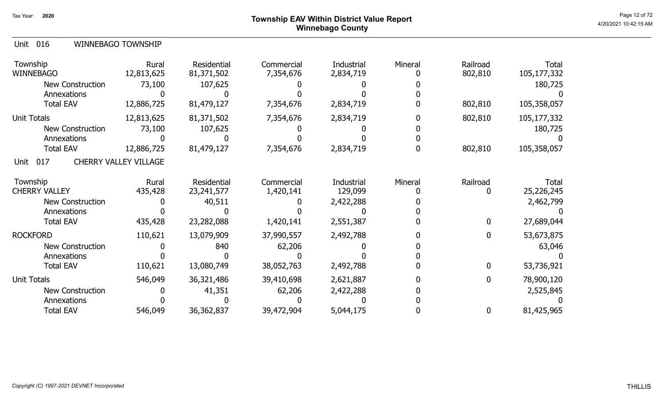## Page 12 of 72 Page 12 of 72  $^{\text{Page 12 of 72}}$ Winnebago County

|--|

| Township<br><b>WINNEBAGO</b> | Rural<br>12,813,625          | Residential<br>81,371,502 | Commercial<br>7,354,676 | Industrial<br>2,834,719 | Mineral | Railroad<br>802,810 | Total<br>105,177,332 |
|------------------------------|------------------------------|---------------------------|-------------------------|-------------------------|---------|---------------------|----------------------|
| New Construction             | 73,100                       | 107,625                   |                         |                         |         |                     | 180,725              |
| Annexations                  |                              |                           |                         |                         |         |                     |                      |
| <b>Total EAV</b>             | 12,886,725                   | 81,479,127                | 7,354,676               | 2,834,719               |         | 802,810             | 105,358,057          |
| Unit Totals                  | 12,813,625                   | 81,371,502                | 7,354,676               | 2,834,719               |         | 802,810             | 105,177,332          |
| New Construction             | 73,100                       | 107,625                   |                         |                         |         |                     | 180,725              |
| Annexations                  |                              |                           |                         |                         |         |                     |                      |
| <b>Total EAV</b>             | 12,886,725                   | 81,479,127                | 7,354,676               | 2,834,719               |         | 802,810             | 105,358,057          |
| 017<br>Unit                  | <b>CHERRY VALLEY VILLAGE</b> |                           |                         |                         |         |                     |                      |
| Township                     | Rural                        | Residential               | Commercial              | Industrial              | Mineral | Railroad            | Total                |
| <b>CHERRY VALLEY</b>         | 435,428                      | 23, 241, 577              | 1,420,141               | 129,099                 |         | 0                   | 25,226,245           |
| New Construction             |                              | 40,511                    |                         | 2,422,288               |         |                     | 2,462,799            |
| Annexations                  |                              |                           |                         |                         |         |                     |                      |
| <b>Total EAV</b>             | 435,428                      | 23,282,088                | 1,420,141               | 2,551,387               |         | $\bf{0}$            | 27,689,044           |
| <b>ROCKFORD</b>              | 110,621                      | 13,079,909                | 37,990,557              | 2,492,788               |         | $\mathbf 0$         | 53,673,875           |
| <b>New Construction</b>      |                              | 840                       | 62,206                  |                         |         |                     | 63,046               |
| Annexations                  |                              |                           |                         |                         |         |                     |                      |
| <b>Total EAV</b>             | 110,621                      | 13,080,749                | 38,052,763              | 2,492,788               |         | $\bf{0}$            | 53,736,921           |
| <b>Unit Totals</b>           | 546,049                      | 36,321,486                | 39,410,698              | 2,621,887               |         | $\bf{0}$            | 78,900,120           |
| <b>New Construction</b>      |                              | 41,351                    | 62,206                  | 2,422,288               |         |                     | 2,525,845            |
| Annexations                  |                              |                           |                         |                         |         |                     |                      |
| <b>Total EAV</b>             | 546,049                      | 36, 362, 837              | 39,472,904              | 5,044,175               |         | $\bf{0}$            | 81,425,965           |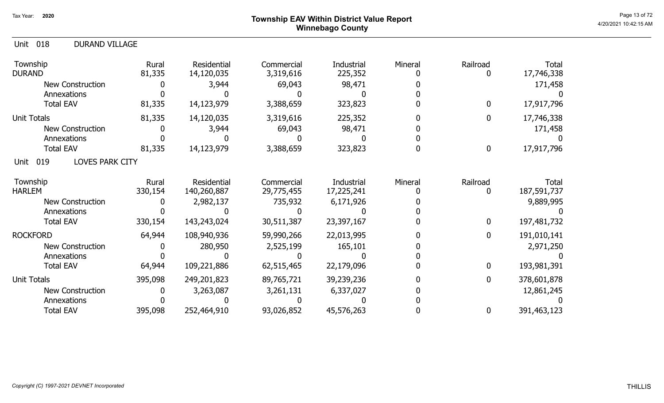## Page 13 of 72 Page 13 of 72  $^{\text{Page 13 of 72}}$ Winnebago County

| 018<br><b>DURAND VILLAGE</b><br>Unit  |                  |                                  |                          |                          |         |               |                             |
|---------------------------------------|------------------|----------------------------------|--------------------------|--------------------------|---------|---------------|-----------------------------|
| Township<br><b>DURAND</b>             | Rural<br>81,335  | <b>Residential</b><br>14,120,035 | Commercial<br>3,319,616  | Industrial<br>225,352    | Mineral | Railroad<br>0 | <b>Total</b><br>17,746,338  |
| <b>New Construction</b>               |                  | 3,944                            | 69,043                   | 98,471                   |         |               | 171,458                     |
| Annexations                           |                  |                                  |                          |                          |         |               |                             |
| <b>Total EAV</b>                      | 81,335           | 14,123,979                       | 3,388,659                | 323,823                  |         | $\bf{0}$      | 17,917,796                  |
| <b>Unit Totals</b>                    | 81,335           | 14,120,035                       | 3,319,616                | 225,352                  |         | $\bf{0}$      | 17,746,338                  |
| <b>New Construction</b>               |                  | 3,944                            | 69,043                   | 98,471                   |         |               | 171,458                     |
| Annexations                           |                  |                                  |                          |                          |         |               |                             |
| <b>Total EAV</b>                      | 81,335           | 14,123,979                       | 3,388,659                | 323,823                  |         | $\bf{0}$      | 17,917,796                  |
| 019<br><b>LOVES PARK CITY</b><br>Unit |                  |                                  |                          |                          |         |               |                             |
| Township<br><b>HARLEM</b>             | Rural<br>330,154 | Residential<br>140,260,887       | Commercial<br>29,775,455 | Industrial<br>17,225,241 | Mineral | Railroad<br>0 | <b>Total</b><br>187,591,737 |
| <b>New Construction</b>               |                  | 2,982,137                        | 735,932                  | 6,171,926                |         |               | 9,889,995                   |
| Annexations                           |                  |                                  |                          |                          |         |               |                             |
| <b>Total EAV</b>                      | 330,154          | 143,243,024                      | 30,511,387               | 23,397,167               |         | $\mathbf 0$   | 197,481,732                 |
| <b>ROCKFORD</b>                       | 64,944           | 108,940,936                      | 59,990,266               | 22,013,995               |         | $\bf{0}$      | 191,010,141                 |
| <b>New Construction</b>               |                  | 280,950                          | 2,525,199                | 165,101                  |         |               | 2,971,250                   |
| Annexations                           |                  |                                  |                          |                          |         |               |                             |
| <b>Total EAV</b>                      | 64,944           | 109,221,886                      | 62,515,465               | 22,179,096               |         | $\mathbf 0$   | 193,981,391                 |
| Unit Totals                           | 395,098          | 249,201,823                      | 89,765,721               | 39,239,236               |         | $\bf{0}$      | 378,601,878                 |
| <b>New Construction</b>               |                  | 3,263,087                        | 3,261,131                | 6,337,027                |         |               | 12,861,245                  |
| Annexations                           |                  |                                  |                          |                          |         |               |                             |
| <b>Total EAV</b>                      | 395,098          | 252,464,910                      | 93,026,852               | 45,576,263               |         | $\bf{0}$      | 391,463,123                 |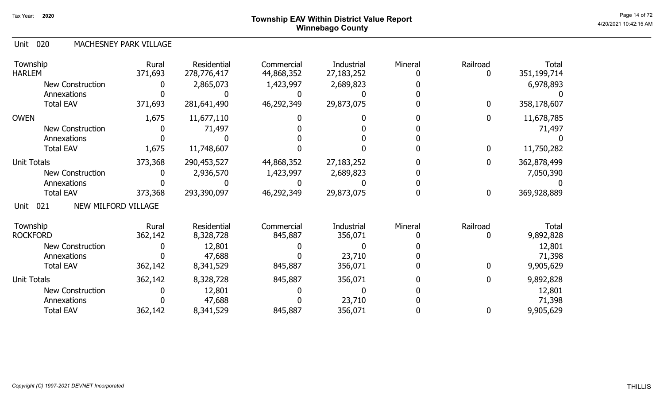# Page 14 of 72  $^{\sf Page~14~of~72}$  Township EAV Within District Value Report Winnebago County

### 020 Unit MACHESNEY PARK VILLAGE

| Township<br><b>HARLEM</b>          | Rural<br>371,693 | Residential<br>278,776,417 | Commercial<br>44,868,352 | Industrial<br>27, 183, 252 | Mineral | Railroad     | Total<br>351,199,714 |
|------------------------------------|------------------|----------------------------|--------------------------|----------------------------|---------|--------------|----------------------|
| <b>New Construction</b>            |                  | 2,865,073                  | 1,423,997                | 2,689,823                  |         |              | 6,978,893            |
| Annexations                        |                  |                            |                          |                            |         |              |                      |
| <b>Total EAV</b>                   | 371,693          | 281,641,490                | 46,292,349               | 29,873,075                 |         | $\bf{0}$     | 358,178,607          |
| <b>OWEN</b>                        | 1,675            | 11,677,110                 |                          |                            |         | $\mathbf{0}$ | 11,678,785           |
| <b>New Construction</b>            |                  | 71,497                     |                          |                            |         |              | 71,497               |
| Annexations                        |                  |                            |                          |                            |         |              |                      |
| <b>Total EAV</b>                   | 1,675            | 11,748,607                 |                          |                            |         | $\mathbf 0$  | 11,750,282           |
| <b>Unit Totals</b>                 | 373,368          | 290,453,527                | 44,868,352               | 27,183,252                 |         | $\mathbf 0$  | 362,878,499          |
| <b>New Construction</b>            |                  | 2,936,570                  | 1,423,997                | 2,689,823                  |         |              | 7,050,390            |
| Annexations                        |                  |                            |                          |                            |         |              |                      |
| <b>Total EAV</b>                   | 373,368          | 293,390,097                | 46,292,349               | 29,873,075                 |         | $\mathbf 0$  | 369,928,889          |
| NEW MILFORD VILLAGE<br>021<br>Unit |                  |                            |                          |                            |         |              |                      |
| Township                           | Rural            | Residential                | Commercial               | Industrial                 | Mineral | Railroad     | Total                |
| <b>ROCKFORD</b>                    | 362,142          | 8,328,728                  | 845,887                  | 356,071                    |         |              | 9,892,828            |
| <b>New Construction</b>            |                  | 12,801                     |                          |                            |         |              | 12,801               |
| Annexations                        |                  | 47,688                     |                          | 23,710                     |         |              | 71,398               |
| <b>Total EAV</b>                   | 362,142          | 8,341,529                  | 845,887                  | 356,071                    |         | 0            | 9,905,629            |
| <b>Unit Totals</b>                 | 362,142          | 8,328,728                  | 845,887                  | 356,071                    |         | $\mathbf 0$  | 9,892,828            |
| <b>New Construction</b>            |                  | 12,801                     |                          |                            |         |              | 12,801               |
| Annexations                        |                  | 47,688                     |                          | 23,710                     |         |              | 71,398               |
| <b>Total EAV</b>                   | 362,142          | 8,341,529                  | 845,887                  | 356,071                    |         | $\mathbf 0$  | 9,905,629            |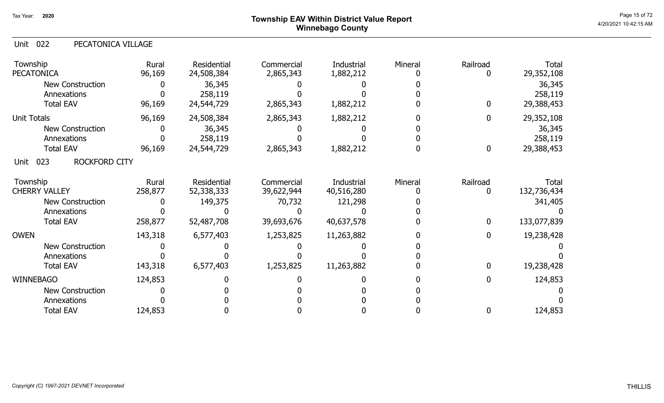## Page 15 of 72 Page 15 of 72  $^{\text{Page 15 of 72}}$ Winnebago County

## Unit 022 PECATONICA VILLAGE

| Township<br><b>PECATONICA</b> | Rural<br>96,169 | <b>Residential</b><br>24,508,384 | Commercial<br>2,865,343 | Industrial<br>1,882,212 | Mineral | Railroad<br>0    | Total<br>29,352,108 |
|-------------------------------|-----------------|----------------------------------|-------------------------|-------------------------|---------|------------------|---------------------|
| New Construction              |                 | 36,345                           |                         |                         |         |                  | 36,345              |
| Annexations                   |                 | 258,119                          |                         |                         |         |                  | 258,119             |
| <b>Total EAV</b>              | 96,169          | 24,544,729                       | 2,865,343               | 1,882,212               |         | $\mathbf 0$      | 29,388,453          |
| <b>Unit Totals</b>            | 96,169          | 24,508,384                       | 2,865,343               | 1,882,212               |         | $\mathbf 0$      | 29,352,108          |
| <b>New Construction</b>       |                 | 36,345                           |                         |                         |         |                  | 36,345              |
| Annexations                   |                 | 258,119                          |                         |                         |         |                  | 258,119             |
| <b>Total EAV</b>              | 96,169          | 24,544,729                       | 2,865,343               | 1,882,212               |         | $\boldsymbol{0}$ | 29,388,453          |
| ROCKFORD CITY<br>023<br>Unit  |                 |                                  |                         |                         |         |                  |                     |
| Township                      | Rural           | <b>Residential</b>               | Commercial              | Industrial              | Mineral | Railroad         | Total               |
| <b>CHERRY VALLEY</b>          | 258,877         | 52,338,333                       | 39,622,944              | 40,516,280              |         | 0                | 132,736,434         |
| <b>New Construction</b>       |                 | 149,375                          | 70,732                  | 121,298                 |         |                  | 341,405             |
| Annexations                   |                 |                                  |                         |                         |         |                  |                     |
| <b>Total EAV</b>              | 258,877         | 52,487,708                       | 39,693,676              | 40,637,578              |         | $\mathbf 0$      | 133,077,839         |
| <b>OWEN</b>                   | 143,318         | 6,577,403                        | 1,253,825               | 11,263,882              |         | $\mathbf 0$      | 19,238,428          |
| <b>New Construction</b>       |                 |                                  |                         |                         |         |                  |                     |
| Annexations                   |                 |                                  |                         |                         |         |                  |                     |
| <b>Total EAV</b>              | 143,318         | 6,577,403                        | 1,253,825               | 11,263,882              |         | $\mathbf 0$      | 19,238,428          |
| <b>WINNEBAGO</b>              | 124,853         |                                  |                         |                         |         | $\mathbf{0}$     | 124,853             |
| New Construction              |                 |                                  |                         |                         |         |                  |                     |
| Annexations                   |                 |                                  |                         |                         |         |                  |                     |
| <b>Total EAV</b>              | 124,853         |                                  |                         |                         |         | $\mathbf 0$      | 124,853             |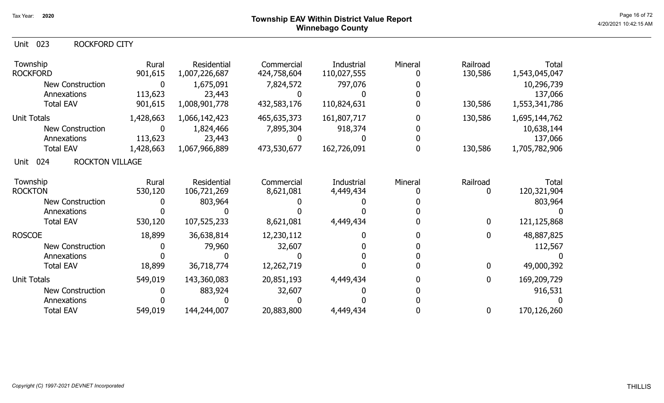## Unit 023 ROCKFORD CITY

| Township<br><b>ROCKFORD</b>           | Rural<br>901,615 | Residential<br>1,007,226,687 | Commercial<br>424,758,604 | Industrial<br>110,027,555 | Mineral | Railroad<br>130,586 | <b>Total</b><br>1,543,045,047 |
|---------------------------------------|------------------|------------------------------|---------------------------|---------------------------|---------|---------------------|-------------------------------|
| New Construction                      | $\mathbf 0$      | 1,675,091                    | 7,824,572                 | 797,076                   |         |                     | 10,296,739                    |
| Annexations                           | 113,623          | 23,443                       |                           |                           |         |                     | 137,066                       |
| <b>Total EAV</b>                      | 901,615          | 1,008,901,778                | 432,583,176               | 110,824,631               |         | 130,586             | 1,553,341,786                 |
| <b>Unit Totals</b>                    | 1,428,663        | 1,066,142,423                | 465,635,373               | 161,807,717               |         | 130,586             | 1,695,144,762                 |
| <b>New Construction</b>               |                  | 1,824,466                    | 7,895,304                 | 918,374                   |         |                     | 10,638,144                    |
| Annexations                           | 113,623          | 23,443                       |                           |                           |         |                     | 137,066                       |
| <b>Total EAV</b>                      | 1,428,663        | 1,067,966,889                | 473,530,677               | 162,726,091               |         | 130,586             | 1,705,782,906                 |
| 024<br><b>ROCKTON VILLAGE</b><br>Unit |                  |                              |                           |                           |         |                     |                               |
| Township                              | Rural            | Residential                  | Commercial                | Industrial                | Mineral | Railroad            | <b>Total</b>                  |
| <b>ROCKTON</b>                        | 530,120          | 106,721,269                  | 8,621,081                 | 4,449,434                 |         |                     | 120,321,904                   |
| New Construction                      |                  | 803,964                      |                           |                           |         |                     | 803,964                       |
| Annexations                           |                  |                              |                           |                           |         |                     |                               |
| <b>Total EAV</b>                      | 530,120          | 107,525,233                  | 8,621,081                 | 4,449,434                 |         | 0                   | 121,125,868                   |
| <b>ROSCOE</b>                         | 18,899           | 36,638,814                   | 12,230,112                |                           |         | 0                   | 48,887,825                    |
| <b>New Construction</b>               |                  | 79,960                       | 32,607                    |                           |         |                     | 112,567                       |
| Annexations                           |                  |                              |                           |                           |         |                     |                               |
| <b>Total EAV</b>                      | 18,899           | 36,718,774                   | 12,262,719                |                           |         | $\mathbf{0}$        | 49,000,392                    |
| <b>Unit Totals</b>                    | 549,019          | 143,360,083                  | 20,851,193                | 4,449,434                 |         | $\mathbf{0}$        | 169,209,729                   |
| <b>New Construction</b>               |                  | 883,924                      | 32,607                    |                           |         |                     | 916,531                       |
| Annexations                           |                  |                              |                           |                           |         |                     |                               |
| <b>Total EAV</b>                      | 549,019          | 144,244,007                  | 20,883,800                | 4,449,434                 |         | 0                   | 170,126,260                   |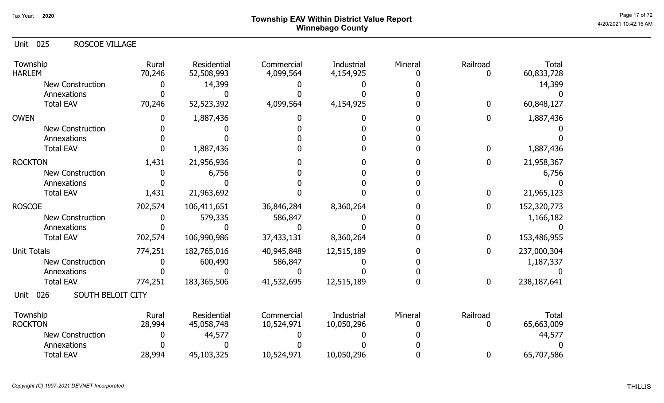# Page 17 of 72  $^{\sf Page~17~of~72}$  Township EAV Within District Value Report Winnebago County

| <b>Unit 025</b><br><b>ROSCOE VILLAGE</b> |                 |                           |                         |                         |         |                  |                     |
|------------------------------------------|-----------------|---------------------------|-------------------------|-------------------------|---------|------------------|---------------------|
| Township<br><b>HARLEM</b>                | Rural<br>70,246 | Residential<br>52,508,993 | Commercial<br>4,099,564 | Industrial<br>4,154,925 | Mineral | Railroad<br>0    | Total<br>60,833,728 |
| New Construction                         | 0               | 14,399                    |                         |                         |         |                  | 14,399              |
| Annexations                              |                 |                           |                         |                         |         |                  |                     |
| <b>Total EAV</b>                         | 70,246          | 52,523,392                | 4,099,564               | 4,154,925               |         | $\mathbf{0}$     | 60,848,127          |
| <b>OWEN</b>                              | 0               | 1,887,436                 |                         |                         |         | $\mathbf 0$      | 1,887,436           |
| <b>New Construction</b>                  |                 |                           |                         |                         |         |                  |                     |
| Annexations                              |                 |                           |                         |                         |         |                  |                     |
| <b>Total EAV</b>                         |                 | 1,887,436                 |                         |                         |         | $\mathbf{0}$     | 1,887,436           |
| <b>ROCKTON</b>                           | 1,431           | 21,956,936                |                         |                         |         | $\mathbf 0$      | 21,958,367          |
| <b>New Construction</b>                  | O               | 6,756                     |                         |                         |         |                  | 6,756               |
| Annexations                              |                 |                           |                         |                         |         |                  |                     |
| <b>Total EAV</b>                         | 1,431           | 21,963,692                |                         |                         |         | $\boldsymbol{0}$ | 21,965,123          |
| <b>ROSCOE</b>                            | 702,574         | 106,411,651               | 36,846,284              | 8,360,264               |         | $\mathbf 0$      | 152,320,773         |
| <b>New Construction</b>                  |                 | 579,335                   | 586,847                 |                         |         |                  | 1,166,182           |
| Annexations                              |                 |                           |                         |                         |         |                  |                     |
| <b>Total EAV</b>                         | 702,574         | 106,990,986               | 37,433,131              | 8,360,264               |         | $\bf{0}$         | 153,486,955         |
| <b>Unit Totals</b>                       | 774,251         | 182,765,016               | 40,945,848              | 12,515,189              |         | $\mathbf 0$      | 237,000,304         |
| <b>New Construction</b>                  |                 | 600,490                   | 586,847                 |                         |         |                  | 1,187,337           |
| Annexations                              |                 |                           |                         |                         |         |                  |                     |
| <b>Total EAV</b>                         | 774,251         | 183, 365, 506             | 41,532,695              | 12,515,189              |         | $\mathbf 0$      | 238,187,641         |
| SOUTH BELOIT CITY<br>026<br>Unit         |                 |                           |                         |                         |         |                  |                     |
| Township                                 | Rural           | Residential               | Commercial              | Industrial              | Mineral | Railroad         | Total               |
| <b>ROCKTON</b>                           | 28,994          | 45,058,748                | 10,524,971              | 10,050,296              |         | 0                | 65,663,009          |
| <b>New Construction</b>                  |                 | 44,577                    |                         |                         |         |                  | 44,577              |
| Annexations                              |                 |                           |                         |                         |         |                  |                     |
| <b>Total EAV</b>                         | 28,994          | 45,103,325                | 10,524,971              | 10,050,296              |         | $\boldsymbol{0}$ | 65,707,586          |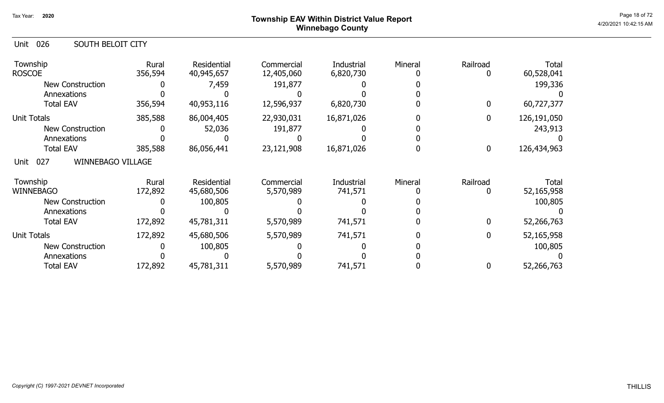## Page 18 of 72  $^{\sf Page~18~of~72}$  Township EAV Within District Value Report Winnebago County

| 026<br>SOUTH BELOIT CITY<br>Unit        |                  |                                  |                          |                         |         |                  |                     |
|-----------------------------------------|------------------|----------------------------------|--------------------------|-------------------------|---------|------------------|---------------------|
| Township<br><b>ROSCOE</b>               | Rural<br>356,594 | <b>Residential</b><br>40,945,657 | Commercial<br>12,405,060 | Industrial<br>6,820,730 | Mineral | Railroad<br>0    | Total<br>60,528,041 |
| <b>New Construction</b>                 |                  | 7,459                            | 191,877                  |                         |         |                  | 199,336             |
| Annexations                             |                  |                                  |                          |                         |         |                  |                     |
| <b>Total EAV</b>                        | 356,594          | 40,953,116                       | 12,596,937               | 6,820,730               |         | $\bf{0}$         | 60,727,377          |
| <b>Unit Totals</b>                      | 385,588          | 86,004,405                       | 22,930,031               | 16,871,026              |         | $\bf{0}$         | 126,191,050         |
| <b>New Construction</b>                 |                  | 52,036                           | 191,877                  |                         |         |                  | 243,913             |
| Annexations                             |                  |                                  |                          |                         |         |                  |                     |
| <b>Total EAV</b>                        | 385,588          | 86,056,441                       | 23,121,908               | 16,871,026              |         | $\boldsymbol{0}$ | 126,434,963         |
| 027<br><b>WINNEBAGO VILLAGE</b><br>Unit |                  |                                  |                          |                         |         |                  |                     |
| Township                                | Rural            | <b>Residential</b>               | Commercial               | Industrial              | Mineral | Railroad         | Total               |
| <b>WINNEBAGO</b>                        | 172,892          | 45,680,506                       | 5,570,989                | 741,571                 |         |                  | 52,165,958          |
| <b>New Construction</b>                 |                  | 100,805                          |                          |                         |         |                  | 100,805             |
| Annexations                             |                  |                                  |                          |                         |         |                  |                     |
| <b>Total EAV</b>                        | 172,892          | 45,781,311                       | 5,570,989                | 741,571                 |         | $\bf{0}$         | 52,266,763          |
| <b>Unit Totals</b>                      | 172,892          | 45,680,506                       | 5,570,989                | 741,571                 |         | $\bf{0}$         | 52,165,958          |
| <b>New Construction</b>                 |                  | 100,805                          |                          |                         |         |                  | 100,805             |
| Annexations                             |                  |                                  |                          |                         |         |                  |                     |
| <b>Total EAV</b>                        | 172,892          | 45,781,311                       | 5,570,989                | 741,571                 |         | 0                | 52,266,763          |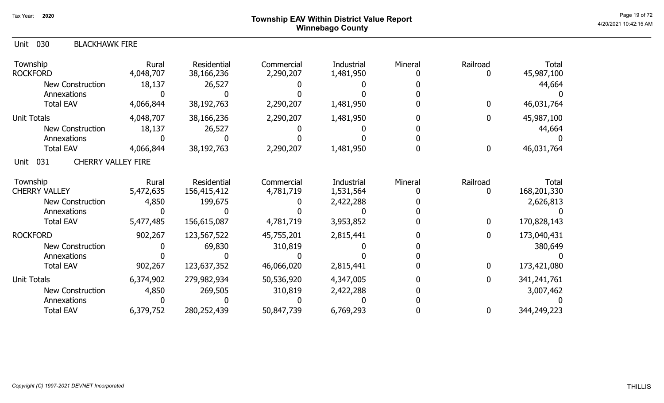## Page 19 of 72  $^{\sf Page~19~of~72}$  Township EAV Within District Value Report Winnebago County

| 030<br><b>BLACKHAWK FIRE</b><br>Unit     |                    |                            |                         |                         |         |               |                      |
|------------------------------------------|--------------------|----------------------------|-------------------------|-------------------------|---------|---------------|----------------------|
| Township<br><b>ROCKFORD</b>              | Rural<br>4,048,707 | Residential<br>38,166,236  | Commercial<br>2,290,207 | Industrial<br>1,481,950 | Mineral | Railroad<br>0 | Total<br>45,987,100  |
| <b>New Construction</b>                  | 18,137             | 26,527                     |                         |                         |         |               | 44,664               |
| Annexations                              |                    |                            |                         |                         |         |               |                      |
| <b>Total EAV</b>                         | 4,066,844          | 38,192,763                 | 2,290,207               | 1,481,950               |         | $\mathbf{0}$  | 46,031,764           |
| <b>Unit Totals</b>                       | 4,048,707          | 38,166,236                 | 2,290,207               | 1,481,950               |         | $\mathbf{0}$  | 45,987,100           |
| <b>New Construction</b>                  | 18,137             | 26,527                     |                         |                         |         |               | 44,664               |
| Annexations                              |                    |                            |                         |                         |         |               |                      |
| <b>Total EAV</b>                         | 4,066,844          | 38,192,763                 | 2,290,207               | 1,481,950               |         | 0             | 46,031,764           |
| <b>CHERRY VALLEY FIRE</b><br>031<br>Unit |                    |                            |                         |                         |         |               |                      |
| Township<br><b>CHERRY VALLEY</b>         | Rural<br>5,472,635 | Residential<br>156,415,412 | Commercial<br>4,781,719 | Industrial<br>1,531,564 | Mineral | Railroad<br>0 | Total<br>168,201,330 |
| <b>New Construction</b>                  | 4,850              | 199,675                    |                         | 2,422,288               |         |               | 2,626,813            |
| Annexations                              |                    |                            |                         |                         |         |               |                      |
| <b>Total EAV</b>                         | 5,477,485          | 156,615,087                | 4,781,719               | 3,953,852               |         | $\mathbf{0}$  | 170,828,143          |
| <b>ROCKFORD</b>                          | 902,267            | 123,567,522                | 45,755,201              | 2,815,441               |         | $\mathbf{0}$  | 173,040,431          |
| <b>New Construction</b>                  |                    | 69,830                     | 310,819                 |                         |         |               | 380,649              |
| Annexations                              |                    |                            |                         |                         |         |               |                      |
| <b>Total EAV</b>                         | 902,267            | 123,637,352                | 46,066,020              | 2,815,441               |         | $\mathbf{0}$  | 173,421,080          |
| Unit Totals                              | 6,374,902          | 279,982,934                | 50,536,920              | 4,347,005               |         | 0             | 341,241,761          |
| New Construction                         | 4,850              | 269,505                    | 310,819                 | 2,422,288               |         |               | 3,007,462            |
| Annexations                              |                    |                            |                         |                         |         |               |                      |
| <b>Total EAV</b>                         | 6,379,752          | 280,252,439                | 50,847,739              | 6,769,293               |         | 0             | 344,249,223          |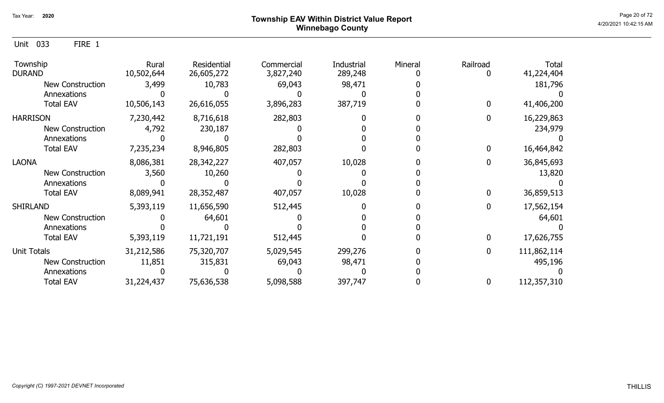Unit 033 FIRE 1

| Township<br><b>DURAND</b> | Rural<br>10,502,644 | Residential<br>26,605,272 | Commercial<br>3,827,240 | Industrial<br>289,248 | Mineral | Railroad | Total<br>41,224,404 |
|---------------------------|---------------------|---------------------------|-------------------------|-----------------------|---------|----------|---------------------|
| New Construction          | 3,499               | 10,783                    | 69,043                  | 98,471                |         |          | 181,796             |
| Annexations               |                     |                           |                         |                       |         |          |                     |
| <b>Total EAV</b>          | 10,506,143          | 26,616,055                | 3,896,283               | 387,719               |         |          | 41,406,200          |
| <b>HARRISON</b>           | 7,230,442           | 8,716,618                 | 282,803                 |                       |         |          | 16,229,863          |
| <b>New Construction</b>   | 4,792               | 230,187                   |                         |                       |         |          | 234,979             |
| Annexations               |                     |                           |                         |                       |         |          |                     |
| <b>Total EAV</b>          | 7,235,234           | 8,946,805                 | 282,803                 |                       |         |          | 16,464,842          |
| <b>LAONA</b>              | 8,086,381           | 28,342,227                | 407,057                 | 10,028                |         |          | 36,845,693          |
| <b>New Construction</b>   | 3,560               | 10,260                    |                         |                       |         |          | 13,820              |
| Annexations               |                     |                           |                         |                       |         |          |                     |
| <b>Total EAV</b>          | 8,089,941           | 28,352,487                | 407,057                 | 10,028                |         |          | 36,859,513          |
| <b>SHIRLAND</b>           | 5,393,119           | 11,656,590                | 512,445                 |                       |         |          | 17,562,154          |
| <b>New Construction</b>   |                     | 64,601                    |                         |                       |         |          | 64,601              |
| Annexations               |                     |                           |                         |                       |         |          |                     |
| <b>Total EAV</b>          | 5,393,119           | 11,721,191                | 512,445                 |                       |         |          | 17,626,755          |
| Unit Totals               | 31,212,586          | 75,320,707                | 5,029,545               | 299,276               |         | 0        | 111,862,114         |
| <b>New Construction</b>   | 11,851              | 315,831                   | 69,043                  | 98,471                |         |          | 495,196             |
| Annexations               |                     |                           |                         |                       |         |          |                     |
| <b>Total EAV</b>          | 31,224,437          | 75,636,538                | 5,098,588               | 397,747               |         | 0        | 112,357,310         |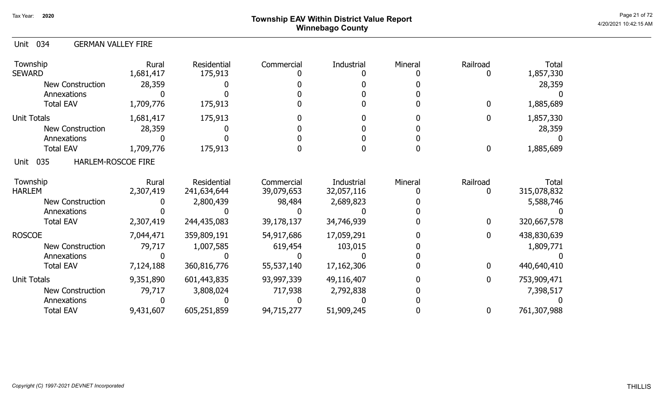# Page 21 of 72<br>Page 21 of 72<br>4/20/2021 10:42:15 AM Winnebago County

| 034<br>Unit<br><b>GERMAN VALLEY FIRE</b> |                    |                            |                          |                                 |         |              |                      |
|------------------------------------------|--------------------|----------------------------|--------------------------|---------------------------------|---------|--------------|----------------------|
| Township<br><b>SEWARD</b>                | Rural<br>1,681,417 | Residential<br>175,913     | Commercial               | Industrial                      | Mineral | Railroad     | Total<br>1,857,330   |
| <b>New Construction</b>                  | 28,359             |                            |                          |                                 |         |              | 28,359               |
| Annexations                              |                    |                            |                          |                                 |         |              |                      |
| <b>Total EAV</b>                         | 1,709,776          | 175,913                    |                          |                                 |         | $\Omega$     | 1,885,689            |
| <b>Unit Totals</b>                       | 1,681,417          | 175,913                    |                          |                                 |         | <sup>0</sup> | 1,857,330            |
| <b>New Construction</b>                  | 28,359             |                            |                          |                                 |         |              | 28,359               |
| Annexations                              |                    |                            |                          |                                 |         |              |                      |
| <b>Total EAV</b>                         | 1,709,776          | 175,913                    |                          |                                 |         | $\mathbf 0$  | 1,885,689            |
| <b>Unit 035</b><br>HARLEM-ROSCOE FIRE    |                    |                            |                          |                                 |         |              |                      |
| Township<br><b>HARLEM</b>                | Rural<br>2,307,419 | Residential<br>241,634,644 | Commercial<br>39,079,653 | <b>Industrial</b><br>32,057,116 | Mineral | Railroad     | Total<br>315,078,832 |
| <b>New Construction</b>                  |                    | 2,800,439                  | 98,484                   | 2,689,823                       |         |              | 5,588,746            |
| Annexations                              |                    |                            |                          |                                 |         |              |                      |
| <b>Total EAV</b>                         | 2,307,419          | 244,435,083                | 39,178,137               | 34,746,939                      |         | $\mathbf{0}$ | 320,667,578          |
| <b>ROSCOE</b>                            | 7,044,471          | 359,809,191                | 54,917,686               | 17,059,291                      |         | $\Omega$     | 438,830,639          |
| <b>New Construction</b>                  | 79,717             | 1,007,585                  | 619,454                  | 103,015                         |         |              | 1,809,771            |
| Annexations                              |                    |                            |                          |                                 |         |              |                      |
| <b>Total EAV</b>                         | 7,124,188          | 360,816,776                | 55,537,140               | 17, 162, 306                    |         | $\mathbf{0}$ | 440,640,410          |
| <b>Unit Totals</b>                       | 9,351,890          | 601,443,835                | 93,997,339               | 49,116,407                      |         | $\Omega$     | 753,909,471          |
| <b>New Construction</b>                  | 79,717             | 3,808,024                  | 717,938                  | 2,792,838                       |         |              | 7,398,517            |
| Annexations                              |                    |                            |                          |                                 |         |              |                      |
| <b>Total EAV</b>                         | 9,431,607          | 605,251,859                | 94,715,277               | 51,909,245                      |         | 0            | 761,307,988          |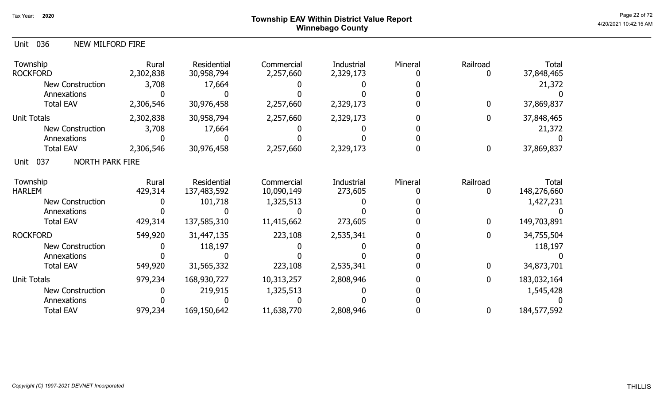# Page 22 of 72 Page 22 of 72  $^{\text{Page 22 of 72}}$ Winnebago County

| 036<br>NEW MILFORD FIRE<br>Unit       |                    |                                   |                          |                                |         |                  |                      |
|---------------------------------------|--------------------|-----------------------------------|--------------------------|--------------------------------|---------|------------------|----------------------|
| Township<br><b>ROCKFORD</b>           | Rural<br>2,302,838 | <b>Residential</b><br>30,958,794  | Commercial<br>2,257,660  | <b>Industrial</b><br>2,329,173 | Mineral | Railroad<br>0    | Total<br>37,848,465  |
| New Construction                      | 3,708              | 17,664                            |                          |                                |         |                  | 21,372               |
| Annexations                           |                    |                                   |                          |                                |         |                  |                      |
| <b>Total EAV</b>                      | 2,306,546          | 30,976,458                        | 2,257,660                | 2,329,173                      |         | $\mathbf 0$      | 37,869,837           |
| Unit Totals                           | 2,302,838          | 30,958,794                        | 2,257,660                | 2,329,173                      |         | $\mathbf{0}$     | 37,848,465           |
| New Construction                      | 3,708              | 17,664                            |                          |                                |         |                  | 21,372               |
| Annexations                           |                    |                                   |                          |                                |         |                  |                      |
| <b>Total EAV</b>                      | 2,306,546          | 30,976,458                        | 2,257,660                | 2,329,173                      |         | $\boldsymbol{0}$ | 37,869,837           |
| 037<br><b>NORTH PARK FIRE</b><br>Unit |                    |                                   |                          |                                |         |                  |                      |
| Township<br><b>HARLEM</b>             | Rural<br>429,314   | <b>Residential</b><br>137,483,592 | Commercial<br>10,090,149 | Industrial<br>273,605          | Mineral | Railroad<br>0    | Total<br>148,276,660 |
| New Construction                      |                    | 101,718                           | 1,325,513                |                                |         |                  | 1,427,231            |
| Annexations                           |                    |                                   |                          |                                |         |                  |                      |
| <b>Total EAV</b>                      | 429,314            | 137,585,310                       | 11,415,662               | 273,605                        |         | $\mathbf{0}$     | 149,703,891          |
| <b>ROCKFORD</b>                       | 549,920            | 31,447,135                        | 223,108                  | 2,535,341                      |         | $\mathbf{0}$     | 34,755,504           |
| <b>New Construction</b>               |                    | 118,197                           |                          |                                |         |                  | 118,197              |
| Annexations                           |                    |                                   |                          |                                |         |                  |                      |
| <b>Total EAV</b>                      | 549,920            | 31,565,332                        | 223,108                  | 2,535,341                      |         | $\mathbf 0$      | 34,873,701           |
| <b>Unit Totals</b>                    | 979,234            | 168,930,727                       | 10,313,257               | 2,808,946                      |         | $\mathbf 0$      | 183,032,164          |
| New Construction                      |                    | 219,915                           | 1,325,513                |                                |         |                  | 1,545,428            |
| Annexations                           |                    |                                   |                          |                                |         |                  |                      |
| <b>Total EAV</b>                      | 979,234            | 169,150,642                       | 11,638,770               | 2,808,946                      |         | 0                | 184,577,592          |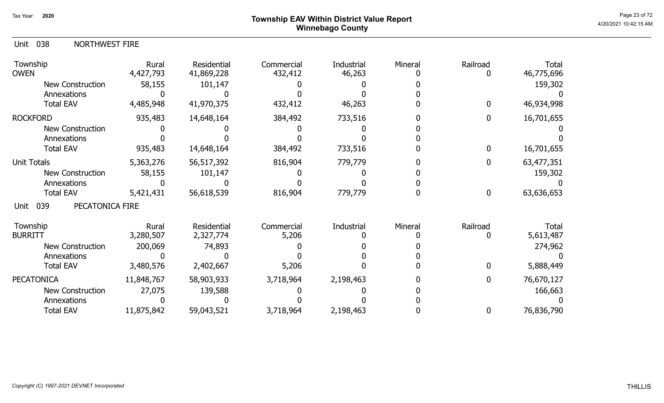# Page 23 of 72 Page 23 of 72  $^{\text{Page 23 of 72}}$ Winnebago County

| 038<br>NORTHWEST FIRE<br>Unit  |                    |                                  |                       |                      |         |              |                           |
|--------------------------------|--------------------|----------------------------------|-----------------------|----------------------|---------|--------------|---------------------------|
| Township<br><b>OWEN</b>        | Rural<br>4,427,793 | <b>Residential</b><br>41,869,228 | Commercial<br>432,412 | Industrial<br>46,263 | Mineral | Railroad     | Total<br>46,775,696       |
| <b>New Construction</b>        | 58,155             | 101,147                          |                       |                      |         |              | 159,302                   |
| Annexations                    |                    |                                  |                       |                      |         |              |                           |
| <b>Total EAV</b>               | 4,485,948          | 41,970,375                       | 432,412               | 46,263               |         | $\Omega$     | 46,934,998                |
| <b>ROCKFORD</b>                | 935,483            | 14,648,164                       | 384,492               | 733,516              |         | 0            | 16,701,655                |
| <b>New Construction</b>        |                    |                                  |                       |                      |         |              |                           |
| Annexations                    |                    |                                  |                       |                      |         |              |                           |
| <b>Total EAV</b>               | 935,483            | 14,648,164                       | 384,492               | 733,516              |         | $\mathbf{0}$ | 16,701,655                |
| <b>Unit Totals</b>             | 5,363,276          | 56,517,392                       | 816,904               | 779,779              |         | $\mathbf{0}$ | 63,477,351                |
| <b>New Construction</b>        | 58,155             | 101,147                          |                       |                      |         |              | 159,302                   |
| Annexations                    |                    |                                  |                       |                      |         |              |                           |
| <b>Total EAV</b>               | 5,421,431          | 56,618,539                       | 816,904               | 779,779              |         | 0            | 63,636,653                |
| 039<br>PECATONICA FIRE<br>Unit |                    |                                  |                       |                      |         |              |                           |
| Township<br><b>BURRITT</b>     | Rural<br>3,280,507 | Residential<br>2,327,774         | Commercial<br>5,206   | Industrial           | Mineral | Railroad     | <b>Total</b><br>5,613,487 |
| <b>New Construction</b>        | 200,069            | 74,893                           |                       |                      |         |              | 274,962                   |
| Annexations                    |                    |                                  |                       |                      |         |              |                           |
| <b>Total EAV</b>               | 3,480,576          | 2,402,667                        | 5,206                 |                      |         | 0            | 5,888,449                 |
| <b>PECATONICA</b>              | 11,848,767         | 58,903,933                       | 3,718,964             | 2,198,463            |         | $\mathbf{0}$ | 76,670,127                |
| <b>New Construction</b>        | 27,075             | 139,588                          |                       |                      |         |              | 166,663                   |
| Annexations                    |                    |                                  |                       |                      |         |              |                           |
| <b>Total EAV</b>               | 11,875,842         | 59,043,521                       | 3,718,964             | 2,198,463            |         | 0            | 76,836,790                |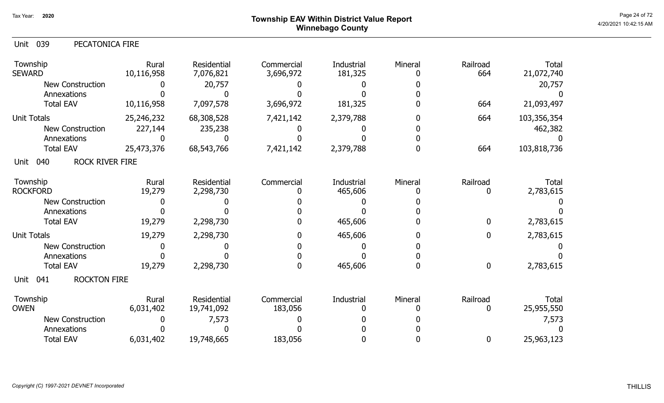# Page 24 of 72<br>Page 24 of 72<br>4/20/2021 10:42:15 AM Winnebago County

| 039<br>PECATONICA FIRE<br>Unit        |                     |                          |                         |                       |              |                 |                     |
|---------------------------------------|---------------------|--------------------------|-------------------------|-----------------------|--------------|-----------------|---------------------|
| Township<br><b>SEWARD</b>             | Rural<br>10,116,958 | Residential<br>7,076,821 | Commercial<br>3,696,972 | Industrial<br>181,325 | Mineral<br>0 | Railroad<br>664 | Total<br>21,072,740 |
| New Construction                      |                     | 20,757                   |                         |                       |              |                 | 20,757              |
| Annexations                           |                     |                          |                         |                       |              |                 |                     |
| <b>Total EAV</b>                      | 10,116,958          | 7,097,578                | 3,696,972               | 181,325               |              | 664             | 21,093,497          |
| <b>Unit Totals</b>                    | 25,246,232          | 68,308,528               | 7,421,142               | 2,379,788             | 0            | 664             | 103,356,354         |
| New Construction                      | 227,144             | 235,238                  |                         |                       |              |                 | 462,382             |
| Annexations                           |                     |                          |                         |                       |              |                 |                     |
| <b>Total EAV</b>                      | 25,473,376          | 68,543,766               | 7,421,142               | 2,379,788             | O.           | 664             | 103,818,736         |
| <b>ROCK RIVER FIRE</b><br>040<br>Unit |                     |                          |                         |                       |              |                 |                     |
| Township<br><b>ROCKFORD</b>           | Rural<br>19,279     | Residential<br>2,298,730 | Commercial              | Industrial<br>465,606 | Mineral      | Railroad<br>0   | Total<br>2,783,615  |
| New Construction                      | 0                   |                          |                         |                       |              |                 |                     |
| Annexations                           |                     |                          |                         |                       |              |                 |                     |
| <b>Total EAV</b>                      | 19,279              | 2,298,730                |                         | 465,606               |              | 0               | 2,783,615           |
| <b>Unit Totals</b>                    | 19,279              | 2,298,730                |                         | 465,606               | 0            | 0               | 2,783,615           |
| <b>New Construction</b>               |                     |                          |                         |                       |              |                 |                     |
| Annexations                           |                     |                          |                         |                       |              |                 |                     |
| <b>Total EAV</b>                      | 19,279              | 2,298,730                |                         | 465,606               | 0            | $\mathbf 0$     | 2,783,615           |
| 041<br><b>ROCKTON FIRE</b><br>Unit    |                     |                          |                         |                       |              |                 |                     |
| Township                              | Rural               | Residential              | Commercial              | Industrial            | Mineral      | Railroad        | Total               |
| <b>OWEN</b>                           | 6,031,402           | 19,741,092               | 183,056                 |                       |              | 0               | 25,955,550          |
| <b>New Construction</b>               |                     | 7,573                    |                         |                       |              |                 | 7,573               |
| Annexations                           |                     |                          |                         |                       |              |                 |                     |
| <b>Total EAV</b>                      | 6,031,402           | 19,748,665               | 183,056                 |                       |              | 0               | 25,963,123          |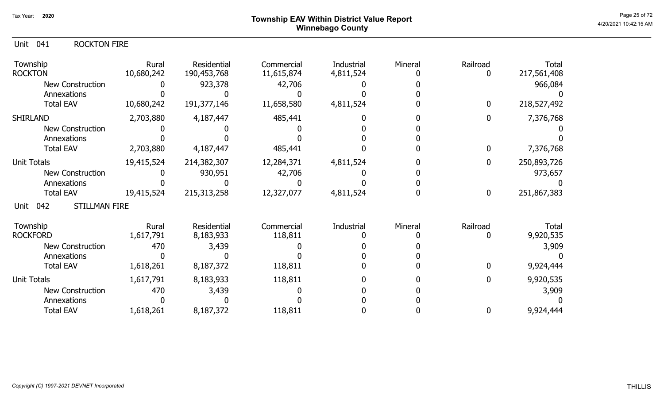# Page 25 of 72 Page 25 of 72  $^{\text{Page 25 of 72}}$ Winnebago County

## Unit 041 ROCKTON FIRE

| Township<br><b>ROCKTON</b>          | Rural<br>10,680,242 | Residential<br>190,453,768 | Commercial<br>11,615,874 | Industrial<br>4,811,524 | Mineral | Railroad     | Total<br>217,561,408 |
|-------------------------------------|---------------------|----------------------------|--------------------------|-------------------------|---------|--------------|----------------------|
| New Construction                    |                     | 923,378                    | 42,706                   |                         |         |              | 966,084              |
| Annexations                         |                     |                            |                          |                         |         |              |                      |
| <b>Total EAV</b>                    | 10,680,242          | 191,377,146                | 11,658,580               | 4,811,524               |         | $\mathbf 0$  | 218,527,492          |
| <b>SHIRLAND</b>                     | 2,703,880           | 4,187,447                  | 485,441                  |                         |         | $\bf{0}$     | 7,376,768            |
| New Construction                    |                     |                            |                          |                         |         |              |                      |
| Annexations                         |                     |                            |                          |                         |         |              |                      |
| <b>Total EAV</b>                    | 2,703,880           | 4,187,447                  | 485,441                  |                         |         | 0            | 7,376,768            |
| <b>Unit Totals</b>                  | 19,415,524          | 214,382,307                | 12,284,371               | 4,811,524               |         | $\mathbf{0}$ | 250,893,726          |
| <b>New Construction</b>             |                     | 930,951                    | 42,706                   |                         |         |              | 973,657              |
| Annexations                         |                     |                            |                          |                         |         |              |                      |
| <b>Total EAV</b>                    | 19,415,524          | 215, 313, 258              | 12,327,077               | 4,811,524               |         | $\bf{0}$     | 251,867,383          |
| <b>STILLMAN FIRE</b><br>042<br>Unit |                     |                            |                          |                         |         |              |                      |
| Township                            | Rural               | Residential                | Commercial               | Industrial              | Mineral | Railroad     | Total                |
| <b>ROCKFORD</b>                     | 1,617,791           | 8,183,933                  | 118,811                  |                         |         |              | 9,920,535            |
| <b>New Construction</b>             | 470                 | 3,439                      |                          |                         |         |              | 3,909                |
| Annexations                         |                     |                            |                          |                         |         |              |                      |
| <b>Total EAV</b>                    | 1,618,261           | 8,187,372                  | 118,811                  |                         |         | 0            | 9,924,444            |
| <b>Unit Totals</b>                  | 1,617,791           | 8,183,933                  | 118,811                  |                         |         | 0            | 9,920,535            |
| <b>New Construction</b>             | 470                 | 3,439                      |                          |                         |         |              | 3,909                |
| Annexations                         |                     |                            |                          |                         |         |              |                      |
| <b>Total EAV</b>                    | 1,618,261           | 8,187,372                  | 118,811                  |                         |         | 0            | 9,924,444            |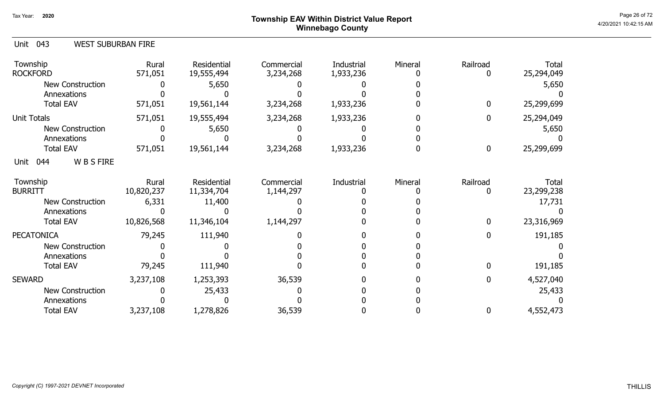# Page 26 of 72 Page 26 of 72  $^{\text{Page 26 of 72}}$ Winnebago County

| Unit 043<br><b>WEST SUBURBAN FIRE</b> |                     |                           |                         |                         |         |                  |                            |
|---------------------------------------|---------------------|---------------------------|-------------------------|-------------------------|---------|------------------|----------------------------|
| Township<br><b>ROCKFORD</b>           | Rural<br>571,051    | Residential<br>19,555,494 | Commercial<br>3,234,268 | Industrial<br>1,933,236 | Mineral | Railroad<br>0    | Total<br>25,294,049        |
| <b>New Construction</b>               |                     | 5,650                     |                         |                         |         |                  | 5,650                      |
| Annexations                           |                     |                           |                         |                         |         |                  |                            |
| <b>Total EAV</b>                      | 571,051             | 19,561,144                | 3,234,268               | 1,933,236               |         | 0                | 25,299,699                 |
| <b>Unit Totals</b>                    | 571,051             | 19,555,494                | 3,234,268               | 1,933,236               |         | $\mathbf{0}$     | 25,294,049                 |
| <b>New Construction</b>               |                     | 5,650                     |                         |                         |         |                  | 5,650                      |
| Annexations                           |                     |                           |                         |                         |         |                  |                            |
| <b>Total EAV</b>                      | 571,051             | 19,561,144                | 3,234,268               | 1,933,236               |         | $\boldsymbol{0}$ | 25,299,699                 |
| <b>WBSFIRE</b><br>044<br>Unit         |                     |                           |                         |                         |         |                  |                            |
| Township<br><b>BURRITT</b>            | Rural<br>10,820,237 | Residential<br>11,334,704 | Commercial<br>1,144,297 | Industrial              | Mineral | Railroad<br>0    | <b>Total</b><br>23,299,238 |
| <b>New Construction</b>               | 6,331               | 11,400                    |                         |                         |         |                  | 17,731                     |
| Annexations                           |                     |                           |                         |                         |         |                  |                            |
| <b>Total EAV</b>                      | 10,826,568          | 11,346,104                | 1,144,297               |                         |         | $\mathbf 0$      | 23,316,969                 |
| <b>PECATONICA</b>                     | 79,245              | 111,940                   |                         |                         |         | $\mathbf 0$      | 191,185                    |
| New Construction                      |                     |                           |                         |                         |         |                  |                            |
| Annexations                           |                     |                           |                         |                         |         |                  |                            |
| <b>Total EAV</b>                      | 79,245              | 111,940                   |                         |                         |         | $\Omega$         | 191,185                    |
| <b>SEWARD</b>                         | 3,237,108           | 1,253,393                 | 36,539                  |                         |         | 0                | 4,527,040                  |
| <b>New Construction</b>               |                     | 25,433                    |                         |                         |         |                  | 25,433                     |
| Annexations                           |                     |                           |                         |                         |         |                  |                            |
| <b>Total EAV</b>                      | 3,237,108           | 1,278,826                 | 36,539                  |                         |         | 0                | 4,552,473                  |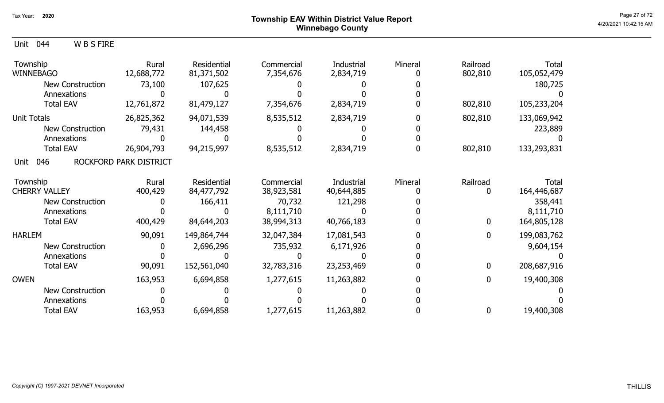## Page 27 of 72  $^{\sf Page\ 27\ of\ 72}$   $^{\sf Page\ 27\ of\ 72}$ Winnebago County

| Unit<br>044<br><b>WBSFIRE</b> |                        |                           |                         |                         |         |                     |                             |
|-------------------------------|------------------------|---------------------------|-------------------------|-------------------------|---------|---------------------|-----------------------------|
| Township<br><b>WINNEBAGO</b>  | Rural<br>12,688,772    | Residential<br>81,371,502 | Commercial<br>7,354,676 | Industrial<br>2,834,719 | Mineral | Railroad<br>802,810 | <b>Total</b><br>105,052,479 |
| <b>New Construction</b>       | 73,100                 | 107,625                   |                         |                         |         |                     | 180,725                     |
| Annexations                   |                        |                           |                         |                         |         |                     |                             |
| <b>Total EAV</b>              | 12,761,872             | 81,479,127                | 7,354,676               | 2,834,719               |         | 802,810             | 105,233,204                 |
| <b>Unit Totals</b>            | 26,825,362             | 94,071,539                | 8,535,512               | 2,834,719               |         | 802,810             | 133,069,942                 |
| <b>New Construction</b>       | 79,431                 | 144,458                   |                         |                         |         |                     | 223,889                     |
| Annexations                   |                        |                           |                         |                         |         |                     |                             |
| <b>Total EAV</b>              | 26,904,793             | 94,215,997                | 8,535,512               | 2,834,719               |         | 802,810             | 133,293,831                 |
| 046<br>Unit                   | ROCKFORD PARK DISTRICT |                           |                         |                         |         |                     |                             |
| Township                      | Rural                  | Residential               | Commercial              | Industrial              | Mineral | Railroad            | Total                       |
| <b>CHERRY VALLEY</b>          | 400,429                | 84,477,792                | 38,923,581              | 40,644,885              |         |                     | 164,446,687                 |
| <b>New Construction</b>       |                        | 166,411                   | 70,732                  | 121,298                 |         |                     | 358,441                     |
| Annexations                   |                        |                           | 8,111,710               |                         |         |                     | 8,111,710                   |
| <b>Total EAV</b>              | 400,429                | 84,644,203                | 38,994,313              | 40,766,183              |         | $\mathbf 0$         | 164,805,128                 |
| <b>HARLEM</b>                 | 90,091                 | 149,864,744               | 32,047,384              | 17,081,543              |         | 0                   | 199,083,762                 |
| <b>New Construction</b>       |                        | 2,696,296                 | 735,932                 | 6,171,926               |         |                     | 9,604,154                   |
| Annexations                   |                        |                           |                         |                         |         |                     |                             |
| <b>Total EAV</b>              | 90,091                 | 152,561,040               | 32,783,316              | 23,253,469              |         | $\mathbf 0$         | 208,687,916                 |
| <b>OWEN</b>                   | 163,953                | 6,694,858                 | 1,277,615               | 11,263,882              |         | $\mathbf{0}$        | 19,400,308                  |
| <b>New Construction</b>       |                        |                           |                         |                         |         |                     |                             |
| Annexations                   |                        |                           |                         |                         |         |                     |                             |
| <b>Total EAV</b>              | 163,953                | 6,694,858                 | 1,277,615               | 11,263,882              |         | 0                   | 19,400,308                  |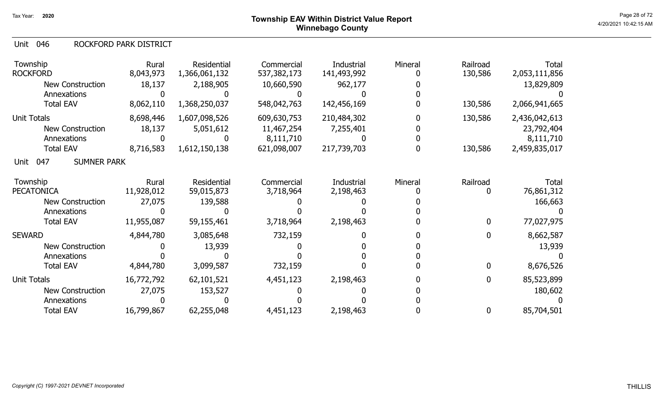## Page 28 of 72 Page 28 of 72  $^{\text{Page 28 of 72}}$ Winnebago County

### 046 Unit ROCKFORD PARK DISTRICT

| Township<br><b>ROCKFORD</b>       | Rural<br>8,043,973 | Residential<br>1,366,061,132 | Commercial<br>537,382,173 | Industrial<br>141,493,992 | Mineral | Railroad<br>130,586 | Total<br>2,053,111,856 |
|-----------------------------------|--------------------|------------------------------|---------------------------|---------------------------|---------|---------------------|------------------------|
| <b>New Construction</b>           | 18,137             | 2,188,905                    | 10,660,590                | 962,177                   |         |                     | 13,829,809             |
| Annexations                       |                    |                              |                           |                           |         |                     |                        |
| <b>Total EAV</b>                  | 8,062,110          | 1,368,250,037                | 548,042,763               | 142,456,169               |         | 130,586             | 2,066,941,665          |
| <b>Unit Totals</b>                | 8,698,446          | 1,607,098,526                | 609,630,753               | 210,484,302               |         | 130,586             | 2,436,042,613          |
| <b>New Construction</b>           | 18,137             | 5,051,612                    | 11,467,254                | 7,255,401                 |         |                     | 23,792,404             |
| Annexations                       |                    |                              | 8,111,710                 |                           |         |                     | 8,111,710              |
| <b>Total EAV</b>                  | 8,716,583          | 1,612,150,138                | 621,098,007               | 217,739,703               |         | 130,586             | 2,459,835,017          |
| <b>SUMNER PARK</b><br>047<br>Unit |                    |                              |                           |                           |         |                     |                        |
| Township                          | Rural              | Residential                  | Commercial                | Industrial                | Mineral | Railroad            | Total                  |
| <b>PECATONICA</b>                 | 11,928,012         | 59,015,873                   | 3,718,964                 | 2,198,463                 |         | 0                   | 76,861,312             |
| <b>New Construction</b>           | 27,075             | 139,588                      |                           |                           |         |                     | 166,663                |
| Annexations                       |                    |                              |                           |                           |         |                     |                        |
| <b>Total EAV</b>                  | 11,955,087         | 59,155,461                   | 3,718,964                 | 2,198,463                 |         | $\mathbf 0$         | 77,027,975             |
| <b>SEWARD</b>                     | 4,844,780          | 3,085,648                    | 732,159                   |                           |         | $\mathbf 0$         | 8,662,587              |
| <b>New Construction</b>           |                    | 13,939                       |                           |                           |         |                     | 13,939                 |
| Annexations                       |                    |                              |                           |                           |         |                     |                        |
| <b>Total EAV</b>                  | 4,844,780          | 3,099,587                    | 732,159                   |                           |         | $\mathbf{0}$        | 8,676,526              |
| <b>Unit Totals</b>                | 16,772,792         | 62,101,521                   | 4,451,123                 | 2,198,463                 |         | $\mathbf 0$         | 85,523,899             |
| New Construction                  | 27,075             | 153,527                      |                           |                           |         |                     | 180,602                |
| Annexations                       |                    |                              |                           |                           |         |                     |                        |
| <b>Total EAV</b>                  | 16,799,867         | 62,255,048                   | 4,451,123                 | 2,198,463                 |         | 0                   | 85,704,501             |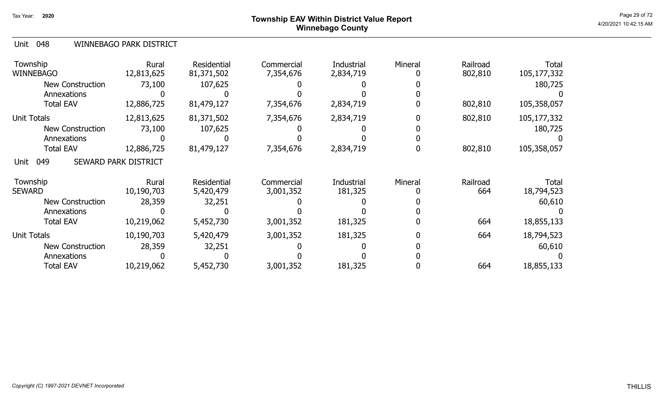# Page 29 of 72 Page 29 of 72  $^{\text{Page 29 of 72}}$ Winnebago County

### 048 Unit WINNEBAGO PARK DISTRICT

| Township<br><b>WINNEBAGO</b>    | Rural<br>12,813,625         | Residential<br>81,371,502       | Commercial<br>7,354,676 | Industrial<br>2,834,719 | Mineral | Railroad<br>802,810 | <b>Total</b><br>105,177,332 |
|---------------------------------|-----------------------------|---------------------------------|-------------------------|-------------------------|---------|---------------------|-----------------------------|
| <b>New Construction</b>         | 73,100                      | 107,625                         |                         |                         |         |                     | 180,725                     |
| Annexations<br><b>Total EAV</b> | 12,886,725                  | 81,479,127                      | 7,354,676               | 2,834,719               |         | 802,810             | 105,358,057                 |
| <b>Unit Totals</b>              | 12,813,625                  | 81,371,502                      | 7,354,676               | 2,834,719               |         | 802,810             | 105,177,332                 |
| <b>New Construction</b>         | 73,100                      | 107,625                         |                         |                         |         |                     | 180,725                     |
| Annexations                     |                             |                                 |                         |                         |         |                     |                             |
| <b>Total EAV</b>                | 12,886,725                  | 81,479,127                      | 7,354,676               | 2,834,719               |         | 802,810             | 105,358,057                 |
| 049<br>Unit                     | <b>SEWARD PARK DISTRICT</b> |                                 |                         |                         |         |                     |                             |
| Township<br><b>SEWARD</b>       | Rural<br>10,190,703         | <b>Residential</b><br>5,420,479 | Commercial<br>3,001,352 | Industrial<br>181,325   | Mineral | Railroad<br>664     | Total<br>18,794,523         |
| <b>New Construction</b>         | 28,359                      | 32,251                          |                         |                         |         |                     | 60,610                      |
| Annexations                     |                             |                                 |                         |                         |         |                     |                             |
| <b>Total EAV</b>                | 10,219,062                  | 5,452,730                       | 3,001,352               | 181,325                 |         | 664                 | 18,855,133                  |
| <b>Unit Totals</b>              | 10,190,703                  | 5,420,479                       | 3,001,352               | 181,325                 |         | 664                 | 18,794,523                  |
| <b>New Construction</b>         | 28,359                      | 32,251                          |                         |                         |         |                     | 60,610                      |
| Annexations                     |                             |                                 |                         |                         |         |                     |                             |
| <b>Total EAV</b>                | 10,219,062                  | 5,452,730                       | 3,001,352               | 181,325                 |         | 664                 | 18,855,133                  |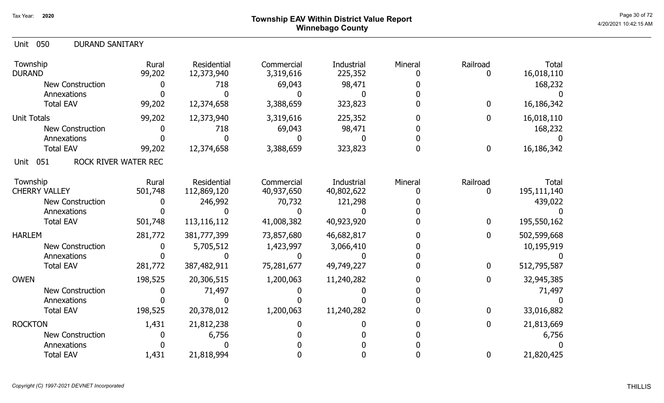## Page 30 of 72 Page 30 of 72  $^{\text{Page 30 of 72}}$ Winnebago County

| 050<br><b>DURAND SANITARY</b><br>Unit |                 |                                  |                         |                       |              |                  |                            |
|---------------------------------------|-----------------|----------------------------------|-------------------------|-----------------------|--------------|------------------|----------------------------|
| Township<br><b>DURAND</b>             | Rural<br>99,202 | <b>Residential</b><br>12,373,940 | Commercial<br>3,319,616 | Industrial<br>225,352 | Mineral      | Railroad         | <b>Total</b><br>16,018,110 |
| New Construction                      |                 | 718                              | 69,043                  | 98,471                |              |                  | 168,232                    |
| Annexations                           |                 |                                  |                         |                       |              |                  |                            |
| <b>Total EAV</b>                      | 99,202          | 12,374,658                       | 3,388,659               | 323,823               |              | $\bf{0}$         | 16,186,342                 |
| <b>Unit Totals</b>                    | 99,202          | 12,373,940                       | 3,319,616               | 225,352               |              | $\mathbf 0$      | 16,018,110                 |
| <b>New Construction</b>               |                 | 718                              | 69,043                  | 98,471                |              |                  | 168,232                    |
| Annexations                           |                 |                                  |                         |                       |              |                  |                            |
| <b>Total EAV</b>                      | 99,202          | 12,374,658                       | 3,388,659               | 323,823               | $\mathbf{U}$ | $\mathbf 0$      | 16,186,342                 |
| ROCK RIVER WATER REC<br>051<br>Unit   |                 |                                  |                         |                       |              |                  |                            |
| Township                              | Rural           | Residential                      | Commercial              | Industrial            | Mineral      | Railroad         | <b>Total</b>               |
| <b>CHERRY VALLEY</b>                  | 501,748         | 112,869,120                      | 40,937,650              | 40,802,622            | $\mathbf{U}$ | 0                | 195,111,140                |
| New Construction                      |                 | 246,992                          | 70,732                  | 121,298               |              |                  | 439,022                    |
| Annexations                           |                 |                                  |                         |                       |              |                  |                            |
| <b>Total EAV</b>                      | 501,748         | 113,116,112                      | 41,008,382              | 40,923,920            |              | $\bf{0}$         | 195,550,162                |
| <b>HARLEM</b>                         | 281,772         | 381,777,399                      | 73,857,680              | 46,682,817            |              | $\boldsymbol{0}$ | 502,599,668                |
| <b>New Construction</b>               |                 | 5,705,512                        | 1,423,997               | 3,066,410             |              |                  | 10,195,919                 |
| Annexations                           |                 |                                  |                         |                       |              |                  |                            |
| <b>Total EAV</b>                      | 281,772         | 387,482,911                      | 75,281,677              | 49,749,227            |              | $\boldsymbol{0}$ | 512,795,587                |
| <b>OWEN</b>                           | 198,525         | 20,306,515                       | 1,200,063               | 11,240,282            |              | $\mathbf 0$      | 32,945,385                 |
| New Construction                      |                 | 71,497                           |                         |                       |              |                  | 71,497                     |
| Annexations                           |                 |                                  |                         |                       |              |                  |                            |
| <b>Total EAV</b>                      | 198,525         | 20,378,012                       | 1,200,063               | 11,240,282            |              | $\bf{0}$         | 33,016,882                 |
| <b>ROCKTON</b>                        | 1,431           | 21,812,238                       |                         |                       |              | $\mathbf 0$      | 21,813,669                 |
| <b>New Construction</b>               |                 | 6,756                            |                         |                       |              |                  | 6,756                      |
| Annexations                           |                 |                                  |                         |                       |              |                  |                            |
| <b>Total EAV</b>                      | 1,431           | 21,818,994                       |                         |                       |              | $\boldsymbol{0}$ | 21,820,425                 |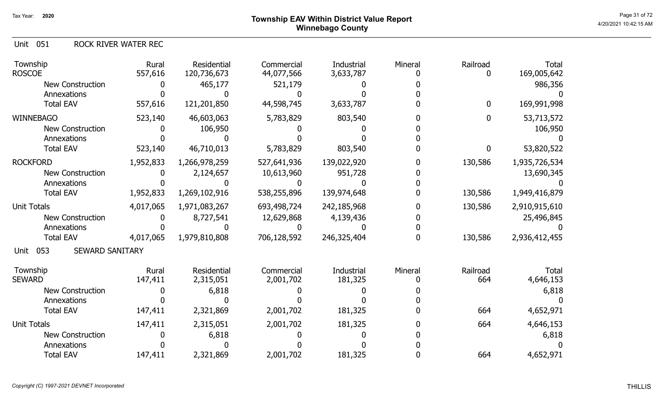Unit 051 ROCK RIVER WATER REC

| Township<br><b>ROSCOE</b>             | Rural<br>557,616 | <b>Residential</b><br>120,736,673 | Commercial<br>44,077,566 | <b>Industrial</b><br>3,633,787 | Mineral | Railroad         | <b>Total</b><br>169,005,642 |
|---------------------------------------|------------------|-----------------------------------|--------------------------|--------------------------------|---------|------------------|-----------------------------|
| <b>New Construction</b>               |                  | 465,177                           | 521,179                  |                                |         |                  | 986,356                     |
| Annexations                           |                  |                                   |                          |                                |         |                  |                             |
| <b>Total EAV</b>                      | 557,616          | 121,201,850                       | 44,598,745               | 3,633,787                      |         | $\boldsymbol{0}$ | 169,991,998                 |
| <b>WINNEBAGO</b>                      | 523,140          | 46,603,063                        | 5,783,829                | 803,540                        |         | 0                | 53,713,572                  |
| <b>New Construction</b>               |                  | 106,950                           |                          |                                |         |                  | 106,950                     |
| Annexations                           |                  |                                   |                          |                                |         |                  |                             |
| <b>Total EAV</b>                      | 523,140          | 46,710,013                        | 5,783,829                | 803,540                        |         | $\boldsymbol{0}$ | 53,820,522                  |
| <b>ROCKFORD</b>                       | 1,952,833        | 1,266,978,259                     | 527,641,936              | 139,022,920                    |         | 130,586          | 1,935,726,534               |
| <b>New Construction</b>               |                  | 2,124,657                         | 10,613,960               | 951,728                        |         |                  | 13,690,345                  |
| Annexations                           |                  |                                   |                          |                                |         |                  |                             |
| <b>Total EAV</b>                      | 1,952,833        | 1,269,102,916                     | 538,255,896              | 139,974,648                    |         | 130,586          | 1,949,416,879               |
| <b>Unit Totals</b>                    | 4,017,065        | 1,971,083,267                     | 693,498,724              | 242,185,968                    |         | 130,586          | 2,910,915,610               |
| <b>New Construction</b>               |                  | 8,727,541                         | 12,629,868               | 4,139,436                      |         |                  | 25,496,845                  |
| Annexations                           |                  |                                   |                          |                                |         |                  |                             |
| <b>Total EAV</b>                      | 4,017,065        | 1,979,810,808                     | 706,128,592              | 246,325,404                    |         | 130,586          | 2,936,412,455               |
| 053<br><b>SEWARD SANITARY</b><br>Unit |                  |                                   |                          |                                |         |                  |                             |
| Township                              | Rural            | <b>Residential</b>                | Commercial               | Industrial                     | Mineral | Railroad         | Total                       |
| <b>SEWARD</b>                         | 147,411          | 2,315,051                         | 2,001,702                | 181,325                        |         | 664              | 4,646,153                   |
| <b>New Construction</b>               |                  | 6,818                             |                          |                                |         |                  | 6,818                       |
| Annexations                           |                  |                                   |                          |                                |         |                  |                             |
| <b>Total EAV</b>                      | 147,411          | 2,321,869                         | 2,001,702                | 181,325                        |         | 664              | 4,652,971                   |
| <b>Unit Totals</b>                    | 147,411          | 2,315,051                         | 2,001,702                | 181,325                        |         | 664              | 4,646,153                   |
| New Construction                      |                  | 6,818                             |                          |                                |         |                  | 6,818                       |
| Annexations                           |                  |                                   |                          |                                |         |                  |                             |
| <b>Total EAV</b>                      | 147,411          | 2,321,869                         | 2,001,702                | 181,325                        |         | 664              | 4,652,971                   |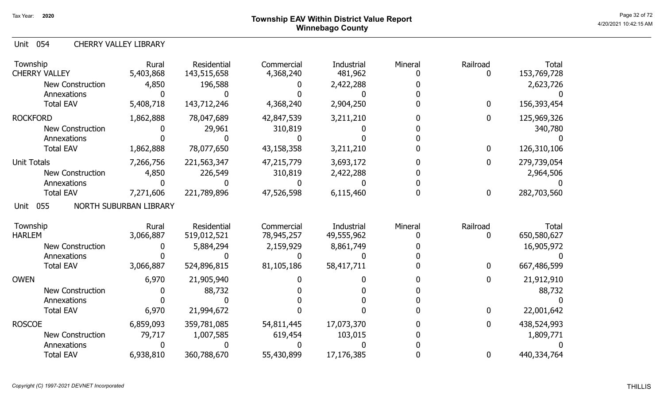Unit 054 CHERRY VALLEY LIBRARY

| Township<br><b>CHERRY VALLEY</b>       | Rural<br>5,403,868     | Residential<br>143,515,658 | Commercial<br>4,368,240 | Industrial<br>481,962 | Mineral | Railroad<br>0 | <b>Total</b><br>153,769,728 |
|----------------------------------------|------------------------|----------------------------|-------------------------|-----------------------|---------|---------------|-----------------------------|
| <b>New Construction</b><br>Annexations | 4,850                  | 196,588                    |                         | 2,422,288             |         |               | 2,623,726                   |
| <b>Total EAV</b>                       | 5,408,718              | 143,712,246                | 4,368,240               | 2,904,250             |         | 0             | 156,393,454                 |
| <b>ROCKFORD</b>                        | 1,862,888              | 78,047,689                 | 42,847,539              | 3,211,210             |         | 0             | 125,969,326                 |
| <b>New Construction</b>                |                        | 29,961                     | 310,819                 |                       |         |               | 340,780                     |
| Annexations                            |                        |                            |                         |                       |         |               |                             |
| <b>Total EAV</b>                       | 1,862,888              | 78,077,650                 | 43,158,358              | 3,211,210             |         | 0             | 126,310,106                 |
| <b>Unit Totals</b>                     | 7,266,756              | 221,563,347                | 47,215,779              | 3,693,172             |         | 0             | 279,739,054                 |
| <b>New Construction</b>                | 4,850                  | 226,549                    | 310,819                 | 2,422,288             |         |               | 2,964,506                   |
| Annexations                            |                        |                            |                         |                       |         |               |                             |
| <b>Total EAV</b>                       | 7,271,606              | 221,789,896                | 47,526,598              | 6,115,460             |         | 0             | 282,703,560                 |
| 055<br>Unit                            | NORTH SUBURBAN LIBRARY |                            |                         |                       |         |               |                             |
| Township                               | Rural                  | <b>Residential</b>         | Commercial              | Industrial            | Mineral | Railroad      | <b>Total</b>                |
| <b>HARLEM</b>                          | 3,066,887              | 519,012,521                | 78,945,257              | 49,555,962            |         | 0             | 650,580,627                 |
| <b>New Construction</b>                |                        | 5,884,294                  | 2,159,929               | 8,861,749             |         |               | 16,905,972                  |
| Annexations                            |                        |                            |                         |                       |         |               |                             |
| <b>Total EAV</b>                       | 3,066,887              | 524,896,815                | 81,105,186              | 58,417,711            |         | 0             | 667,486,599                 |
| <b>OWEN</b>                            | 6,970                  | 21,905,940                 |                         |                       |         | 0             | 21,912,910                  |
| <b>New Construction</b>                |                        | 88,732                     |                         |                       |         |               | 88,732                      |
| Annexations                            |                        |                            |                         |                       |         |               |                             |
| <b>Total EAV</b>                       | 6,970                  | 21,994,672                 |                         |                       |         | 0             | 22,001,642                  |
| <b>ROSCOE</b>                          | 6,859,093              | 359,781,085                | 54,811,445              | 17,073,370            |         | 0             | 438,524,993                 |
| <b>New Construction</b>                | 79,717                 | 1,007,585                  | 619,454                 | 103,015               |         |               | 1,809,771                   |
| Annexations                            |                        |                            |                         |                       |         |               |                             |
| <b>Total EAV</b>                       | 6,938,810              | 360,788,670                | 55,430,899              | 17,176,385            |         | 0             | 440,334,764                 |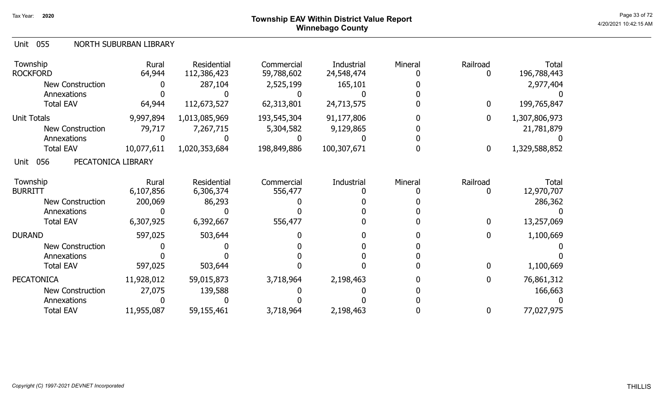# Page 33 of 72 Page 33 of 72  $^{\text{Page 33 of 72}}$ Winnebago County

### Unit 055 NORTH SUBURBAN LIBRARY

| Township<br><b>ROCKFORD</b>       | Rural<br>64,944 | Residential<br>112,386,423 | Commercial<br>59,788,602 | Industrial<br>24,548,474 | Mineral | Railroad     | Total<br>196,788,443 |
|-----------------------------------|-----------------|----------------------------|--------------------------|--------------------------|---------|--------------|----------------------|
| <b>New Construction</b>           |                 | 287,104                    | 2,525,199                | 165,101                  |         |              | 2,977,404            |
| Annexations                       |                 |                            |                          |                          |         |              |                      |
| <b>Total EAV</b>                  | 64,944          | 112,673,527                | 62,313,801               | 24,713,575               |         | $\mathbf{0}$ | 199,765,847          |
| <b>Unit Totals</b>                | 9,997,894       | 1,013,085,969              | 193,545,304              | 91,177,806               |         | 0            | 1,307,806,973        |
| <b>New Construction</b>           | 79,717          | 7,267,715                  | 5,304,582                | 9,129,865                |         |              | 21,781,879           |
| Annexations                       |                 |                            |                          |                          |         |              |                      |
| <b>Total EAV</b>                  | 10,077,611      | 1,020,353,684              | 198,849,886              | 100,307,671              |         | 0            | 1,329,588,852        |
| 056<br>PECATONICA LIBRARY<br>Unit |                 |                            |                          |                          |         |              |                      |
| Township                          | Rural           | Residential                | Commercial               | Industrial               | Mineral | Railroad     | Total                |
| <b>BURRITT</b>                    | 6,107,856       | 6,306,374                  | 556,477                  |                          |         |              | 12,970,707           |
| <b>New Construction</b>           | 200,069         | 86,293                     |                          |                          |         |              | 286,362              |
| Annexations                       |                 |                            |                          |                          |         |              |                      |
| <b>Total EAV</b>                  | 6,307,925       | 6,392,667                  | 556,477                  |                          |         | 0            | 13,257,069           |
| <b>DURAND</b>                     | 597,025         | 503,644                    |                          |                          |         |              | 1,100,669            |
| <b>New Construction</b>           |                 |                            |                          |                          |         |              |                      |
| Annexations                       |                 |                            |                          |                          |         |              |                      |
| <b>Total EAV</b>                  | 597,025         | 503,644                    |                          |                          |         |              | 1,100,669            |
| <b>PECATONICA</b>                 | 11,928,012      | 59,015,873                 | 3,718,964                | 2,198,463                |         | 0            | 76,861,312           |
| <b>New Construction</b>           | 27,075          | 139,588                    |                          |                          |         |              | 166,663              |
| Annexations                       |                 |                            |                          |                          |         |              |                      |
| <b>Total EAV</b>                  | 11,955,087      | 59,155,461                 | 3,718,964                | 2,198,463                |         | 0            | 77,027,975           |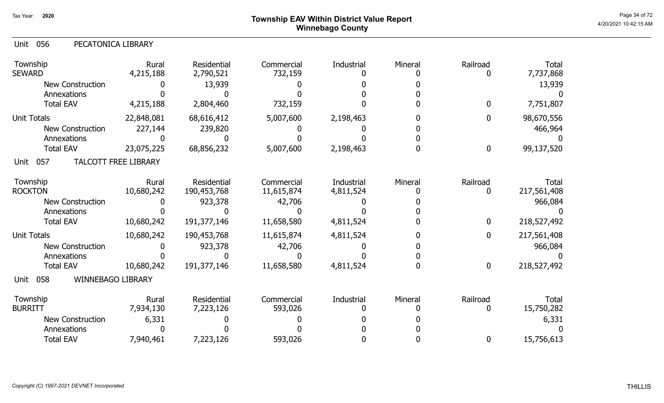# Page 34 of 72  $^{\sf Page~34~of~72}$   $^{\sf Page~34~of~72}$ Winnebago County

| Unit 056 |  | PECATONICA LIBRARY |
|----------|--|--------------------|
|----------|--|--------------------|

| Township<br><b>SEWARD</b>        | Rural<br>4,215,188          | <b>Residential</b><br>2,790,521 | Commercial<br>732,159    | Industrial              | Mineral | Railroad      | <b>Total</b><br>7,737,868  |
|----------------------------------|-----------------------------|---------------------------------|--------------------------|-------------------------|---------|---------------|----------------------------|
| <b>New Construction</b>          |                             | 13,939                          |                          |                         |         |               | 13,939                     |
| Annexations<br><b>Total EAV</b>  | 4,215,188                   | 2,804,460                       | 732,159                  |                         |         | 0             | 7,751,807                  |
| <b>Unit Totals</b>               | 22,848,081                  | 68,616,412                      | 5,007,600                | 2,198,463               |         | 0             | 98,670,556                 |
| <b>New Construction</b>          | 227,144                     | 239,820                         |                          |                         |         |               | 466,964                    |
| Annexations                      |                             |                                 |                          |                         |         |               |                            |
| <b>Total EAV</b>                 | 23,075,225                  | 68,856,232                      | 5,007,600                | 2,198,463               |         | $\bf{0}$      | 99,137,520                 |
| 057<br>Unit                      | <b>TALCOTT FREE LIBRARY</b> |                                 |                          |                         |         |               |                            |
| Township<br><b>ROCKTON</b>       | Rural<br>10,680,242         | Residential<br>190,453,768      | Commercial<br>11,615,874 | Industrial<br>4,811,524 | Mineral | Railroad<br>0 | Total<br>217,561,408       |
| <b>New Construction</b>          |                             | 923,378                         | 42,706                   |                         |         |               | 966,084                    |
| Annexations                      |                             |                                 |                          |                         |         |               |                            |
| <b>Total EAV</b>                 | 10,680,242                  | 191,377,146                     | 11,658,580               | 4,811,524               |         | $\mathbf 0$   | 218,527,492                |
| <b>Unit Totals</b>               | 10,680,242                  | 190,453,768                     | 11,615,874               | 4,811,524               |         | 0             | 217,561,408                |
| <b>New Construction</b>          |                             | 923,378                         | 42,706                   |                         |         |               | 966,084                    |
| Annexations                      |                             |                                 |                          |                         |         |               |                            |
| <b>Total EAV</b>                 | 10,680,242                  | 191,377,146                     | 11,658,580               | 4,811,524               |         | $\mathbf 0$   | 218,527,492                |
| WINNEBAGO LIBRARY<br>058<br>Unit |                             |                                 |                          |                         |         |               |                            |
| Township<br><b>BURRITT</b>       | Rural<br>7,934,130          | <b>Residential</b><br>7,223,126 | Commercial<br>593,026    | Industrial              | Mineral | Railroad<br>0 | <b>Total</b><br>15,750,282 |
| <b>New Construction</b>          | 6,331                       |                                 |                          |                         |         |               | 6,331                      |
| Annexations                      |                             |                                 |                          |                         |         |               |                            |
| <b>Total EAV</b>                 | 7,940,461                   | 7,223,126                       | 593,026                  |                         |         | 0             | 15,756,613                 |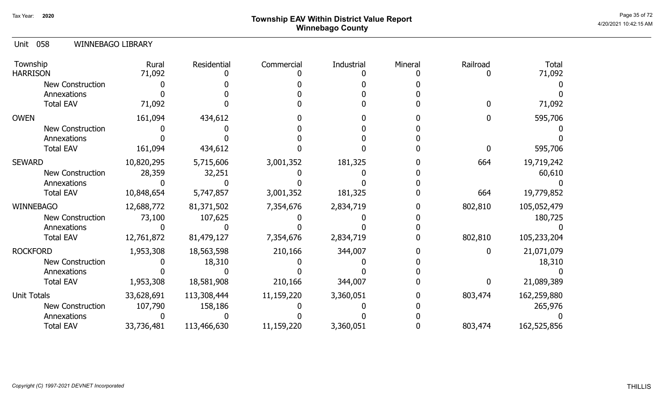# Page 35 of 72 Page 35 of 72  $^{\text{Page 35 of 72}}$ Winnebago County

### 058 Unit WINNEBAGO LIBRARY

| Township<br><b>HARRISON</b> | Rural<br>71,092 | Residential | Commercial | Industrial | Mineral | Railroad | <b>Total</b><br>71,092 |
|-----------------------------|-----------------|-------------|------------|------------|---------|----------|------------------------|
| <b>New Construction</b>     |                 |             |            |            |         |          |                        |
| Annexations                 |                 |             |            |            |         |          |                        |
| <b>Total EAV</b>            | 71,092          |             |            |            |         |          | 71,092                 |
| <b>OWEN</b>                 | 161,094         | 434,612     |            |            |         |          | 595,706                |
| <b>New Construction</b>     |                 |             |            |            |         |          |                        |
| Annexations                 |                 |             |            |            |         |          |                        |
| <b>Total EAV</b>            | 161,094         | 434,612     |            |            |         |          | 595,706                |
| <b>SEWARD</b>               | 10,820,295      | 5,715,606   | 3,001,352  | 181,325    |         | 664      | 19,719,242             |
| New Construction            | 28,359          | 32,251      |            |            |         |          | 60,610                 |
| Annexations                 |                 |             |            |            |         |          |                        |
| <b>Total EAV</b>            | 10,848,654      | 5,747,857   | 3,001,352  | 181,325    |         | 664      | 19,779,852             |
| WINNEBAGO                   | 12,688,772      | 81,371,502  | 7,354,676  | 2,834,719  |         | 802,810  | 105,052,479            |
| New Construction            | 73,100          | 107,625     |            |            |         |          | 180,725                |
| Annexations                 |                 |             |            |            |         |          |                        |
| <b>Total EAV</b>            | 12,761,872      | 81,479,127  | 7,354,676  | 2,834,719  |         | 802,810  | 105,233,204            |
| <b>ROCKFORD</b>             | 1,953,308       | 18,563,598  | 210,166    | 344,007    |         |          | 21,071,079             |
| New Construction            |                 | 18,310      |            |            |         |          | 18,310                 |
| Annexations                 |                 |             |            |            |         |          |                        |
| <b>Total EAV</b>            | 1,953,308       | 18,581,908  | 210,166    | 344,007    |         | 0        | 21,089,389             |
| <b>Unit Totals</b>          | 33,628,691      | 113,308,444 | 11,159,220 | 3,360,051  |         | 803,474  | 162,259,880            |
| New Construction            | 107,790         | 158,186     |            |            |         |          | 265,976                |
| Annexations                 |                 |             |            |            |         |          |                        |
| <b>Total EAV</b>            | 33,736,481      | 113,466,630 | 11,159,220 | 3,360,051  |         | 803,474  | 162,525,856            |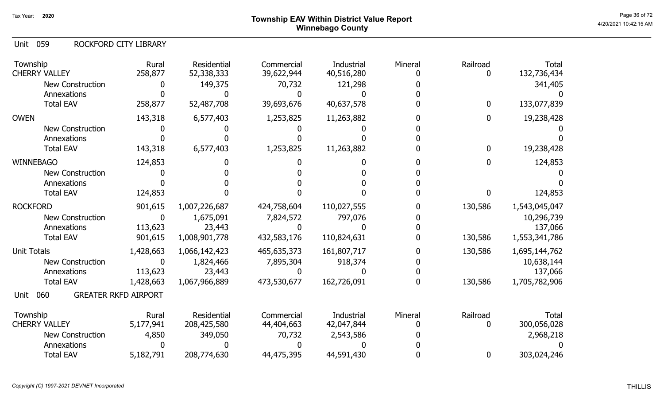# Page 36 of 72 Page 36 of 72  $^{\text{Page 36 of 72}}$ Winnebago County

059 Unit ROCKFORD CITY LIBRARY

| Township<br><b>CHERRY VALLEY</b> | Rural<br>258,877            | Residential<br>52,338,333 | Commercial<br>39,622,944 | Industrial<br>40,516,280 | Mineral | Railroad<br>0 | <b>Total</b><br>132,736,434 |
|----------------------------------|-----------------------------|---------------------------|--------------------------|--------------------------|---------|---------------|-----------------------------|
| <b>New Construction</b>          | 0                           | 149,375                   | 70,732                   | 121,298                  |         |               | 341,405                     |
| Annexations                      |                             |                           |                          |                          |         |               |                             |
| <b>Total EAV</b>                 | 258,877                     | 52,487,708                | 39,693,676               | 40,637,578               |         | 0             | 133,077,839                 |
| <b>OWEN</b>                      | 143,318                     | 6,577,403                 | 1,253,825                | 11,263,882               |         | 0             | 19,238,428                  |
| <b>New Construction</b>          |                             |                           |                          |                          |         |               |                             |
| Annexations                      |                             |                           |                          |                          |         |               |                             |
| <b>Total EAV</b>                 | 143,318                     | 6,577,403                 | 1,253,825                | 11,263,882               |         | 0             | 19,238,428                  |
| <b>WINNEBAGO</b>                 | 124,853                     |                           |                          |                          |         | 0             | 124,853                     |
| <b>New Construction</b>          |                             |                           |                          |                          |         |               |                             |
| Annexations                      |                             |                           |                          |                          |         |               |                             |
| <b>Total EAV</b>                 | 124,853                     |                           |                          |                          |         | 0             | 124,853                     |
| <b>ROCKFORD</b>                  | 901,615                     | 1,007,226,687             | 424,758,604              | 110,027,555              |         | 130,586       | 1,543,045,047               |
| <b>New Construction</b>          | $\mathbf{0}$                | 1,675,091                 | 7,824,572                | 797,076                  |         |               | 10,296,739                  |
| Annexations                      | 113,623                     | 23,443                    |                          |                          |         |               | 137,066                     |
| <b>Total EAV</b>                 | 901,615                     | 1,008,901,778             | 432,583,176              | 110,824,631              |         | 130,586       | 1,553,341,786               |
| <b>Unit Totals</b>               | 1,428,663                   | 1,066,142,423             | 465,635,373              | 161,807,717              |         | 130,586       | 1,695,144,762               |
| New Construction                 | $\mathbf{0}$                | 1,824,466                 | 7,895,304                | 918,374                  |         |               | 10,638,144                  |
| Annexations                      | 113,623                     | 23,443                    |                          |                          |         |               | 137,066                     |
| <b>Total EAV</b>                 | 1,428,663                   | 1,067,966,889             | 473,530,677              | 162,726,091              |         | 130,586       | 1,705,782,906               |
| 060<br>Unit                      | <b>GREATER RKFD AIRPORT</b> |                           |                          |                          |         |               |                             |
| Township                         | Rural                       | Residential               | Commercial               | Industrial               | Mineral | Railroad      | <b>Total</b>                |
| <b>CHERRY VALLEY</b>             | 5,177,941                   | 208,425,580               | 44,404,663               | 42,047,844               |         | 0             | 300,056,028                 |
| New Construction                 | 4,850                       | 349,050                   | 70,732                   | 2,543,586                |         |               | 2,968,218                   |
| Annexations                      |                             |                           |                          |                          |         |               |                             |
| <b>Total EAV</b>                 | 5,182,791                   | 208,774,630               | 44,475,395               | 44,591,430               |         | 0             | 303,024,246                 |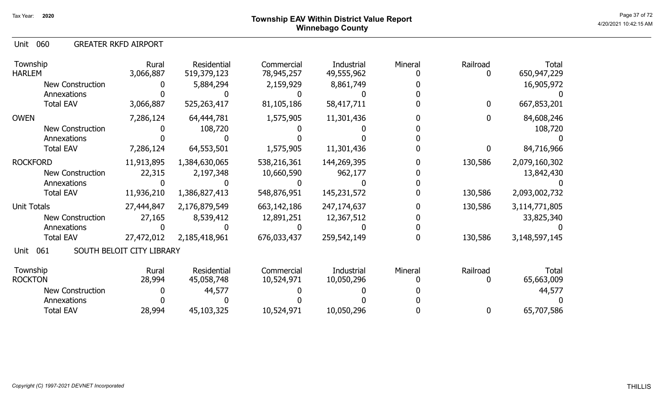060 Unit GREATER RKFD AIRPORT

| Township<br><b>HARLEM</b> | Rural<br>3,066,887        | Residential<br>519,379,123 | Commercial<br>78,945,257 | Industrial<br>49,555,962 | Mineral | Railroad     | Total<br>650,947,229 |
|---------------------------|---------------------------|----------------------------|--------------------------|--------------------------|---------|--------------|----------------------|
| <b>New Construction</b>   |                           | 5,884,294                  | 2,159,929                | 8,861,749                |         |              | 16,905,972           |
| Annexations               |                           |                            |                          |                          |         |              |                      |
| <b>Total EAV</b>          | 3,066,887                 | 525,263,417                | 81,105,186               | 58,417,711               |         | $\mathbf{0}$ | 667,853,201          |
| <b>OWEN</b>               | 7,286,124                 | 64,444,781                 | 1,575,905                | 11,301,436               |         | 0            | 84,608,246           |
| <b>New Construction</b>   |                           | 108,720                    |                          |                          |         |              | 108,720              |
| Annexations               |                           |                            |                          |                          |         |              |                      |
| <b>Total EAV</b>          | 7,286,124                 | 64,553,501                 | 1,575,905                | 11,301,436               |         | 0            | 84,716,966           |
| <b>ROCKFORD</b>           | 11,913,895                | 1,384,630,065              | 538,216,361              | 144,269,395              |         | 130,586      | 2,079,160,302        |
| New Construction          | 22,315                    | 2,197,348                  | 10,660,590               | 962,177                  |         |              | 13,842,430           |
| Annexations               |                           |                            |                          |                          |         |              |                      |
| <b>Total EAV</b>          | 11,936,210                | 1,386,827,413              | 548,876,951              | 145,231,572              |         | 130,586      | 2,093,002,732        |
| Unit Totals               | 27,444,847                | 2,176,879,549              | 663,142,186              | 247,174,637              |         | 130,586      | 3,114,771,805        |
| New Construction          | 27,165                    | 8,539,412                  | 12,891,251               | 12,367,512               |         |              | 33,825,340           |
| Annexations               |                           |                            |                          |                          |         |              |                      |
| <b>Total EAV</b>          | 27,472,012                | 2,185,418,961              | 676,033,437              | 259,542,149              |         | 130,586      | 3,148,597,145        |
| 061<br>Unit               | SOUTH BELOIT CITY LIBRARY |                            |                          |                          |         |              |                      |
| Township                  | Rural                     | Residential                | Commercial               | Industrial               | Mineral | Railroad     | Total                |
| <b>ROCKTON</b>            | 28,994                    | 45,058,748                 | 10,524,971               | 10,050,296               |         |              | 65,663,009           |
| <b>New Construction</b>   |                           | 44,577                     |                          |                          |         |              | 44,577               |
| Annexations               |                           |                            |                          |                          |         |              |                      |
| <b>Total EAV</b>          | 28,994                    | 45,103,325                 | 10,524,971               | 10,050,296               |         | $\mathbf 0$  | 65,707,586           |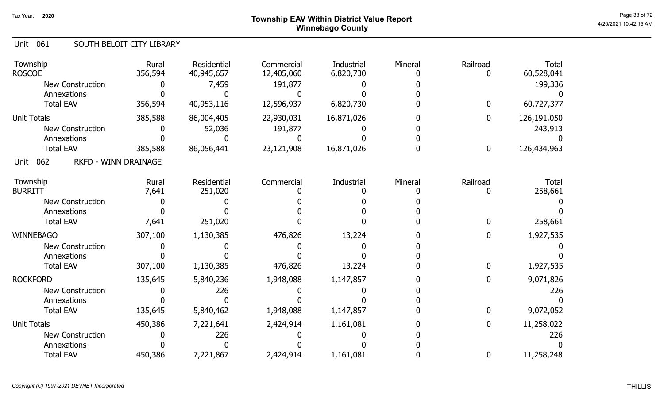### Page 38 of 72 Page 38 of 72  $^{\text{Page 38 of 72}}$ Winnebago County

#### Unit 061 SOUTH BELOIT CITY LIBRARY

| Township<br><b>ROSCOE</b>                  | Rural<br>356,594 | <b>Residential</b><br>40,945,657 | Commercial<br>12,405,060 | Industrial<br>6,820,730 | Mineral | Railroad<br>0    | Total<br>60,528,041 |
|--------------------------------------------|------------------|----------------------------------|--------------------------|-------------------------|---------|------------------|---------------------|
| <b>New Construction</b>                    |                  | 7,459                            | 191,877                  |                         |         |                  | 199,336             |
| Annexations                                |                  |                                  |                          |                         |         |                  |                     |
| <b>Total EAV</b>                           | 356,594          | 40,953,116                       | 12,596,937               | 6,820,730               |         | $\boldsymbol{0}$ | 60,727,377          |
| <b>Unit Totals</b>                         | 385,588          | 86,004,405                       | 22,930,031               | 16,871,026              |         | $\boldsymbol{0}$ | 126,191,050         |
| <b>New Construction</b>                    |                  | 52,036                           | 191,877                  |                         |         |                  | 243,913             |
| Annexations                                |                  |                                  |                          |                         |         |                  |                     |
| <b>Total EAV</b>                           | 385,588          | 86,056,441                       | 23,121,908               | 16,871,026              |         | $\bf{0}$         | 126,434,963         |
| 062<br><b>RKFD - WINN DRAINAGE</b><br>Unit |                  |                                  |                          |                         |         |                  |                     |
| Township                                   | Rural            | Residential                      | Commercial               | Industrial              | Mineral | Railroad         | <b>Total</b>        |
| <b>BURRITT</b>                             | 7,641            | 251,020                          |                          |                         |         | 0                | 258,661             |
| <b>New Construction</b>                    |                  |                                  |                          |                         |         |                  |                     |
| Annexations                                |                  |                                  |                          |                         |         |                  |                     |
| <b>Total EAV</b>                           | 7,641            | 251,020                          |                          |                         |         | $\mathbf 0$      | 258,661             |
| <b>WINNEBAGO</b>                           | 307,100          | 1,130,385                        | 476,826                  | 13,224                  |         | $\boldsymbol{0}$ | 1,927,535           |
| <b>New Construction</b>                    |                  |                                  |                          |                         |         |                  |                     |
| Annexations                                |                  |                                  |                          |                         |         |                  |                     |
| <b>Total EAV</b>                           | 307,100          | 1,130,385                        | 476,826                  | 13,224                  |         | $\boldsymbol{0}$ | 1,927,535           |
| <b>ROCKFORD</b>                            | 135,645          | 5,840,236                        | 1,948,088                | 1,147,857               |         | 0                | 9,071,826           |
| <b>New Construction</b>                    |                  | 226                              |                          |                         |         |                  | 226                 |
| Annexations                                |                  |                                  |                          |                         |         |                  |                     |
| <b>Total EAV</b>                           | 135,645          | 5,840,462                        | 1,948,088                | 1,147,857               |         | $\boldsymbol{0}$ | 9,072,052           |
| <b>Unit Totals</b>                         | 450,386          | 7,221,641                        | 2,424,914                | 1,161,081               |         | $\boldsymbol{0}$ | 11,258,022          |
| <b>New Construction</b>                    |                  | 226                              |                          |                         |         |                  | 226                 |
| Annexations                                |                  |                                  |                          |                         |         |                  |                     |
| <b>Total EAV</b>                           | 450,386          | 7,221,867                        | 2,424,914                | 1,161,081               |         | 0                | 11,258,248          |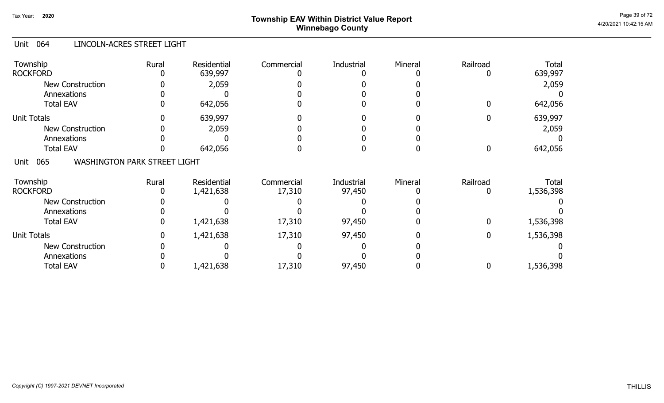# Page 39 of 72 Page 39 of 72  $^{\text{Page 39 of 72}}$ Winnebago County

#### Unit 064 LINCOLN-ACRES STREET LIGHT

| Township<br><b>ROCKFORD</b>                        | Rural | Residential<br>639,997   | Commercial           | <b>Industrial</b>    | Mineral | Railroad    | <b>Total</b><br>639,997   |
|----------------------------------------------------|-------|--------------------------|----------------------|----------------------|---------|-------------|---------------------------|
| <b>New Construction</b><br>Annexations             |       | 2,059                    |                      |                      |         |             | 2,059                     |
| <b>Total EAV</b>                                   |       | 642,056                  |                      |                      |         | 0           | 642,056                   |
| <b>Unit Totals</b>                                 |       | 639,997                  |                      |                      |         |             | 639,997                   |
| <b>New Construction</b>                            |       | 2,059                    |                      |                      |         |             | 2,059                     |
| Annexations                                        |       |                          |                      |                      |         |             |                           |
| <b>Total EAV</b>                                   |       | 642,056                  |                      |                      |         | 0           | 642,056                   |
| <b>WASHINGTON PARK STREET LIGHT</b><br>065<br>Unit |       |                          |                      |                      |         |             |                           |
| Township<br><b>ROCKFORD</b>                        | Rural | Residential<br>1,421,638 | Commercial<br>17,310 | Industrial<br>97,450 | Mineral | Railroad    | <b>Total</b><br>1,536,398 |
|                                                    |       |                          |                      |                      |         |             |                           |
| <b>New Construction</b>                            |       |                          |                      |                      |         |             |                           |
| Annexations                                        |       |                          |                      |                      |         |             |                           |
| <b>Total EAV</b>                                   |       | 1,421,638                | 17,310               | 97,450               |         | 0           | 1,536,398                 |
| <b>Unit Totals</b>                                 |       | 1,421,638                | 17,310               | 97,450               |         | $\mathbf 0$ | 1,536,398                 |
| <b>New Construction</b>                            |       |                          |                      |                      |         |             |                           |
| Annexations                                        |       |                          |                      |                      |         |             |                           |
| <b>Total EAV</b>                                   |       | 1,421,638                | 17,310               | 97,450               |         | 0           | 1,536,398                 |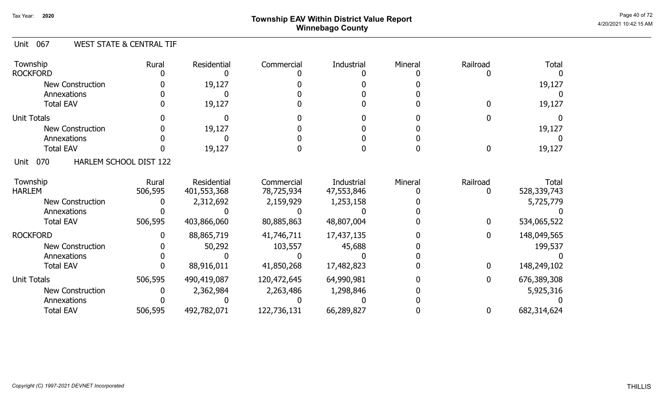# Page 40 of 72  $^{\sf Page\ 40\ of\ 72}$   $^{\sf Page\ 40\ of\ 72}$ Winnebago County

#### Unit 067 WEST STATE & CENTRAL TIF

| Township<br><b>ROCKFORD</b> | Rural                  | Residential | Commercial  | Industrial | Mineral | Railroad | Total       |
|-----------------------------|------------------------|-------------|-------------|------------|---------|----------|-------------|
| <b>New Construction</b>     |                        | 19,127      |             |            |         |          | 19,127      |
| Annexations                 |                        |             |             |            |         |          |             |
| <b>Total EAV</b>            |                        | 19,127      |             |            |         |          | 19,127      |
| <b>Unit Totals</b>          |                        |             |             |            |         |          |             |
| <b>New Construction</b>     |                        | 19,127      |             |            |         |          | 19,127      |
| Annexations                 |                        |             |             |            |         |          |             |
| <b>Total EAV</b>            |                        | 19,127      |             |            |         | N        | 19,127      |
| 070<br>Unit                 | HARLEM SCHOOL DIST 122 |             |             |            |         |          |             |
| Township                    | Rural                  | Residential | Commercial  | Industrial | Mineral | Railroad | Total       |
| <b>HARLEM</b>               | 506,595                | 401,553,368 | 78,725,934  | 47,553,846 |         |          | 528,339,743 |
| <b>New Construction</b>     |                        | 2,312,692   | 2,159,929   | 1,253,158  |         |          | 5,725,779   |
| Annexations                 |                        |             |             |            |         |          |             |
| <b>Total EAV</b>            | 506,595                | 403,866,060 | 80,885,863  | 48,807,004 |         | 0        | 534,065,522 |
| <b>ROCKFORD</b>             |                        | 88,865,719  | 41,746,711  | 17,437,135 |         | 0        | 148,049,565 |
| <b>New Construction</b>     |                        | 50,292      | 103,557     | 45,688     |         |          | 199,537     |
| Annexations                 |                        |             |             |            |         |          |             |
| <b>Total EAV</b>            |                        | 88,916,011  | 41,850,268  | 17,482,823 |         | 0        | 148,249,102 |
| <b>Unit Totals</b>          | 506,595                | 490,419,087 | 120,472,645 | 64,990,981 |         | 0        | 676,389,308 |
| New Construction            |                        | 2,362,984   | 2,263,486   | 1,298,846  |         |          | 5,925,316   |
| Annexations                 |                        |             |             |            |         |          |             |
| <b>Total EAV</b>            | 506,595                | 492,782,071 | 122,736,131 | 66,289,827 |         | 0        | 682,314,624 |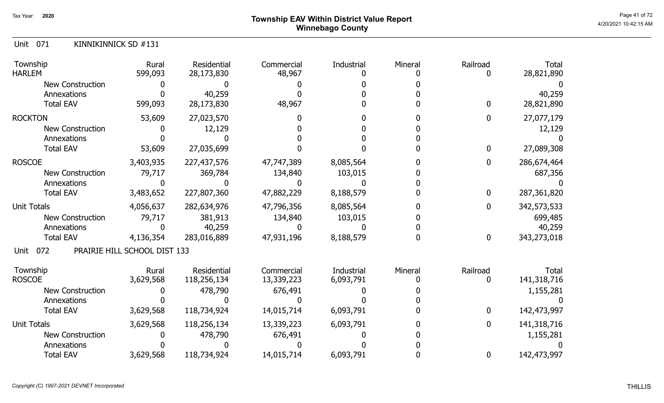# Page 41 of 72  $^{\sf Page~41~of~72}$   $^{\sf Page~41~of~72}$ Winnebago County

Unit 071 KINNIKINNICK SD #131

| Township<br><b>HARLEM</b> | Rural<br>599,093             | Residential<br>28,173,830 | Commercial<br>48,967 | Industrial | Mineral | Railroad         | <b>Total</b><br>28,821,890 |
|---------------------------|------------------------------|---------------------------|----------------------|------------|---------|------------------|----------------------------|
| New Construction          |                              |                           |                      |            |         |                  |                            |
| Annexations               |                              | 40,259                    |                      |            |         |                  | 40,259                     |
| <b>Total EAV</b>          | 599,093                      | 28,173,830                | 48,967               |            |         | $\mathbf 0$      | 28,821,890                 |
| <b>ROCKTON</b>            | 53,609                       | 27,023,570                |                      |            |         | $\mathbf 0$      | 27,077,179                 |
| <b>New Construction</b>   |                              | 12,129                    |                      |            |         |                  | 12,129                     |
| Annexations               |                              |                           |                      |            |         |                  |                            |
| <b>Total EAV</b>          | 53,609                       | 27,035,699                |                      |            |         | $\mathbf 0$      | 27,089,308                 |
| <b>ROSCOE</b>             | 3,403,935                    | 227,437,576               | 47,747,389           | 8,085,564  |         | $\bf{0}$         | 286,674,464                |
| <b>New Construction</b>   | 79,717                       | 369,784                   | 134,840              | 103,015    |         |                  | 687,356                    |
| Annexations               |                              |                           |                      |            |         |                  |                            |
| <b>Total EAV</b>          | 3,483,652                    | 227,807,360               | 47,882,229           | 8,188,579  |         | $\bf{0}$         | 287, 361, 820              |
| <b>Unit Totals</b>        | 4,056,637                    | 282,634,976               | 47,796,356           | 8,085,564  |         | $\boldsymbol{0}$ | 342,573,533                |
| <b>New Construction</b>   | 79,717                       | 381,913                   | 134,840              | 103,015    |         |                  | 699,485                    |
| Annexations               | O                            | 40,259                    |                      |            |         |                  | 40,259                     |
| <b>Total EAV</b>          | 4,136,354                    | 283,016,889               | 47,931,196           | 8,188,579  |         | $\mathbf 0$      | 343,273,018                |
| 072<br>Unit               | PRAIRIE HILL SCHOOL DIST 133 |                           |                      |            |         |                  |                            |
| Township                  | Rural                        | Residential               | Commercial           | Industrial | Mineral | Railroad         | <b>Total</b>               |
| <b>ROSCOE</b>             | 3,629,568                    | 118,256,134               | 13,339,223           | 6,093,791  |         | 0                | 141,318,716                |
| <b>New Construction</b>   |                              | 478,790                   | 676,491              |            |         |                  | 1,155,281                  |
| Annexations               |                              |                           |                      |            |         |                  |                            |
| <b>Total EAV</b>          | 3,629,568                    | 118,734,924               | 14,015,714           | 6,093,791  |         | $\mathbf 0$      | 142,473,997                |
| <b>Unit Totals</b>        | 3,629,568                    | 118,256,134               | 13,339,223           | 6,093,791  |         | $\boldsymbol{0}$ | 141,318,716                |
| <b>New Construction</b>   |                              | 478,790                   | 676,491              |            |         |                  | 1,155,281                  |
| Annexations               |                              |                           |                      |            |         |                  |                            |
| <b>Total EAV</b>          | 3,629,568                    | 118,734,924               | 14,015,714           | 6,093,791  |         | $\bf{0}$         | 142,473,997                |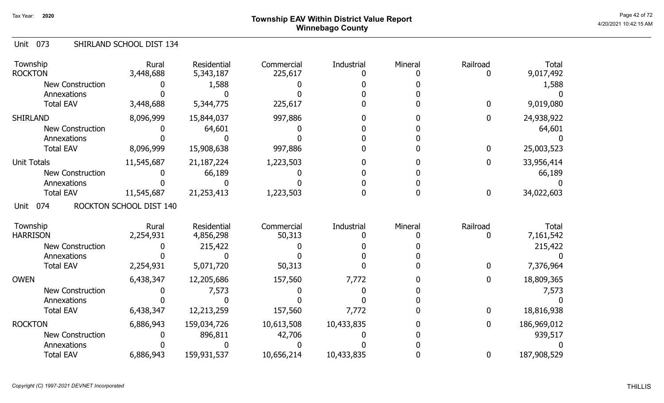# Page 42 of 72 Page 42 of 72  $^{\text{Page 42 of 72}}$ Winnebago County

#### Unit 073 SHIRLAND SCHOOL DIST 134

| Township<br><b>ROCKTON</b> | Rural<br>3,448,688      | <b>Residential</b><br>5,343,187 | Commercial<br>225,617 | Industrial | Mineral | Railroad     | <b>Total</b><br>9,017,492 |
|----------------------------|-------------------------|---------------------------------|-----------------------|------------|---------|--------------|---------------------------|
| <b>New Construction</b>    |                         | 1,588                           |                       |            |         |              | 1,588                     |
| Annexations                |                         |                                 |                       |            |         |              |                           |
| <b>Total EAV</b>           | 3,448,688               | 5,344,775                       | 225,617               |            |         | $\mathbf{0}$ | 9,019,080                 |
| <b>SHIRLAND</b>            | 8,096,999               | 15,844,037                      | 997,886               |            |         | $\mathbf{0}$ | 24,938,922                |
| <b>New Construction</b>    |                         | 64,601                          |                       |            |         |              | 64,601                    |
| Annexations                |                         |                                 |                       |            |         |              |                           |
| <b>Total EAV</b>           | 8,096,999               | 15,908,638                      | 997,886               |            |         | $\mathbf 0$  | 25,003,523                |
| <b>Unit Totals</b>         | 11,545,687              | 21, 187, 224                    | 1,223,503             |            |         | $\mathbf 0$  | 33,956,414                |
| <b>New Construction</b>    |                         | 66,189                          |                       |            |         |              | 66,189                    |
| Annexations                |                         |                                 |                       |            |         |              |                           |
| <b>Total EAV</b>           | 11,545,687              | 21,253,413                      | 1,223,503             |            |         | $\bf{0}$     | 34,022,603                |
| 074<br>Unit                | ROCKTON SCHOOL DIST 140 |                                 |                       |            |         |              |                           |
| Township                   | Rural                   | Residential                     | Commercial            | Industrial | Mineral | Railroad     | Total                     |
| <b>HARRISON</b>            | 2,254,931               | 4,856,298                       | 50,313                |            |         | 0            | 7,161,542                 |
| <b>New Construction</b>    |                         | 215,422                         |                       |            |         |              | 215,422                   |
| Annexations                |                         |                                 |                       |            |         |              |                           |
| <b>Total EAV</b>           | 2,254,931               | 5,071,720                       | 50,313                |            |         | $\mathbf 0$  | 7,376,964                 |
| <b>OWEN</b>                | 6,438,347               | 12,205,686                      | 157,560               | 7,772      |         | $\mathbf 0$  | 18,809,365                |
| New Construction           |                         | 7,573                           |                       |            |         |              | 7,573                     |
| Annexations                |                         |                                 |                       |            |         |              |                           |
| <b>Total EAV</b>           | 6,438,347               | 12,213,259                      | 157,560               | 7,772      |         | $\mathbf 0$  | 18,816,938                |
| <b>ROCKTON</b>             | 6,886,943               | 159,034,726                     | 10,613,508            | 10,433,835 |         | $\mathbf 0$  | 186,969,012               |
| <b>New Construction</b>    |                         | 896,811                         | 42,706                |            |         |              | 939,517                   |
| Annexations                |                         |                                 |                       |            |         |              |                           |
| <b>Total EAV</b>           | 6,886,943               | 159,931,537                     | 10,656,214            | 10,433,835 |         | $\mathbf 0$  | 187,908,529               |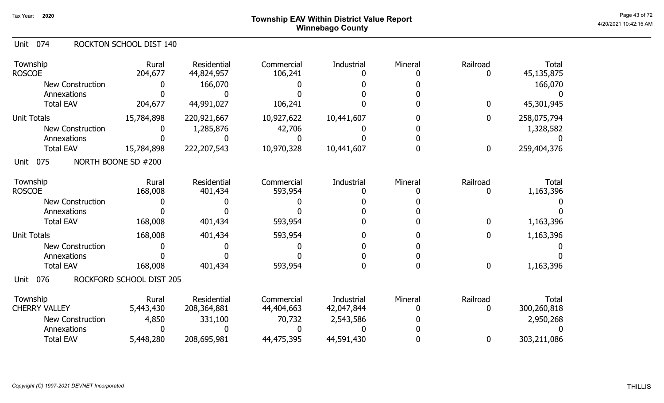# Page 43 of 72 Page 43 of 72  $^{\text{Page 43 of 72}}$ Winnebago County

#### Unit 074 ROCKTON SCHOOL DIST 140

| Township<br><b>ROSCOE</b> | Rural<br>204,677         | Residential<br>44,824,957 | Commercial<br>106,241 | Industrial | Mineral | Railroad<br>0    | <b>Total</b><br>45,135,875 |
|---------------------------|--------------------------|---------------------------|-----------------------|------------|---------|------------------|----------------------------|
| <b>New Construction</b>   |                          | 166,070                   |                       |            |         |                  | 166,070                    |
| Annexations               |                          |                           |                       |            |         |                  |                            |
| <b>Total EAV</b>          | 204,677                  | 44,991,027                | 106,241               |            |         | 0                | 45,301,945                 |
| <b>Unit Totals</b>        | 15,784,898               | 220,921,667               | 10,927,622            | 10,441,607 |         | 0                | 258,075,794                |
| New Construction          |                          | 1,285,876                 | 42,706                |            |         |                  | 1,328,582                  |
| Annexations               |                          |                           |                       |            |         |                  |                            |
| <b>Total EAV</b>          | 15,784,898               | 222,207,543               | 10,970,328            | 10,441,607 |         | 0                | 259,404,376                |
| 075<br>Unit               | NORTH BOONE SD #200      |                           |                       |            |         |                  |                            |
| Township                  | Rural                    | Residential               | Commercial            | Industrial | Mineral | Railroad         | <b>Total</b>               |
| <b>ROSCOE</b>             | 168,008                  | 401,434                   | 593,954               |            |         | 0                | 1,163,396                  |
| <b>New Construction</b>   |                          |                           |                       |            |         |                  |                            |
| Annexations               |                          |                           |                       |            |         |                  |                            |
| <b>Total EAV</b>          | 168,008                  | 401,434                   | 593,954               |            |         | 0                | 1,163,396                  |
| <b>Unit Totals</b>        | 168,008                  | 401,434                   | 593,954               |            |         | 0                | 1,163,396                  |
| <b>New Construction</b>   |                          |                           |                       |            |         |                  |                            |
| Annexations               |                          |                           |                       |            |         |                  |                            |
| <b>Total EAV</b>          | 168,008                  | 401,434                   | 593,954               |            |         | $\boldsymbol{0}$ | 1,163,396                  |
| 076<br>Unit               | ROCKFORD SCHOOL DIST 205 |                           |                       |            |         |                  |                            |
| Township                  | Rural                    | Residential               | Commercial            | Industrial | Mineral | Railroad         | <b>Total</b>               |
| <b>CHERRY VALLEY</b>      | 5,443,430                | 208, 364, 881             | 44,404,663            | 42,047,844 |         | 0                | 300,260,818                |
| <b>New Construction</b>   | 4,850                    | 331,100                   | 70,732                | 2,543,586  |         |                  | 2,950,268                  |
| Annexations               |                          |                           |                       |            |         |                  |                            |
| <b>Total EAV</b>          | 5,448,280                | 208,695,981               | 44,475,395            | 44,591,430 |         | 0                | 303,211,086                |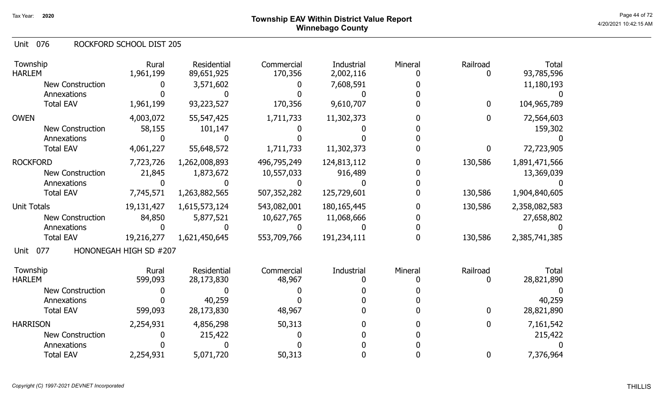#### 076 Unit ROCKFORD SCHOOL DIST 205

| Township<br><b>HARLEM</b> | Rural<br>1,961,199     | Residential<br>89,651,925 | Commercial<br>170,356 | Industrial<br>2,002,116 | Mineral | Railroad     | <b>Total</b><br>93,785,596 |
|---------------------------|------------------------|---------------------------|-----------------------|-------------------------|---------|--------------|----------------------------|
| New Construction          |                        | 3,571,602                 |                       | 7,608,591               |         |              | 11,180,193                 |
| Annexations               |                        |                           |                       |                         |         |              |                            |
| <b>Total EAV</b>          | 1,961,199              | 93,223,527                | 170,356               | 9,610,707               |         | $\mathbf{0}$ | 104,965,789                |
| <b>OWEN</b>               | 4,003,072              | 55,547,425                | 1,711,733             | 11,302,373              |         | 0            | 72,564,603                 |
| <b>New Construction</b>   | 58,155                 | 101,147                   |                       |                         |         |              | 159,302                    |
| Annexations               |                        |                           |                       |                         |         |              |                            |
| <b>Total EAV</b>          | 4,061,227              | 55,648,572                | 1,711,733             | 11,302,373              |         | 0            | 72,723,905                 |
| <b>ROCKFORD</b>           | 7,723,726              | 1,262,008,893             | 496,795,249           | 124,813,112             |         | 130,586      | 1,891,471,566              |
| <b>New Construction</b>   | 21,845                 | 1,873,672                 | 10,557,033            | 916,489                 |         |              | 13,369,039                 |
| Annexations               |                        |                           |                       |                         |         |              |                            |
| <b>Total EAV</b>          | 7,745,571              | 1,263,882,565             | 507,352,282           | 125,729,601             |         | 130,586      | 1,904,840,605              |
| <b>Unit Totals</b>        | 19,131,427             | 1,615,573,124             | 543,082,001           | 180, 165, 445           |         | 130,586      | 2,358,082,583              |
| <b>New Construction</b>   | 84,850                 | 5,877,521                 | 10,627,765            | 11,068,666              |         |              | 27,658,802                 |
| Annexations               |                        |                           |                       |                         |         |              |                            |
| <b>Total EAV</b>          | 19,216,277             | 1,621,450,645             | 553,709,766           | 191,234,111             |         | 130,586      | 2,385,741,385              |
| 077<br>Unit               | HONONEGAH HIGH SD #207 |                           |                       |                         |         |              |                            |
| Township                  | Rural                  | Residential               | Commercial            | Industrial              | Mineral | Railroad     | Total                      |
| <b>HARLEM</b>             | 599,093                | 28,173,830                | 48,967                |                         |         |              | 28,821,890                 |
| <b>New Construction</b>   |                        |                           |                       |                         |         |              |                            |
| Annexations               |                        | 40,259                    |                       |                         |         |              | 40,259                     |
| <b>Total EAV</b>          | 599,093                | 28,173,830                | 48,967                |                         |         | 0            | 28,821,890                 |
| <b>HARRISON</b>           | 2,254,931              | 4,856,298                 | 50,313                |                         |         | 0            | 7,161,542                  |
| New Construction          |                        | 215,422                   |                       |                         |         |              | 215,422                    |
| Annexations               |                        |                           |                       |                         |         |              |                            |
| <b>Total EAV</b>          | 2,254,931              | 5,071,720                 | 50,313                |                         |         | 0            | 7,376,964                  |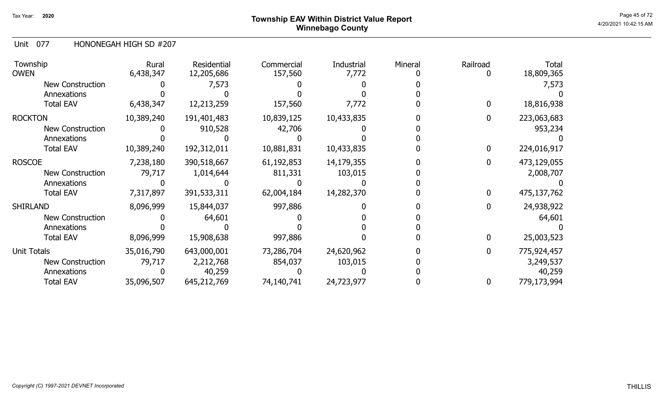# Page 45 of 72 Page 45 of 72  $^{\text{Page 45 of 72}}$ Winnebago County

Unit 077 HONONEGAH HIGH SD #207

| Township<br>owen        | Rural<br>6,438,347 | Residential<br>12,205,686 | Commercial<br>157,560 | Industrial<br>7,772 | Mineral | Railroad | <b>Total</b><br>18,809,365 |
|-------------------------|--------------------|---------------------------|-----------------------|---------------------|---------|----------|----------------------------|
| New Construction        |                    | 7,573                     |                       |                     |         |          | 7,573                      |
| Annexations             |                    |                           |                       |                     |         |          |                            |
| <b>Total EAV</b>        | 6,438,347          | 12,213,259                | 157,560               | 7,772               |         |          | 18,816,938                 |
| <b>ROCKTON</b>          | 10,389,240         | 191,401,483               | 10,839,125            | 10,433,835          |         | 0        | 223,063,683                |
| <b>New Construction</b> |                    | 910,528                   | 42,706                |                     |         |          | 953,234                    |
| Annexations             |                    |                           |                       |                     |         |          |                            |
| <b>Total EAV</b>        | 10,389,240         | 192,312,011               | 10,881,831            | 10,433,835          |         |          | 224,016,917                |
| <b>ROSCOE</b>           | 7,238,180          | 390,518,667               | 61,192,853            | 14,179,355          |         |          | 473,129,055                |
| New Construction        | 79,717             | 1,014,644                 | 811,331               | 103,015             |         |          | 2,008,707                  |
| Annexations             |                    |                           |                       |                     |         |          |                            |
| <b>Total EAV</b>        | 7,317,897          | 391,533,311               | 62,004,184            | 14,282,370          |         |          | 475,137,762                |
| SHIRLAND                | 8,096,999          | 15,844,037                | 997,886               |                     |         |          | 24,938,922                 |
| <b>New Construction</b> |                    | 64,601                    |                       |                     |         |          | 64,601                     |
| Annexations             |                    |                           |                       |                     |         |          |                            |
| <b>Total EAV</b>        | 8,096,999          | 15,908,638                | 997,886               |                     |         |          | 25,003,523                 |
| Unit Totals             | 35,016,790         | 643,000,001               | 73,286,704            | 24,620,962          |         |          | 775,924,457                |
| <b>New Construction</b> | 79,717             | 2,212,768                 | 854,037               | 103,015             |         |          | 3,249,537                  |
| Annexations             |                    | 40,259                    |                       |                     |         |          | 40,259                     |
| <b>Total EAV</b>        | 35,096,507         | 645,212,769               | 74,140,741            | 24,723,977          |         | 0        | 779,173,994                |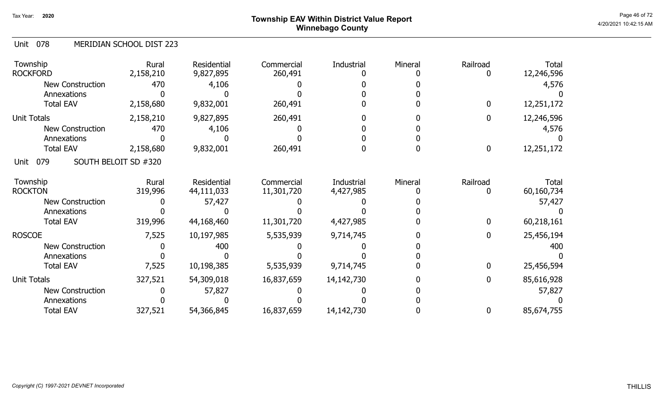## Page 46 of 72 Page 46 of 72  $^{\text{Page 46 of 72}}$ Winnebago County

#### 078 Unit MERIDIAN SCHOOL DIST 223

| Township<br><b>ROCKFORD</b> | Rural<br>2,158,210   | Residential<br>9,827,895 | Commercial<br>260,491 | <b>Industrial</b> | Mineral | Railroad<br>0 | Total<br>12,246,596 |
|-----------------------------|----------------------|--------------------------|-----------------------|-------------------|---------|---------------|---------------------|
| <b>New Construction</b>     | 470                  | 4,106                    |                       |                   |         |               | 4,576               |
| Annexations                 |                      |                          |                       |                   |         |               |                     |
| <b>Total EAV</b>            | 2,158,680            | 9,832,001                | 260,491               |                   |         | $\bf{0}$      | 12,251,172          |
| <b>Unit Totals</b>          | 2,158,210            | 9,827,895                | 260,491               |                   |         | $\bf{0}$      | 12,246,596          |
| New Construction            | 470                  | 4,106                    |                       |                   |         |               | 4,576               |
| Annexations                 |                      |                          |                       |                   |         |               |                     |
| <b>Total EAV</b>            | 2,158,680            | 9,832,001                | 260,491               |                   |         | $\mathbf 0$   | 12,251,172          |
| 079<br>Unit                 | SOUTH BELOIT SD #320 |                          |                       |                   |         |               |                     |
| Township                    | Rural                | Residential              | Commercial            | Industrial        | Mineral | Railroad      | Total               |
| <b>ROCKTON</b>              | 319,996              | 44,111,033               | 11,301,720            | 4,427,985         |         |               | 60,160,734          |
| New Construction            |                      | 57,427                   |                       |                   |         |               | 57,427              |
| Annexations                 |                      |                          |                       |                   |         |               |                     |
| <b>Total EAV</b>            | 319,996              | 44,168,460               | 11,301,720            | 4,427,985         |         | 0             | 60,218,161          |
| <b>ROSCOE</b>               | 7,525                | 10,197,985               | 5,535,939             | 9,714,745         |         | 0             | 25,456,194          |
| New Construction            |                      | 400                      |                       |                   |         |               | 400                 |
| Annexations                 |                      |                          |                       |                   |         |               |                     |
| <b>Total EAV</b>            | 7,525                | 10,198,385               | 5,535,939             | 9,714,745         |         | $\mathbf 0$   | 25,456,594          |
| <b>Unit Totals</b>          | 327,521              | 54,309,018               | 16,837,659            | 14,142,730        |         | 0             | 85,616,928          |
| New Construction            |                      | 57,827                   |                       |                   |         |               | 57,827              |
| Annexations                 |                      |                          |                       |                   |         |               |                     |
| <b>Total EAV</b>            | 327,521              | 54,366,845               | 16,837,659            | 14, 142, 730      |         | 0             | 85,674,755          |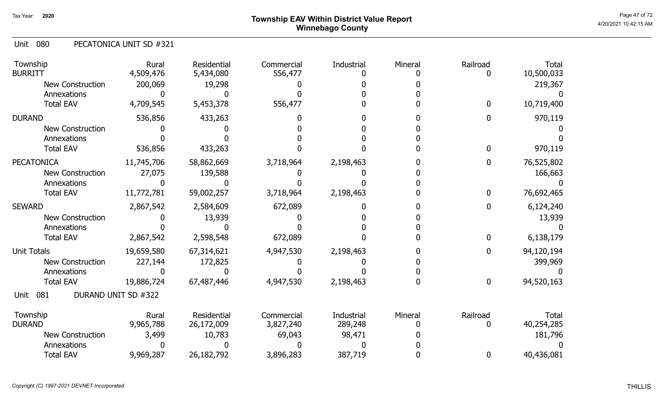# Page 47 of 72  $^{\sf Page~47~of~72}$  Township EAV Within District Value Report Winnebago County

#### 080 Unit PECATONICA UNIT SD #321

| Township<br><b>BURRITT</b> | Rural<br>4,509,476  | Residential<br>5,434,080 | Commercial<br>556,477 | <b>Industrial</b> | Mineral | Railroad    | <b>Total</b><br>10,500,033 |
|----------------------------|---------------------|--------------------------|-----------------------|-------------------|---------|-------------|----------------------------|
| <b>New Construction</b>    | 200,069             | 19,298                   |                       |                   |         |             | 219,367                    |
| Annexations                |                     |                          |                       |                   |         |             |                            |
| <b>Total EAV</b>           | 4,709,545           | 5,453,378                | 556,477               |                   |         | $\mathbf 0$ | 10,719,400                 |
| <b>DURAND</b>              | 536,856             | 433,263                  |                       |                   |         | O           | 970,119                    |
| <b>New Construction</b>    |                     |                          |                       |                   |         |             |                            |
| Annexations                |                     |                          |                       |                   |         |             |                            |
| <b>Total EAV</b>           | 536,856             | 433,263                  |                       |                   |         |             | 970,119                    |
| <b>PECATONICA</b>          | 11,745,706          | 58,862,669               | 3,718,964             | 2,198,463         |         | 0           | 76,525,802                 |
| <b>New Construction</b>    | 27,075              | 139,588                  |                       |                   |         |             | 166,663                    |
| Annexations                |                     |                          |                       |                   |         |             |                            |
| <b>Total EAV</b>           | 11,772,781          | 59,002,257               | 3,718,964             | 2,198,463         |         | 0           | 76,692,465                 |
| <b>SEWARD</b>              | 2,867,542           | 2,584,609                | 672,089               |                   |         | 0           | 6,124,240                  |
| <b>New Construction</b>    |                     | 13,939                   |                       |                   |         |             | 13,939                     |
| Annexations                |                     |                          |                       |                   |         |             |                            |
| <b>Total EAV</b>           | 2,867,542           | 2,598,548                | 672,089               |                   |         | 0           | 6,138,179                  |
| <b>Unit Totals</b>         | 19,659,580          | 67,314,621               | 4,947,530             | 2,198,463         |         | 0           | 94,120,194                 |
| <b>New Construction</b>    | 227,144             | 172,825                  |                       |                   |         |             | 399,969                    |
| Annexations                |                     |                          |                       |                   |         |             |                            |
| <b>Total EAV</b>           | 19,886,724          | 67,487,446               | 4,947,530             | 2,198,463         |         | 0           | 94,520,163                 |
| 081<br>Unit                | DURAND UNIT SD #322 |                          |                       |                   |         |             |                            |
| Township                   | Rural               | Residential              | Commercial            | Industrial        | Mineral | Railroad    | <b>Total</b>               |
| <b>DURAND</b>              | 9,965,788           | 26,172,009               | 3,827,240             | 289,248           |         |             | 40,254,285                 |
| <b>New Construction</b>    | 3,499               | 10,783                   | 69,043                | 98,471            |         |             | 181,796                    |
| Annexations                |                     |                          |                       |                   |         |             |                            |
| <b>Total EAV</b>           | 9,969,287           | 26,182,792               | 3,896,283             | 387,719           |         | 0           | 40,436,081                 |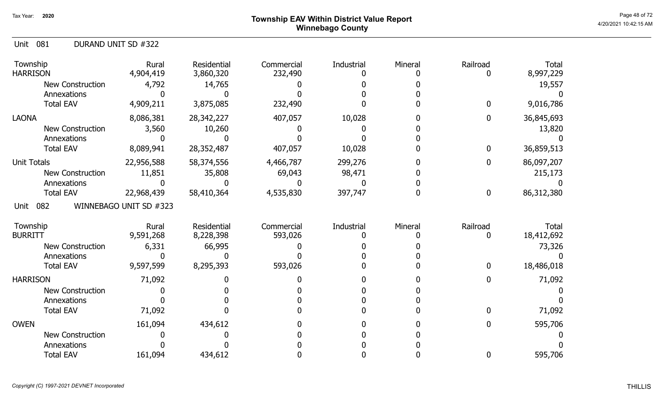# Page 48 of 72  $^{\sf Page~48~of~72}$  Township EAV Within District Value Report Winnebago County

|  | Unit 081 |  | DURAND UNIT SD #322 |
|--|----------|--|---------------------|
|--|----------|--|---------------------|

| Township<br><b>HARRISON</b> | Rural<br>4,904,419     | Residential<br>3,860,320 | Commercial<br>232,490 | Industrial | Mineral | Railroad         | <b>Total</b><br>8,997,229 |
|-----------------------------|------------------------|--------------------------|-----------------------|------------|---------|------------------|---------------------------|
| <b>New Construction</b>     | 4,792                  | 14,765                   |                       |            |         |                  | 19,557                    |
| Annexations                 |                        |                          |                       |            |         |                  |                           |
| <b>Total EAV</b>            | 4,909,211              | 3,875,085                | 232,490               |            |         | $\bf{0}$         | 9,016,786                 |
| <b>LAONA</b>                | 8,086,381              | 28,342,227               | 407,057               | 10,028     |         | $\bf{0}$         | 36,845,693                |
| <b>New Construction</b>     | 3,560                  | 10,260                   |                       |            |         |                  | 13,820                    |
| Annexations                 |                        |                          |                       |            |         |                  |                           |
| <b>Total EAV</b>            | 8,089,941              | 28,352,487               | 407,057               | 10,028     |         | $\bf{0}$         | 36,859,513                |
| <b>Unit Totals</b>          | 22,956,588             | 58,374,556               | 4,466,787             | 299,276    |         | 0                | 86,097,207                |
| New Construction            | 11,851                 | 35,808                   | 69,043                | 98,471     |         |                  | 215,173                   |
| Annexations                 |                        |                          |                       |            |         |                  |                           |
| <b>Total EAV</b>            | 22,968,439             | 58,410,364               | 4,535,830             | 397,747    |         | $\boldsymbol{0}$ | 86,312,380                |
| 082<br>Unit                 | WINNEBAGO UNIT SD #323 |                          |                       |            |         |                  |                           |
| Township                    | Rural                  | Residential              | Commercial            | Industrial | Mineral | Railroad         | Total                     |
| <b>BURRITT</b>              | 9,591,268              | 8,228,398                | 593,026               |            |         | 0                | 18,412,692                |
| <b>New Construction</b>     | 6,331                  | 66,995                   |                       |            |         |                  | 73,326                    |
| Annexations                 |                        |                          |                       |            |         |                  |                           |
| <b>Total EAV</b>            | 9,597,599              | 8,295,393                | 593,026               |            |         | 0                | 18,486,018                |
| <b>HARRISON</b>             | 71,092                 |                          |                       |            |         | $\Omega$         | 71,092                    |
| <b>New Construction</b>     |                        |                          |                       |            |         |                  |                           |
| Annexations                 |                        |                          |                       |            |         |                  |                           |
| <b>Total EAV</b>            | 71,092                 |                          |                       |            |         | $\mathbf{0}$     | 71,092                    |
| <b>OWEN</b>                 | 161,094                | 434,612                  |                       |            |         | $\mathbf{0}$     | 595,706                   |
| <b>New Construction</b>     |                        |                          |                       |            |         |                  |                           |
| Annexations                 |                        |                          |                       |            |         |                  |                           |
| <b>Total EAV</b>            | 161,094                | 434,612                  |                       |            |         | 0                | 595,706                   |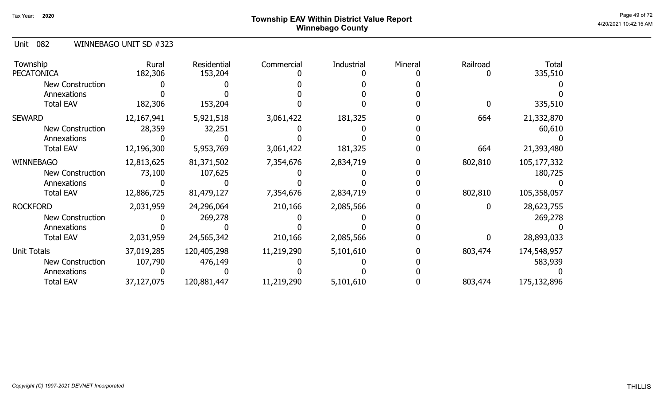# Page 49 of 72  $^{\sf Page~49~of~72}$  Township EAV Within District Value Report Winnebago County

Unit 082 WINNEBAGO UNIT SD #323

| Township<br><b>PECATONICA</b> | Rural<br>182,306 | Residential<br>153,204 | Commercial | Industrial | Mineral | Railroad | <b>Total</b><br>335,510 |
|-------------------------------|------------------|------------------------|------------|------------|---------|----------|-------------------------|
| New Construction              |                  |                        |            |            |         |          |                         |
| Annexations                   |                  |                        |            |            |         |          |                         |
| <b>Total EAV</b>              | 182,306          | 153,204                |            |            |         |          | 335,510                 |
| <b>SEWARD</b>                 | 12, 167, 941     | 5,921,518              | 3,061,422  | 181,325    |         | 664      | 21,332,870              |
| New Construction              | 28,359           | 32,251                 |            |            |         |          | 60,610                  |
| Annexations                   |                  |                        |            |            |         |          |                         |
| <b>Total EAV</b>              | 12,196,300       | 5,953,769              | 3,061,422  | 181,325    |         | 664      | 21,393,480              |
| <b>WINNEBAGO</b>              | 12,813,625       | 81,371,502             | 7,354,676  | 2,834,719  |         | 802,810  | 105,177,332             |
| New Construction              | 73,100           | 107,625                |            |            |         |          | 180,725                 |
| Annexations                   |                  |                        |            |            |         |          |                         |
| <b>Total EAV</b>              | 12,886,725       | 81,479,127             | 7,354,676  | 2,834,719  |         | 802,810  | 105,358,057             |
| <b>ROCKFORD</b>               | 2,031,959        | 24,296,064             | 210,166    | 2,085,566  |         |          | 28,623,755              |
| New Construction              |                  | 269,278                |            |            |         |          | 269,278                 |
| Annexations                   |                  |                        |            |            |         |          |                         |
| <b>Total EAV</b>              | 2,031,959        | 24,565,342             | 210,166    | 2,085,566  |         |          | 28,893,033              |
| <b>Unit Totals</b>            | 37,019,285       | 120,405,298            | 11,219,290 | 5,101,610  |         | 803,474  | 174,548,957             |
| New Construction              | 107,790          | 476,149                |            |            |         |          | 583,939                 |
| Annexations                   |                  |                        |            |            |         |          |                         |
| <b>Total EAV</b>              | 37,127,075       | 120,881,447            | 11,219,290 | 5,101,610  |         | 803,474  | 175,132,896             |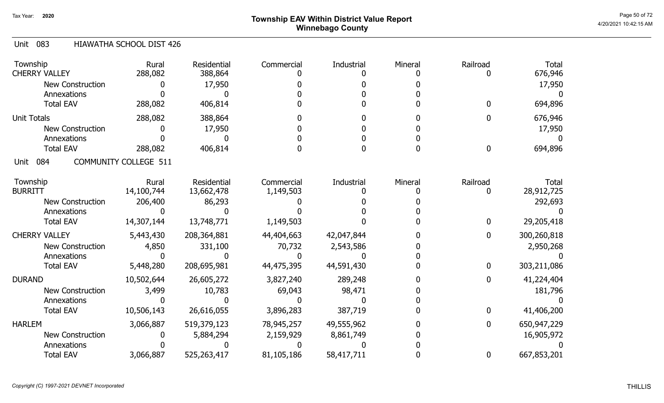# Page 50 of 72 Page 50 of 72  $^{\text{Page 50 of 72}}$ Winnebago County

#### Unit 083 HIAWATHA SCHOOL DIST 426

| Township<br><b>CHERRY VALLEY</b> | Rural<br>288,082             | <b>Residential</b><br>388,864 | Commercial | Industrial | Mineral | Railroad | Total<br>676,946 |
|----------------------------------|------------------------------|-------------------------------|------------|------------|---------|----------|------------------|
| <b>New Construction</b>          |                              | 17,950                        |            |            |         |          | 17,950           |
| Annexations                      |                              |                               |            |            |         |          |                  |
| <b>Total EAV</b>                 | 288,082                      | 406,814                       |            |            |         |          | 694,896          |
|                                  |                              |                               |            |            |         |          |                  |
| <b>Unit Totals</b>               | 288,082                      | 388,864                       |            |            |         |          | 676,946          |
| <b>New Construction</b>          |                              | 17,950                        |            |            |         |          | 17,950           |
| Annexations                      |                              |                               |            |            |         |          |                  |
| <b>Total EAV</b>                 | 288,082                      | 406,814                       |            |            |         | 0        | 694,896          |
| 084<br>Unit                      | <b>COMMUNITY COLLEGE 511</b> |                               |            |            |         |          |                  |
| Township                         | Rural                        | Residential                   | Commercial | Industrial | Mineral | Railroad | Total            |
| <b>BURRITT</b>                   | 14,100,744                   | 13,662,478                    | 1,149,503  |            |         |          | 28,912,725       |
| New Construction                 | 206,400                      | 86,293                        |            |            |         |          | 292,693          |
| Annexations                      |                              |                               |            |            |         |          |                  |
| <b>Total EAV</b>                 | 14,307,144                   | 13,748,771                    | 1,149,503  |            |         | 0        | 29,205,418       |
| <b>CHERRY VALLEY</b>             | 5,443,430                    | 208, 364, 881                 | 44,404,663 | 42,047,844 |         | 0        | 300,260,818      |
| <b>New Construction</b>          | 4,850                        | 331,100                       | 70,732     | 2,543,586  |         |          | 2,950,268        |
| Annexations                      |                              |                               |            |            |         |          |                  |
| <b>Total EAV</b>                 | 5,448,280                    | 208,695,981                   | 44,475,395 | 44,591,430 |         | 0        | 303,211,086      |
| <b>DURAND</b>                    | 10,502,644                   | 26,605,272                    | 3,827,240  | 289,248    |         | 0        | 41,224,404       |
| <b>New Construction</b>          | 3,499                        | 10,783                        | 69,043     | 98,471     |         |          | 181,796          |
| Annexations                      |                              |                               |            |            |         |          |                  |
| <b>Total EAV</b>                 | 10,506,143                   | 26,616,055                    | 3,896,283  | 387,719    |         | 0        | 41,406,200       |
| <b>HARLEM</b>                    | 3,066,887                    | 519,379,123                   | 78,945,257 | 49,555,962 |         | 0        | 650,947,229      |
| <b>New Construction</b>          |                              | 5,884,294                     | 2,159,929  | 8,861,749  |         |          | 16,905,972       |
| Annexations                      |                              |                               |            |            |         |          |                  |
| <b>Total EAV</b>                 | 3,066,887                    | 525,263,417                   | 81,105,186 | 58,417,711 |         | 0        | 667,853,201      |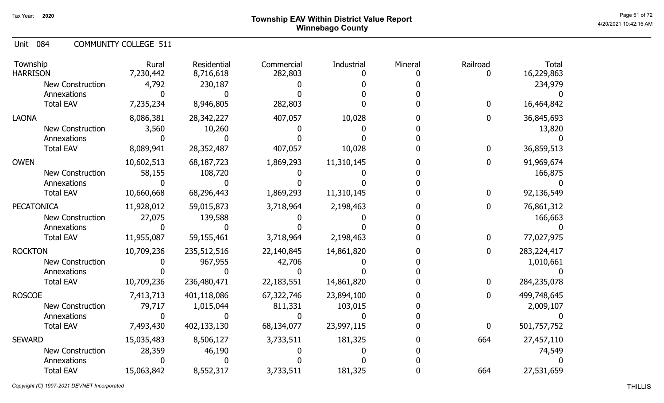# Page 51 of 72  $^{\sf Page\,51\,of\,72}$   $^{\sf Page\,51\,of\,72}$ Winnebago County

Unit 084 COMMUNITY COLLEGE 511

| Township<br><b>HARRISON</b> | Rural<br>7,230,442 | Residential<br>8,716,618 | Commercial<br>282,803 | Industrial | Mineral | Railroad | <b>Total</b><br>16,229,863 |
|-----------------------------|--------------------|--------------------------|-----------------------|------------|---------|----------|----------------------------|
| <b>New Construction</b>     | 4,792              | 230,187                  |                       |            |         |          | 234,979                    |
| Annexations                 |                    |                          |                       |            |         |          |                            |
| <b>Total EAV</b>            | 7,235,234          | 8,946,805                | 282,803               |            |         | 0        | 16,464,842                 |
| <b>LAONA</b>                | 8,086,381          | 28,342,227               | 407,057               | 10,028     |         | 0        | 36,845,693                 |
| <b>New Construction</b>     | 3,560              | 10,260                   |                       |            |         |          | 13,820                     |
| Annexations                 |                    |                          |                       |            |         |          |                            |
| <b>Total EAV</b>            | 8,089,941          | 28,352,487               | 407,057               | 10,028     |         | 0        | 36,859,513                 |
| <b>OWEN</b>                 | 10,602,513         | 68,187,723               | 1,869,293             | 11,310,145 |         | 0        | 91,969,674                 |
| <b>New Construction</b>     | 58,155             | 108,720                  |                       |            |         |          | 166,875                    |
| Annexations                 |                    |                          |                       |            |         |          |                            |
| <b>Total EAV</b>            | 10,660,668         | 68,296,443               | 1,869,293             | 11,310,145 |         | 0        | 92,136,549                 |
| <b>PECATONICA</b>           | 11,928,012         | 59,015,873               | 3,718,964             | 2,198,463  |         | 0        | 76,861,312                 |
| <b>New Construction</b>     | 27,075             | 139,588                  |                       |            |         |          | 166,663                    |
| Annexations                 |                    |                          |                       |            |         |          |                            |
| <b>Total EAV</b>            | 11,955,087         | 59,155,461               | 3,718,964             | 2,198,463  |         | 0        | 77,027,975                 |
| <b>ROCKTON</b>              | 10,709,236         | 235,512,516              | 22,140,845            | 14,861,820 |         | 0        | 283,224,417                |
| New Construction            |                    | 967,955                  | 42,706                |            |         |          | 1,010,661                  |
| Annexations                 |                    |                          |                       |            |         |          |                            |
| <b>Total EAV</b>            | 10,709,236         | 236,480,471              | 22, 183, 551          | 14,861,820 |         | 0        | 284,235,078                |
| <b>ROSCOE</b>               | 7,413,713          | 401,118,086              | 67,322,746            | 23,894,100 |         | 0        | 499,748,645                |
| <b>New Construction</b>     | 79,717             | 1,015,044                | 811,331               | 103,015    |         |          | 2,009,107                  |
| Annexations                 | 0                  |                          |                       |            |         |          |                            |
| <b>Total EAV</b>            | 7,493,430          | 402,133,130              | 68,134,077            | 23,997,115 |         | 0        | 501,757,752                |
| <b>SEWARD</b>               | 15,035,483         | 8,506,127                | 3,733,511             | 181,325    |         | 664      | 27,457,110                 |
| <b>New Construction</b>     | 28,359             | 46,190                   |                       |            |         |          | 74,549                     |
| Annexations                 |                    |                          |                       |            |         |          |                            |
| <b>Total EAV</b>            | 15,063,842         | 8,552,317                | 3,733,511             | 181,325    |         | 664      | 27,531,659                 |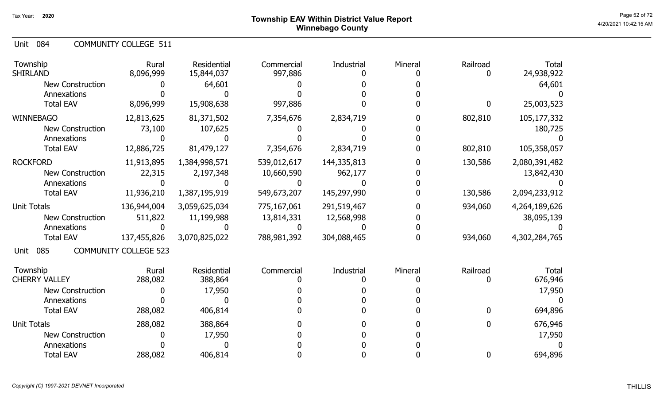Unit 084 COMMUNITY COLLEGE 511

| Township<br><b>SHIRLAND</b> | Rural<br>8,096,999           | Residential<br>15,844,037 | Commercial<br>997,886 | Industrial  | Mineral | Railroad | <b>Total</b><br>24,938,922 |
|-----------------------------|------------------------------|---------------------------|-----------------------|-------------|---------|----------|----------------------------|
| <b>New Construction</b>     |                              | 64,601                    |                       |             |         |          | 64,601                     |
| Annexations                 |                              |                           |                       |             |         |          |                            |
| <b>Total EAV</b>            | 8,096,999                    | 15,908,638                | 997,886               |             |         | 0        | 25,003,523                 |
| <b>WINNEBAGO</b>            | 12,813,625                   | 81,371,502                | 7,354,676             | 2,834,719   |         | 802,810  | 105,177,332                |
| <b>New Construction</b>     | 73,100                       | 107,625                   |                       |             |         |          | 180,725                    |
| Annexations                 |                              |                           |                       |             |         |          |                            |
| <b>Total EAV</b>            | 12,886,725                   | 81,479,127                | 7,354,676             | 2,834,719   |         | 802,810  | 105,358,057                |
| <b>ROCKFORD</b>             | 11,913,895                   | 1,384,998,571             | 539,012,617           | 144,335,813 |         | 130,586  | 2,080,391,482              |
| <b>New Construction</b>     | 22,315                       | 2,197,348                 | 10,660,590            | 962,177     |         |          | 13,842,430                 |
| Annexations                 |                              |                           |                       |             |         |          |                            |
| <b>Total EAV</b>            | 11,936,210                   | 1,387,195,919             | 549,673,207           | 145,297,990 |         | 130,586  | 2,094,233,912              |
| <b>Unit Totals</b>          | 136,944,004                  | 3,059,625,034             | 775,167,061           | 291,519,467 |         | 934,060  | 4,264,189,626              |
| <b>New Construction</b>     | 511,822                      | 11,199,988                | 13,814,331            | 12,568,998  |         |          | 38,095,139                 |
| Annexations                 |                              |                           |                       |             |         |          |                            |
| <b>Total EAV</b>            | 137,455,826                  | 3,070,825,022             | 788,981,392           | 304,088,465 |         | 934,060  | 4,302,284,765              |
| 085<br>Unit                 | <b>COMMUNITY COLLEGE 523</b> |                           |                       |             |         |          |                            |
| Township                    | Rural                        | Residential               | Commercial            | Industrial  | Mineral | Railroad | <b>Total</b>               |
| <b>CHERRY VALLEY</b>        | 288,082                      | 388,864                   |                       |             |         | 0        | 676,946                    |
| <b>New Construction</b>     |                              | 17,950                    |                       |             |         |          | 17,950                     |
| Annexations                 |                              |                           |                       |             |         |          |                            |
| <b>Total EAV</b>            | 288,082                      | 406,814                   |                       |             |         | 0        | 694,896                    |
| <b>Unit Totals</b>          | 288,082                      | 388,864                   |                       |             |         | 0        | 676,946                    |
| <b>New Construction</b>     |                              | 17,950                    |                       |             |         |          | 17,950                     |
| Annexations                 |                              |                           |                       |             |         |          |                            |
| <b>Total EAV</b>            | 288,082                      | 406,814                   |                       |             |         | 0        | 694,896                    |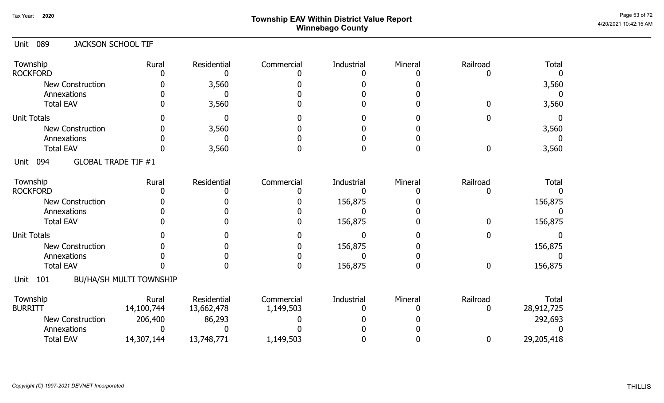# Page 53 of 72 Page 53 of 72  $^{\text{Page 53 of 72}}$ Winnebago County

| <b>JACKSON SCHOOL TIF</b><br>Unit 089 |  |
|---------------------------------------|--|
|---------------------------------------|--|

| Township<br><b>ROCKFORD</b>               | Rural                          | Residential               | Commercial              | Industrial | Mineral | Railroad      | <b>Total</b>               |
|-------------------------------------------|--------------------------------|---------------------------|-------------------------|------------|---------|---------------|----------------------------|
| <b>New Construction</b>                   |                                | 3,560                     |                         |            |         |               | 3,560                      |
| Annexations                               |                                |                           |                         |            |         |               |                            |
| <b>Total EAV</b>                          |                                | 3,560                     |                         |            |         |               | 3,560                      |
| <b>Unit Totals</b>                        |                                |                           |                         |            |         |               |                            |
| <b>New Construction</b>                   |                                | 3,560                     |                         |            |         |               | 3,560                      |
| Annexations                               |                                |                           |                         |            |         |               |                            |
| <b>Total EAV</b>                          |                                | 3,560                     |                         |            |         | 0             | 3,560                      |
| <b>GLOBAL TRADE TIF #1</b><br>094<br>Unit |                                |                           |                         |            |         |               |                            |
| Township                                  | Rural                          | Residential               | Commercial              | Industrial | Mineral | Railroad      | <b>Total</b>               |
| <b>ROCKFORD</b>                           |                                |                           |                         |            |         |               |                            |
| <b>New Construction</b>                   |                                |                           |                         | 156,875    |         |               | 156,875                    |
| Annexations                               |                                |                           |                         |            |         |               |                            |
| <b>Total EAV</b>                          |                                |                           |                         | 156,875    |         | 0             | 156,875                    |
| <b>Unit Totals</b>                        |                                |                           |                         |            |         |               |                            |
| <b>New Construction</b>                   |                                |                           |                         | 156,875    |         |               | 156,875                    |
| Annexations                               |                                |                           |                         |            |         |               |                            |
| <b>Total EAV</b>                          |                                |                           | <sup>0</sup>            | 156,875    |         | 0             | 156,875                    |
| 101<br>Unit                               | <b>BU/HA/SH MULTI TOWNSHIP</b> |                           |                         |            |         |               |                            |
| Township<br><b>BURRITT</b>                | Rural<br>14,100,744            | Residential<br>13,662,478 | Commercial<br>1,149,503 | Industrial | Mineral | Railroad<br>0 | <b>Total</b><br>28,912,725 |
| New Construction                          | 206,400                        | 86,293                    |                         |            |         |               | 292,693                    |
| Annexations                               |                                |                           |                         |            |         |               |                            |
| <b>Total EAV</b>                          | 14,307,144                     | 13,748,771                | 1,149,503               |            |         | 0             | 29,205,418                 |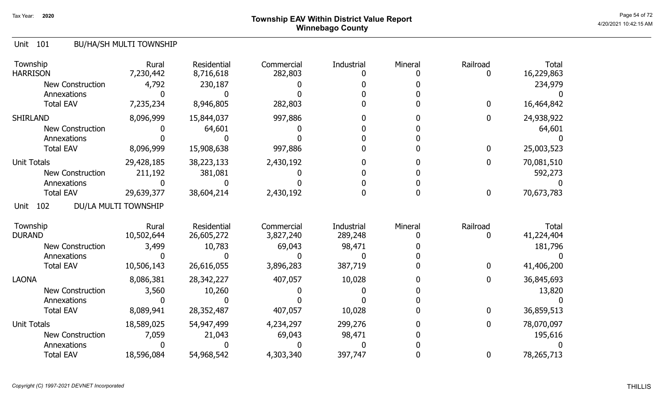# Page 54 of 72  $^{\sf Page\,54\,of\,72}$   $^{\sf Page\,54\,of\,72}$ Winnebago County

### Unit 101 BU/HA/SH MULTI TOWNSHIP

| Township<br><b>HARRISON</b> | Rural<br>7,230,442   | <b>Residential</b><br>8,716,618  | Commercial<br>282,803   | <b>Industrial</b>     | Mineral | Railroad     | <b>Total</b><br>16,229,863 |
|-----------------------------|----------------------|----------------------------------|-------------------------|-----------------------|---------|--------------|----------------------------|
| <b>New Construction</b>     | 4,792                | 230,187                          |                         |                       |         |              | 234,979                    |
| Annexations                 |                      |                                  |                         |                       |         |              |                            |
| <b>Total EAV</b>            | 7,235,234            | 8,946,805                        | 282,803                 |                       |         | $\bf{0}$     | 16,464,842                 |
| <b>SHIRLAND</b>             | 8,096,999            | 15,844,037                       | 997,886                 |                       |         | $\mathbf{0}$ | 24,938,922                 |
| <b>New Construction</b>     |                      | 64,601                           |                         |                       |         |              | 64,601                     |
| Annexations                 |                      |                                  |                         |                       |         |              |                            |
| <b>Total EAV</b>            | 8,096,999            | 15,908,638                       | 997,886                 |                       |         | 0            | 25,003,523                 |
| <b>Unit Totals</b>          | 29,428,185           | 38,223,133                       | 2,430,192               |                       |         | 0            | 70,081,510                 |
| <b>New Construction</b>     | 211,192              | 381,081                          |                         |                       |         |              | 592,273                    |
| Annexations                 |                      |                                  |                         |                       |         |              |                            |
| <b>Total EAV</b>            | 29,639,377           | 38,604,214                       | 2,430,192               |                       |         | $\mathbf 0$  | 70,673,783                 |
| 102<br>Unit                 | DU/LA MULTI TOWNSHIP |                                  |                         |                       |         |              |                            |
| Township<br><b>DURAND</b>   | Rural<br>10,502,644  | <b>Residential</b><br>26,605,272 | Commercial<br>3,827,240 | Industrial<br>289,248 | Mineral | Railroad     | <b>Total</b><br>41,224,404 |
| <b>New Construction</b>     |                      |                                  |                         |                       |         |              |                            |
| Annexations                 | 3,499                | 10,783                           | 69,043                  | 98,471                |         |              | 181,796                    |
| <b>Total EAV</b>            | 10,506,143           | 26,616,055                       | 3,896,283               | 387,719               |         | 0            | 41,406,200                 |
| <b>LAONA</b>                | 8,086,381            | 28,342,227                       | 407,057                 | 10,028                |         | 0            | 36,845,693                 |
| <b>New Construction</b>     | 3,560                | 10,260                           |                         |                       |         |              | 13,820                     |
| Annexations                 |                      |                                  |                         |                       |         |              |                            |
| <b>Total EAV</b>            | 8,089,941            | 28,352,487                       | 407,057                 | 10,028                |         | $\mathbf{0}$ | 36,859,513                 |
| <b>Unit Totals</b>          | 18,589,025           | 54,947,499                       | 4,234,297               | 299,276               |         | $\mathbf{0}$ | 78,070,097                 |
| <b>New Construction</b>     | 7,059                | 21,043                           | 69,043                  | 98,471                |         |              | 195,616                    |
| Annexations                 |                      |                                  |                         |                       |         |              |                            |
| <b>Total EAV</b>            | 18,596,084           | 54,968,542                       | 4,303,340               | 397,747               |         | 0            | 78,265,713                 |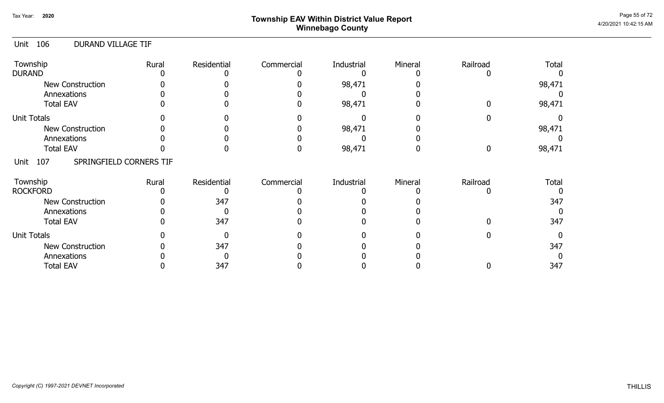# Page 55 of 72 Page 55 of 72  $^{\text{Page 55 of 72}}$ Winnebago County

#### Unit 106 DURAND VILLAGE TIF

| Township<br><b>DURAND</b>              | Rural | Residential | Commercial | Industrial | Mineral | Railroad | <b>Total</b> |
|----------------------------------------|-------|-------------|------------|------------|---------|----------|--------------|
|                                        |       |             |            |            |         |          |              |
| <b>New Construction</b>                |       |             |            | 98,471     |         |          | 98,471       |
| Annexations                            |       |             |            |            |         |          |              |
| <b>Total EAV</b>                       |       |             |            | 98,471     |         |          | 98,471       |
| <b>Unit Totals</b>                     |       |             |            |            |         |          |              |
| <b>New Construction</b>                |       |             |            | 98,471     |         |          | 98,471       |
| Annexations                            |       |             |            |            |         |          |              |
| <b>Total EAV</b>                       |       |             |            | 98,471     |         |          | 98,471       |
| SPRINGFIELD CORNERS TIF<br>107<br>Unit |       |             |            |            |         |          |              |
| Township                               | Rural | Residential | Commercial | Industrial | Mineral | Railroad | Total        |
| <b>ROCKFORD</b>                        |       |             |            |            |         |          |              |
| <b>New Construction</b>                |       | 347         |            |            |         |          | 347          |
| Annexations                            |       |             |            |            |         |          |              |
| <b>Total EAV</b>                       |       | 347         |            |            |         |          | 347          |
| <b>Unit Totals</b>                     |       |             |            |            |         |          |              |
| <b>New Construction</b>                |       | 347         |            |            |         |          | 347          |
| Annexations                            |       |             |            |            |         |          |              |
| <b>Total EAV</b>                       |       | 347         |            |            |         |          | 347          |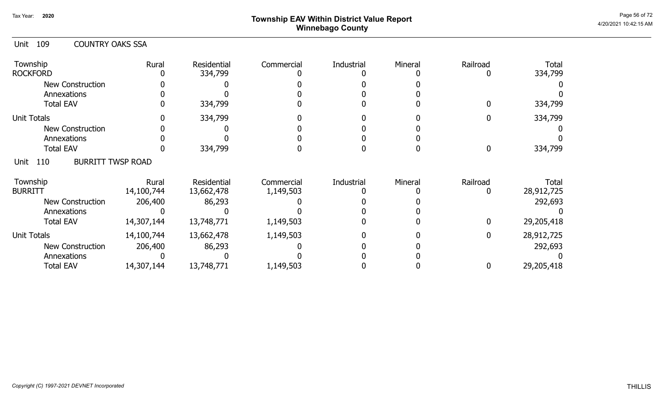# Page 56 of 72 Page 56 of 72  $^{\text{Page 56 of 72}}$ Winnebago County

| 109<br><b>COUNTRY OAKS SSA</b><br>Unit  |                     |                               |                         |            |         |              |                     |
|-----------------------------------------|---------------------|-------------------------------|-------------------------|------------|---------|--------------|---------------------|
| Township<br><b>ROCKFORD</b>             | Rural               | <b>Residential</b><br>334,799 | Commercial              | Industrial | Mineral | Railroad     | Total<br>334,799    |
| <b>New Construction</b>                 |                     |                               |                         |            |         |              |                     |
| Annexations                             |                     |                               |                         |            |         |              |                     |
| <b>Total EAV</b>                        |                     | 334,799                       |                         |            |         |              | 334,799             |
| <b>Unit Totals</b>                      |                     | 334,799                       |                         |            |         | 0            | 334,799             |
| <b>New Construction</b>                 |                     |                               |                         |            |         |              |                     |
| Annexations                             |                     |                               |                         |            |         |              |                     |
| <b>Total EAV</b>                        |                     | 334,799                       |                         |            |         | 0            | 334,799             |
| <b>BURRITT TWSP ROAD</b><br>110<br>Unit |                     |                               |                         |            |         |              |                     |
| Township<br><b>BURRITT</b>              | Rural<br>14,100,744 | Residential<br>13,662,478     | Commercial<br>1,149,503 | Industrial | Mineral | Railroad     | Total<br>28,912,725 |
| <b>New Construction</b>                 | 206,400             | 86,293                        |                         |            |         |              | 292,693             |
| Annexations                             |                     |                               |                         |            |         |              |                     |
| <b>Total EAV</b>                        | 14,307,144          | 13,748,771                    | 1,149,503               |            |         | $\mathbf{0}$ | 29,205,418          |
| <b>Unit Totals</b>                      | 14,100,744          | 13,662,478                    | 1,149,503               |            |         | $\mathbf{0}$ | 28,912,725          |
| <b>New Construction</b>                 | 206,400             | 86,293                        |                         |            |         |              | 292,693             |
| Annexations                             |                     |                               |                         |            |         |              |                     |
| <b>Total EAV</b>                        | 14,307,144          | 13,748,771                    | 1,149,503               |            |         | 0            | 29,205,418          |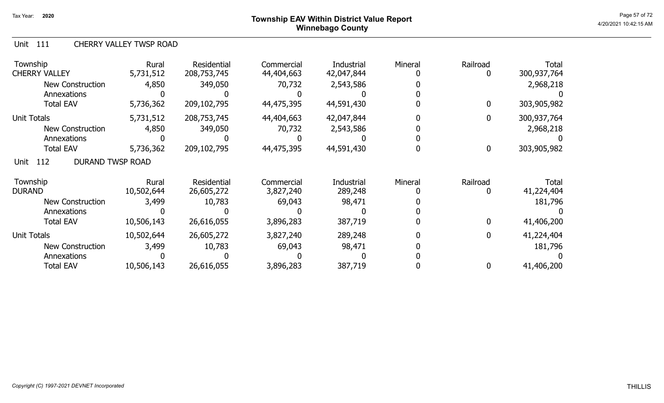### Page 57 of 72  $^{Page\,57\,672}$   $^{Page\,57\,672}$ Winnebago County

#### Unit 111 CHERRY VALLEY TWSP ROAD

| Township<br><b>CHERRY VALLEY</b>       | Rural<br>5,731,512 | Residential<br>208,753,745 | Commercial<br>44,404,663 | Industrial<br>42,047,844 | Mineral | Railroad<br>0 | <b>Total</b><br>300,937,764 |
|----------------------------------------|--------------------|----------------------------|--------------------------|--------------------------|---------|---------------|-----------------------------|
| New Construction                       | 4,850              | 349,050                    | 70,732                   | 2,543,586                |         |               | 2,968,218                   |
| Annexations                            |                    |                            |                          |                          |         |               |                             |
| <b>Total EAV</b>                       | 5,736,362          | 209,102,795                | 44,475,395               | 44,591,430               |         | $\bf{0}$      | 303,905,982                 |
| <b>Unit Totals</b>                     | 5,731,512          | 208,753,745                | 44,404,663               | 42,047,844               |         | 0             | 300,937,764                 |
| <b>New Construction</b>                | 4,850              | 349,050                    | 70,732                   | 2,543,586                |         |               | 2,968,218                   |
| Annexations                            |                    |                            |                          |                          |         |               |                             |
| <b>Total EAV</b>                       | 5,736,362          | 209,102,795                | 44,475,395               | 44,591,430               |         | $\bf{0}$      | 303,905,982                 |
| <b>DURAND TWSP ROAD</b><br>112<br>Unit |                    |                            |                          |                          |         |               |                             |
| Township                               | Rural              | Residential                | Commercial               | Industrial               | Mineral | Railroad      | Total                       |
| <b>DURAND</b>                          | 10,502,644         | 26,605,272                 | 3,827,240                | 289,248                  |         | 0             | 41,224,404                  |
| <b>New Construction</b>                | 3,499              | 10,783                     | 69,043                   | 98,471                   |         |               | 181,796                     |
| Annexations                            |                    |                            |                          |                          |         |               |                             |
| <b>Total EAV</b>                       | 10,506,143         | 26,616,055                 | 3,896,283                | 387,719                  |         | $\mathbf{0}$  | 41,406,200                  |
| <b>Unit Totals</b>                     | 10,502,644         | 26,605,272                 | 3,827,240                | 289,248                  |         | $\mathbf 0$   | 41,224,404                  |
| <b>New Construction</b>                | 3,499              | 10,783                     | 69,043                   | 98,471                   |         |               | 181,796                     |
| Annexations                            |                    |                            |                          |                          |         |               |                             |
| <b>Total EAV</b>                       | 10,506,143         | 26,616,055                 | 3,896,283                | 387,719                  |         | 0             | 41,406,200                  |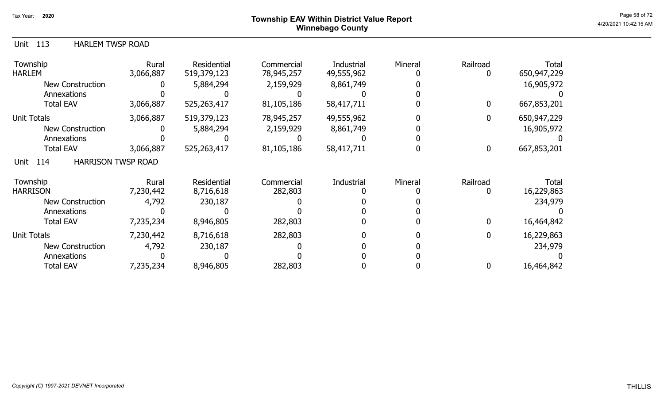### Page 58 of 72 Page 58 of 72  $^{\text{Page 58 of 72}}$ Winnebago County

#### Unit 113 HARLEM TWSP ROAD

| Township<br><b>HARLEM</b>                | Rural<br>3,066,887 | <b>Residential</b><br>519,379,123 | Commercial<br>78,945,257 | Industrial<br>49,555,962 | Mineral | Railroad    | <b>Total</b><br>650,947,229 |
|------------------------------------------|--------------------|-----------------------------------|--------------------------|--------------------------|---------|-------------|-----------------------------|
| New Construction                         |                    | 5,884,294                         | 2,159,929                | 8,861,749                |         |             | 16,905,972                  |
| Annexations                              |                    |                                   |                          |                          |         |             |                             |
| <b>Total EAV</b>                         | 3,066,887          | 525,263,417                       | 81,105,186               | 58,417,711               |         | $\mathbf 0$ | 667,853,201                 |
| <b>Unit Totals</b>                       | 3,066,887          | 519,379,123                       | 78,945,257               | 49,555,962               |         | 0           | 650,947,229                 |
| <b>New Construction</b>                  |                    | 5,884,294                         | 2,159,929                | 8,861,749                |         |             | 16,905,972                  |
| Annexations                              |                    |                                   |                          |                          |         |             |                             |
| <b>Total EAV</b>                         | 3,066,887          | 525,263,417                       | 81,105,186               | 58,417,711               |         | $\bf{0}$    | 667,853,201                 |
| <b>HARRISON TWSP ROAD</b><br>114<br>Unit |                    |                                   |                          |                          |         |             |                             |
| Township                                 | Rural              | <b>Residential</b>                | Commercial               | Industrial               | Mineral | Railroad    | Total                       |
| <b>HARRISON</b>                          | 7,230,442          | 8,716,618                         | 282,803                  |                          |         |             | 16,229,863                  |
| <b>New Construction</b>                  | 4,792              | 230,187                           |                          |                          |         |             | 234,979                     |
| Annexations                              |                    |                                   |                          |                          |         |             |                             |
| <b>Total EAV</b>                         | 7,235,234          | 8,946,805                         | 282,803                  |                          |         | 0           | 16,464,842                  |
| <b>Unit Totals</b>                       | 7,230,442          | 8,716,618                         | 282,803                  |                          |         | 0           | 16,229,863                  |
| <b>New Construction</b>                  | 4,792              | 230,187                           |                          |                          |         |             | 234,979                     |
| Annexations                              |                    |                                   |                          |                          |         |             |                             |
| <b>Total EAV</b>                         | 7,235,234          | 8,946,805                         | 282,803                  |                          |         | 0           | 16,464,842                  |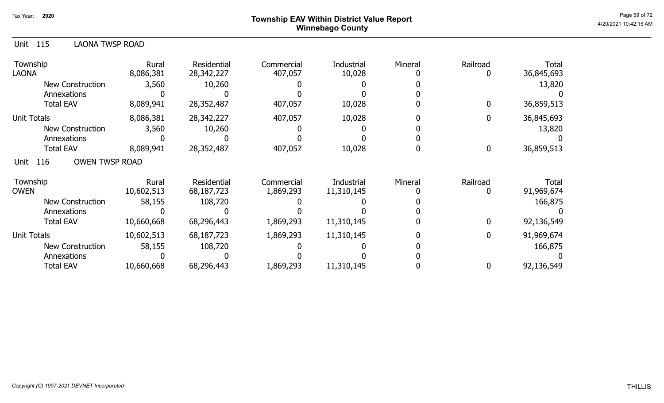# Page 59 of 72 Page 59 of 72  $^{\text{Page 59 of 72}}$ Winnebago County

| Unit<br>115<br>LAONA TWSP ROAD       |                     |                                  |                         |                          |         |               |                     |
|--------------------------------------|---------------------|----------------------------------|-------------------------|--------------------------|---------|---------------|---------------------|
| Township<br><b>LAONA</b>             | Rural<br>8,086,381  | Residential<br>28,342,227        | Commercial<br>407,057   | Industrial<br>10,028     | Mineral | Railroad<br>0 | Total<br>36,845,693 |
| <b>New Construction</b>              | 3,560               | 10,260                           |                         |                          |         |               | 13,820              |
| Annexations                          |                     |                                  |                         |                          |         |               |                     |
| <b>Total EAV</b>                     | 8,089,941           | 28,352,487                       | 407,057                 | 10,028                   |         | 0             | 36,859,513          |
| <b>Unit Totals</b>                   | 8,086,381           | 28,342,227                       | 407,057                 | 10,028                   |         | 0             | 36,845,693          |
| <b>New Construction</b>              | 3,560               | 10,260                           |                         |                          |         |               | 13,820              |
| Annexations                          |                     |                                  |                         |                          |         |               |                     |
| <b>Total EAV</b>                     | 8,089,941           | 28,352,487                       | 407,057                 | 10,028                   |         | 0             | 36,859,513          |
| <b>OWEN TWSP ROAD</b><br>116<br>Unit |                     |                                  |                         |                          |         |               |                     |
| Township<br><b>OWEN</b>              | Rural<br>10,602,513 | <b>Residential</b><br>68,187,723 | Commercial<br>1,869,293 | Industrial<br>11,310,145 | Mineral | Railroad<br>0 | Total<br>91,969,674 |
| New Construction                     | 58,155              | 108,720                          |                         |                          |         |               | 166,875             |
| Annexations                          |                     |                                  |                         |                          |         |               |                     |
| <b>Total EAV</b>                     | 10,660,668          | 68,296,443                       | 1,869,293               | 11,310,145               |         | $\mathbf{0}$  | 92,136,549          |
| Unit Totals                          | 10,602,513          | 68,187,723                       | 1,869,293               | 11,310,145               |         | 0             | 91,969,674          |
| <b>New Construction</b>              | 58,155              | 108,720                          |                         |                          |         |               | 166,875             |
| Annexations                          |                     |                                  |                         |                          |         |               |                     |
| <b>Total EAV</b>                     | 10,660,668          | 68,296,443                       | 1,869,293               | 11,310,145               |         | 0             | 92,136,549          |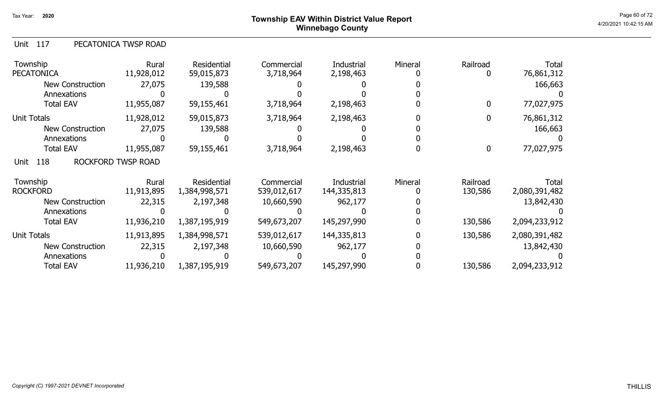### Page 60 of 72 Page 60 of 72  $^{\text{Page 60 of 72}}$ Winnebago County

| PECATONICA TWSP ROAD<br>Unit 117 |
|----------------------------------|
|----------------------------------|

| Township<br><b>PECATONICA</b> | Rural<br>11,928,012       | Residential<br>59,015,873 | Commercial<br>3,718,964 | Industrial<br>2,198,463 | Mineral | Railroad | <b>Total</b><br>76,861,312 |
|-------------------------------|---------------------------|---------------------------|-------------------------|-------------------------|---------|----------|----------------------------|
| <b>New Construction</b>       | 27,075                    | 139,588                   |                         |                         |         |          | 166,663                    |
| Annexations                   |                           |                           |                         |                         |         |          |                            |
| <b>Total EAV</b>              | 11,955,087                | 59,155,461                | 3,718,964               | 2,198,463               |         | 0        | 77,027,975                 |
| <b>Unit Totals</b>            | 11,928,012                | 59,015,873                | 3,718,964               | 2,198,463               |         |          | 76,861,312                 |
| New Construction              | 27,075                    | 139,588                   |                         |                         |         |          | 166,663                    |
| Annexations                   |                           |                           |                         |                         |         |          |                            |
| <b>Total EAV</b>              | 11,955,087                | 59,155,461                | 3,718,964               | 2,198,463               |         | 0        | 77,027,975                 |
| 118<br>Unit                   | <b>ROCKFORD TWSP ROAD</b> |                           |                         |                         |         |          |                            |
| Township                      | Rural                     | Residential               | Commercial              | Industrial              | Mineral | Railroad | Total                      |
| <b>ROCKFORD</b>               | 11,913,895                | 1,384,998,571             | 539,012,617             | 144,335,813             |         | 130,586  | 2,080,391,482              |
| <b>New Construction</b>       | 22,315                    | 2,197,348                 | 10,660,590              | 962,177                 |         |          | 13,842,430                 |
| Annexations                   |                           |                           |                         |                         |         |          |                            |
| <b>Total EAV</b>              | 11,936,210                | 1,387,195,919             | 549,673,207             | 145,297,990             |         | 130,586  | 2,094,233,912              |
| <b>Unit Totals</b>            | 11,913,895                | 1,384,998,571             | 539,012,617             | 144,335,813             |         | 130,586  | 2,080,391,482              |
| <b>New Construction</b>       | 22,315                    | 2,197,348                 | 10,660,590              | 962,177                 |         |          | 13,842,430                 |
| Annexations                   |                           |                           |                         |                         |         |          |                            |
| <b>Total EAV</b>              | 11,936,210                | 1,387,195,919             | 549,673,207             | 145,297,990             |         | 130,586  | 2,094,233,912              |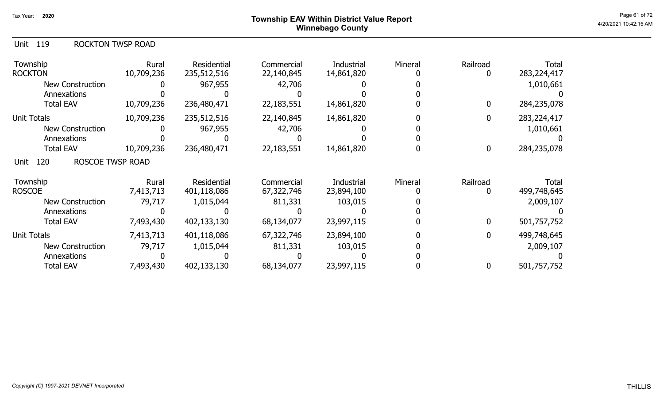### Page 61 of 72  $^{\sf Page\ 61\ of\ 72}$   $^{\sf Page\ 61\ of\ 72}$ Winnebago County

|  | Unit | 119 | <b>ROCKTON TWSP ROAD</b> |
|--|------|-----|--------------------------|
|--|------|-----|--------------------------|

| Township<br><b>ROCKTON</b>      | Rural<br>10,709,236 | Residential<br>235,512,516 | Commercial<br>22,140,845 | Industrial<br>14,861,820 | Mineral | Railroad         | <b>Total</b><br>283, 224, 417 |
|---------------------------------|---------------------|----------------------------|--------------------------|--------------------------|---------|------------------|-------------------------------|
| <b>New Construction</b>         |                     | 967,955                    | 42,706                   |                          |         |                  | 1,010,661                     |
| Annexations                     |                     |                            |                          |                          |         |                  |                               |
| <b>Total EAV</b>                | 10,709,236          | 236,480,471                | 22,183,551               | 14,861,820               |         | 0                | 284,235,078                   |
| <b>Unit Totals</b>              | 10,709,236          | 235,512,516                | 22,140,845               | 14,861,820               |         | $\mathbf{0}$     | 283,224,417                   |
| <b>New Construction</b>         |                     | 967,955                    | 42,706                   |                          |         |                  | 1,010,661                     |
| Annexations                     |                     |                            |                          |                          |         |                  |                               |
| <b>Total EAV</b>                | 10,709,236          | 236,480,471                | 22,183,551               | 14,861,820               |         | $\boldsymbol{0}$ | 284,235,078                   |
| ROSCOE TWSP ROAD<br>120<br>Unit |                     |                            |                          |                          |         |                  |                               |
| Township                        | Rural               | Residential                | Commercial               | Industrial               | Mineral | Railroad         | Total                         |
| <b>ROSCOE</b>                   | 7,413,713           | 401,118,086                | 67,322,746               | 23,894,100               |         |                  | 499,748,645                   |
| <b>New Construction</b>         | 79,717              | 1,015,044                  | 811,331                  | 103,015                  |         |                  | 2,009,107                     |
| Annexations                     |                     |                            |                          |                          |         |                  |                               |
| <b>Total EAV</b>                | 7,493,430           | 402,133,130                | 68,134,077               | 23,997,115               |         | 0                | 501,757,752                   |
| <b>Unit Totals</b>              | 7,413,713           | 401,118,086                | 67,322,746               | 23,894,100               |         | 0                | 499,748,645                   |
| <b>New Construction</b>         | 79,717              | 1,015,044                  | 811,331                  | 103,015                  |         |                  | 2,009,107                     |
| Annexations                     |                     |                            |                          |                          |         |                  |                               |
| <b>Total EAV</b>                | 7,493,430           | 402,133,130                | 68,134,077               | 23,997,115               |         | 0                | 501,757,752                   |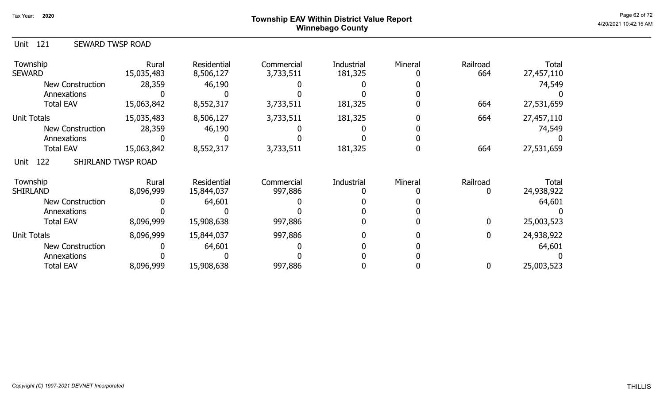### Page 62 of 72 Page 62 of 72  $^{\text{Page 62 of 72}}$ Winnebago County

| SEWARD TWSP ROAD<br>Unit 121 |
|------------------------------|
|------------------------------|

| Township<br><b>SEWARD</b>   | Rural<br>15,035,483 | Residential<br>8,506,127  | Commercial<br>3,733,511 | <b>Industrial</b><br>181,325 | Mineral | Railroad<br>664 | <b>Total</b><br>27,457,110 |
|-----------------------------|---------------------|---------------------------|-------------------------|------------------------------|---------|-----------------|----------------------------|
| New Construction            | 28,359              | 46,190                    |                         |                              |         |                 | 74,549                     |
| Annexations                 |                     |                           |                         |                              |         |                 |                            |
| <b>Total EAV</b>            | 15,063,842          | 8,552,317                 | 3,733,511               | 181,325                      |         | 664             | 27,531,659                 |
| <b>Unit Totals</b>          | 15,035,483          | 8,506,127                 | 3,733,511               | 181,325                      |         | 664             | 27,457,110                 |
| <b>New Construction</b>     | 28,359              | 46,190                    |                         |                              |         |                 | 74,549                     |
| Annexations                 |                     |                           |                         |                              |         |                 |                            |
| <b>Total EAV</b>            | 15,063,842          | 8,552,317                 | 3,733,511               | 181,325                      |         | 664             | 27,531,659                 |
| 122<br>Unit                 | SHIRLAND TWSP ROAD  |                           |                         |                              |         |                 |                            |
| Township<br><b>SHIRLAND</b> | Rural<br>8,096,999  | Residential<br>15,844,037 | Commercial<br>997,886   | Industrial                   | Mineral | Railroad<br>0   | Total<br>24,938,922        |
| <b>New Construction</b>     |                     |                           |                         |                              |         |                 |                            |
| Annexations                 |                     | 64,601                    |                         |                              |         |                 | 64,601                     |
| <b>Total EAV</b>            | 8,096,999           | 15,908,638                | 997,886                 |                              |         | 0               | 25,003,523                 |
| <b>Unit Totals</b>          | 8,096,999           | 15,844,037                | 997,886                 |                              |         | 0               | 24,938,922                 |
| <b>New Construction</b>     |                     | 64,601                    |                         |                              |         |                 | 64,601                     |
| Annexations                 |                     |                           |                         |                              |         |                 |                            |
| <b>Total EAV</b>            | 8,096,999           | 15,908,638                | 997,886                 |                              |         | 0               | 25,003,523                 |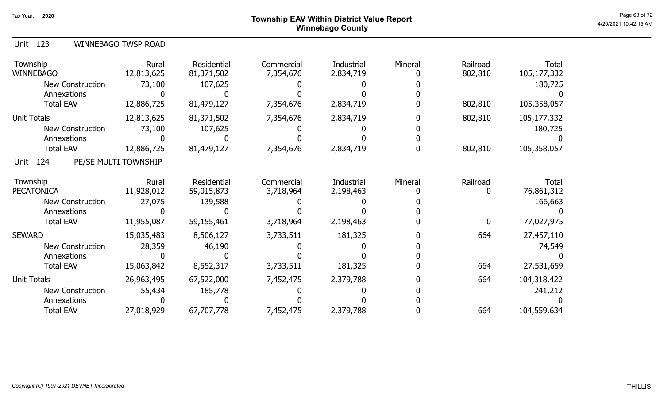### Page 63 of 72 Page 63 of 72  $^{\text{Page 63 of 72}}$ Winnebago County

|  | Unit 123 |  | WINNEBAGO TWSP ROAD |  |  |
|--|----------|--|---------------------|--|--|
|--|----------|--|---------------------|--|--|

| Township<br><b>WINNEBAGO</b> | Rural<br>12,813,625  | Residential<br>81,371,502 | Commercial<br>7,354,676 | Industrial<br>2,834,719 | Mineral | Railroad<br>802,810 | <b>Total</b><br>105,177,332 |
|------------------------------|----------------------|---------------------------|-------------------------|-------------------------|---------|---------------------|-----------------------------|
| <b>New Construction</b>      | 73,100               | 107,625                   |                         |                         |         |                     | 180,725                     |
| Annexations                  |                      |                           |                         |                         |         |                     |                             |
| <b>Total EAV</b>             | 12,886,725           | 81,479,127                | 7,354,676               | 2,834,719               |         | 802,810             | 105,358,057                 |
| <b>Unit Totals</b>           | 12,813,625           | 81,371,502                | 7,354,676               | 2,834,719               |         | 802,810             | 105,177,332                 |
| New Construction             | 73,100               | 107,625                   |                         |                         |         |                     | 180,725                     |
| Annexations                  |                      |                           |                         |                         |         |                     |                             |
| <b>Total EAV</b>             | 12,886,725           | 81,479,127                | 7,354,676               | 2,834,719               |         | 802,810             | 105,358,057                 |
| 124<br>Unit                  | PE/SE MULTI TOWNSHIP |                           |                         |                         |         |                     |                             |
| Township                     | Rural                | Residential               | Commercial              | Industrial              | Mineral | Railroad            | Total                       |
| <b>PECATONICA</b>            | 11,928,012           | 59,015,873                | 3,718,964               | 2,198,463               |         | 0                   | 76,861,312                  |
| <b>New Construction</b>      | 27,075               | 139,588                   |                         |                         |         |                     | 166,663                     |
| Annexations                  |                      |                           |                         |                         |         |                     |                             |
| <b>Total EAV</b>             | 11,955,087           | 59,155,461                | 3,718,964               | 2,198,463               |         | $\mathbf{0}$        | 77,027,975                  |
| <b>SEWARD</b>                | 15,035,483           | 8,506,127                 | 3,733,511               | 181,325                 |         | 664                 | 27,457,110                  |
| New Construction             | 28,359               | 46,190                    |                         |                         |         |                     | 74,549                      |
| Annexations                  |                      |                           |                         |                         |         |                     |                             |
| <b>Total EAV</b>             | 15,063,842           | 8,552,317                 | 3,733,511               | 181,325                 |         | 664                 | 27,531,659                  |
| Unit Totals                  | 26,963,495           | 67,522,000                | 7,452,475               | 2,379,788               |         | 664                 | 104,318,422                 |
| <b>New Construction</b>      | 55,434               | 185,778                   |                         |                         |         |                     | 241,212                     |
| Annexations                  |                      |                           |                         |                         |         |                     |                             |
| <b>Total EAV</b>             | 27,018,929           | 67,707,778                | 7,452,475               | 2,379,788               |         | 664                 | 104,559,634                 |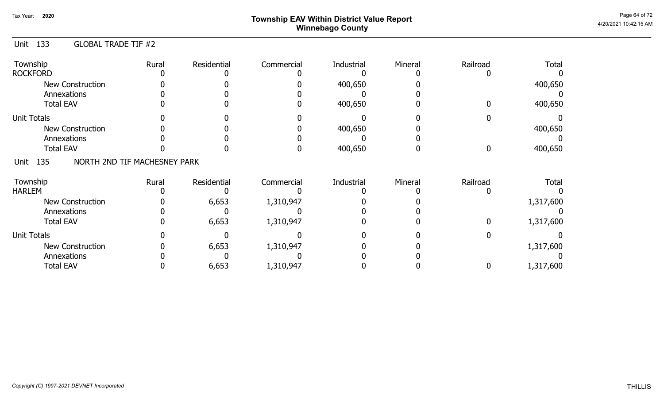# Page 64 of 72  $^{\sf Page\ 64\ of\ 72}$   $^{\sf Page\ 64\ of\ 72}$ Winnebago County

#### Unit 133 GLOBAL TRADE TIF #2

| Township<br><b>ROCKFORD</b>                 | Rural | Residential | Commercial | Industrial | Mineral | Railroad | <b>Total</b> |
|---------------------------------------------|-------|-------------|------------|------------|---------|----------|--------------|
| <b>New Construction</b><br>Annexations      |       |             |            | 400,650    |         |          | 400,650      |
| <b>Total EAV</b>                            |       |             |            | 400,650    |         |          | 400,650      |
| <b>Unit Totals</b>                          |       |             |            |            |         |          |              |
| <b>New Construction</b>                     |       |             |            | 400,650    |         |          | 400,650      |
| Annexations                                 |       |             |            |            |         |          |              |
| <b>Total EAV</b>                            |       |             |            | 400,650    |         |          | 400,650      |
| NORTH 2ND TIF MACHESNEY PARK<br>135<br>Unit |       |             |            |            |         |          |              |
| Township                                    | Rural | Residential | Commercial | Industrial | Mineral | Railroad | <b>Total</b> |
| <b>HARLEM</b>                               |       |             |            |            |         |          |              |
| <b>New Construction</b>                     |       | 6,653       | 1,310,947  |            |         |          | 1,317,600    |
| Annexations                                 |       |             |            |            |         |          |              |
| <b>Total EAV</b>                            |       | 6,653       | 1,310,947  |            |         |          | 1,317,600    |
| <b>Unit Totals</b>                          |       |             |            |            |         |          |              |
| <b>New Construction</b>                     |       | 6,653       | 1,310,947  |            |         |          | 1,317,600    |
| Annexations                                 |       |             |            |            |         |          |              |
| <b>Total EAV</b>                            |       | 6,653       | 1,310,947  |            |         |          | 1,317,600    |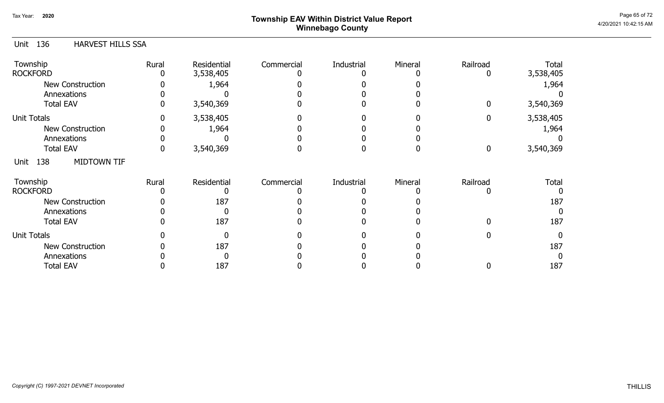# Page 65 of 72 Page 65 of 72  $^{\text{Page 65 of 72}}$ Winnebago County

| 136<br><b>HARVEST HILLS SSA</b><br>Unit |       |                          |            |            |         |               |                    |
|-----------------------------------------|-------|--------------------------|------------|------------|---------|---------------|--------------------|
| Township<br><b>ROCKFORD</b>             | Rural | Residential<br>3,538,405 | Commercial | Industrial | Mineral | Railroad<br>0 | Total<br>3,538,405 |
| <b>New Construction</b>                 |       | 1,964                    |            |            |         |               | 1,964              |
| Annexations                             |       |                          |            |            |         |               |                    |
| <b>Total EAV</b>                        |       | 3,540,369                |            |            |         | $\mathbf 0$   | 3,540,369          |
| <b>Unit Totals</b>                      |       | 3,538,405                |            |            |         | $\mathbf 0$   | 3,538,405          |
| <b>New Construction</b>                 |       | 1,964                    |            |            |         |               | 1,964              |
| Annexations                             |       |                          |            |            |         |               |                    |
| <b>Total EAV</b>                        | 0     | 3,540,369                |            |            |         | $\mathbf 0$   | 3,540,369          |
| 138<br><b>MIDTOWN TIF</b><br>Unit       |       |                          |            |            |         |               |                    |
| Township                                | Rural | Residential              | Commercial | Industrial | Mineral | Railroad      | Total              |
| <b>ROCKFORD</b>                         |       |                          |            |            |         |               |                    |
| <b>New Construction</b>                 |       | 187                      |            |            |         |               | 187                |
| Annexations                             |       |                          |            |            |         |               | 0                  |
| <b>Total EAV</b>                        |       | 187                      |            |            |         |               | 187                |
| <b>Unit Totals</b>                      |       |                          |            |            |         |               | $\Omega$           |
| <b>New Construction</b>                 |       | 187                      |            |            |         |               | 187                |
| Annexations                             |       |                          |            |            |         |               | 0                  |
| <b>Total EAV</b>                        |       | 187                      |            |            |         |               | 187                |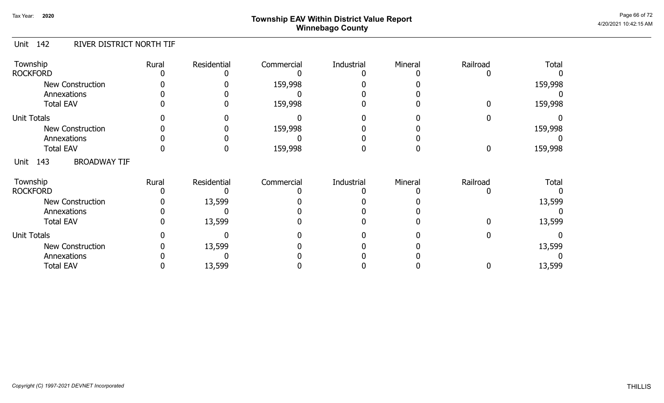# Page 66 of 72 Page 66 of 72  $^{\text{Page 66 of 72}}$ Winnebago County

#### Unit 142 RIVER DISTRICT NORTH TIF

| Township<br><b>ROCKFORD</b>            | Rural | Residential | Commercial | Industrial | Mineral | Railroad | <b>Total</b> |
|----------------------------------------|-------|-------------|------------|------------|---------|----------|--------------|
| <b>New Construction</b><br>Annexations |       |             | 159,998    |            |         |          | 159,998      |
| <b>Total EAV</b>                       |       |             | 159,998    |            |         |          | 159,998      |
| <b>Unit Totals</b>                     |       |             |            |            |         |          |              |
| <b>New Construction</b>                |       |             | 159,998    |            |         |          | 159,998      |
| Annexations                            |       |             |            |            |         |          |              |
| <b>Total EAV</b>                       |       |             | 159,998    |            |         | 0        | 159,998      |
| 143<br><b>BROADWAY TIF</b><br>Unit     |       |             |            |            |         |          |              |
| Township                               | Rural | Residential | Commercial | Industrial | Mineral | Railroad | <b>Total</b> |
| <b>ROCKFORD</b>                        |       |             |            |            |         |          |              |
| <b>New Construction</b>                |       | 13,599      |            |            |         |          | 13,599       |
| Annexations                            |       |             |            |            |         |          |              |
| <b>Total EAV</b>                       |       | 13,599      |            |            |         |          | 13,599       |
| <b>Unit Totals</b>                     |       |             |            |            |         |          |              |
| <b>New Construction</b>                |       | 13,599      |            |            |         |          | 13,599       |
| Annexations                            |       |             |            |            |         |          |              |
| <b>Total EAV</b>                       |       | 13,599      |            |            |         |          | 13,599       |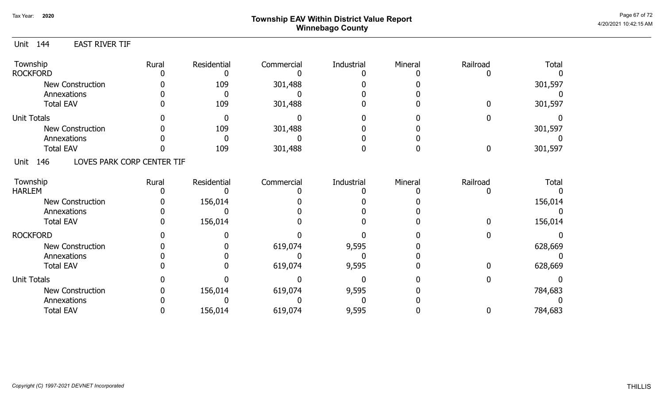## Page 67 of 72  $^{Page\ 67\ of\ 72}$  Township EAV Within District Value Report Winnebago County

### Unit 144 EAST RIVER TIF

| Township<br><b>ROCKFORD</b>               | Rural | Residential | Commercial | Industrial | Mineral | Railroad | <b>Total</b> |
|-------------------------------------------|-------|-------------|------------|------------|---------|----------|--------------|
| New Construction                          |       | 109         | 301,488    |            |         |          | 301,597      |
| Annexations                               |       |             |            |            |         |          |              |
| <b>Total EAV</b>                          |       | 109         | 301,488    |            |         |          | 301,597      |
| <b>Unit Totals</b>                        |       |             |            |            |         |          |              |
| New Construction                          |       | 109         | 301,488    |            |         |          | 301,597      |
| Annexations                               |       |             |            |            |         |          |              |
| <b>Total EAV</b>                          |       | 109         | 301,488    |            |         |          | 301,597      |
| LOVES PARK CORP CENTER TIF<br>146<br>Unit |       |             |            |            |         |          |              |
| Township                                  | Rural | Residential | Commercial | Industrial | Mineral | Railroad | <b>Total</b> |
| <b>HARLEM</b>                             |       |             |            |            |         |          |              |
| New Construction                          |       | 156,014     |            |            |         |          | 156,014      |
| Annexations                               |       |             |            |            |         |          |              |
| <b>Total EAV</b>                          |       | 156,014     |            |            |         |          | 156,014      |
| <b>ROCKFORD</b>                           |       |             |            |            |         |          |              |
| New Construction                          |       |             | 619,074    | 9,595      |         |          | 628,669      |
| Annexations                               |       |             |            |            |         |          |              |
| <b>Total EAV</b>                          |       |             | 619,074    | 9,595      |         |          | 628,669      |
| <b>Unit Totals</b>                        |       |             |            |            |         |          |              |
| New Construction                          |       | 156,014     | 619,074    | 9,595      |         |          | 784,683      |
| Annexations                               |       |             |            |            |         |          |              |
| <b>Total EAV</b>                          |       | 156,014     | 619,074    | 9,595      |         | 0        | 784,683      |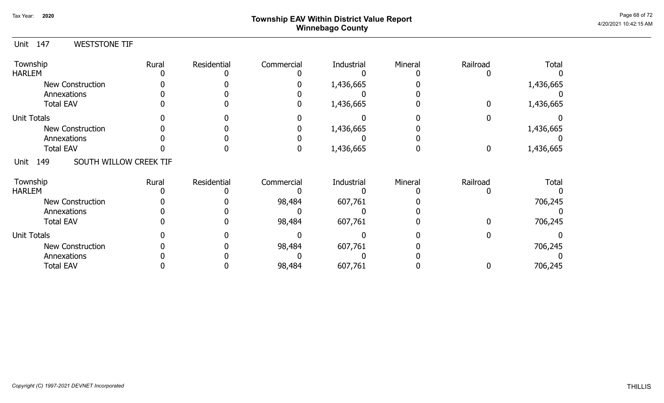# Page 68 of 72<br> **Page 68 of 72** Township EAV Within District Value Report Allian Controller and the Controller Music Music Music M Winnebago County

0

0

706,245

706,245

#### Unit 147 Township **Rural** Residential Commercial Industrial Mineral Railroad Total WESTSTONE TIF 0 0 0 1,436,665 0 0 1,436,665 1,436,665 HARLEM 0 0 0 0 0 0 0 1,436,665 0 0 0 New Construction Annexations Total EAV 0 0 0 0 0 0 Unit Totals Annexations Total EAV New Construction 0 0 0 1,436,665 0 0 0 0 0 0 0 0 0 1,436,665 0 0 1,436,665 1,436,665 0 0 0 0 0 0 0 0 Unit 149 Township **Rural** Residential Commercial Industrial Mineral Railroad Total SOUTH WILLOW CREEK TIF 0 0 98,484 607,761 0 0 HARLEM 0 0 0 0 0 98,484 0 607,761 0 0 0 New Construction Annexations Total EAV 0 0 0 0 0 0 Unit Totals Annexations Total EAV New Construction 0 0 0 706,245 0 0 0 0 0 0 0 98,484 0 706,245 98,484 0 607,761 607,761 0 0 0 0 0 0 0 0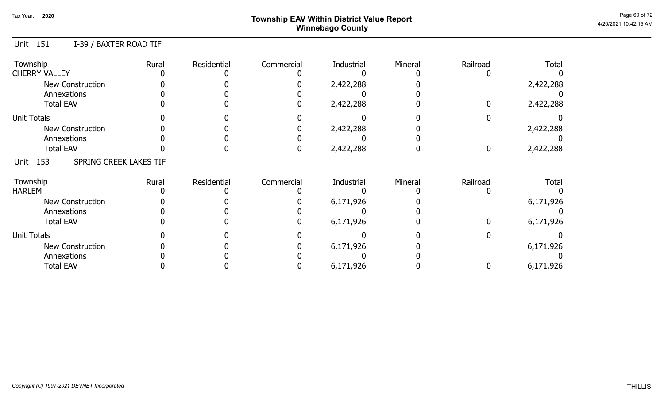# Page 69 of 72  $^{\sf Page\ 69\ of\ 72}$   $^{\sf Page\ 69\ of\ 72}$ Winnebago County

### Unit 151 I-39 / BAXTER ROAD TIF

| Township<br><b>CHERRY VALLEY</b>      | Rural | Residential | Commercial | Industrial | Mineral | Railroad | <b>Total</b> |
|---------------------------------------|-------|-------------|------------|------------|---------|----------|--------------|
| <b>New Construction</b>               |       |             |            | 2,422,288  |         |          | 2,422,288    |
| Annexations<br><b>Total EAV</b>       |       |             |            | 2,422,288  |         |          | 2,422,288    |
| <b>Unit Totals</b>                    |       |             |            |            |         |          |              |
| <b>New Construction</b>               |       |             |            | 2,422,288  |         |          | 2,422,288    |
| Annexations                           |       |             |            |            |         |          |              |
| <b>Total EAV</b>                      |       |             |            | 2,422,288  |         | 0        | 2,422,288    |
| SPRING CREEK LAKES TIF<br>153<br>Unit |       |             |            |            |         |          |              |
| Township                              | Rural | Residential | Commercial | Industrial | Mineral | Railroad | <b>Total</b> |
| <b>HARLEM</b>                         |       |             |            |            |         |          |              |
| New Construction                      |       |             |            | 6,171,926  |         |          | 6,171,926    |
| Annexations                           |       |             |            |            |         |          |              |
| <b>Total EAV</b>                      |       |             |            | 6,171,926  |         |          | 6,171,926    |
| <b>Unit Totals</b>                    |       |             |            |            |         |          |              |
| <b>New Construction</b>               |       |             |            | 6,171,926  |         |          | 6,171,926    |
| Annexations                           |       |             |            |            |         |          |              |
| <b>Total EAV</b>                      |       |             |            | 6,171,926  |         |          | 6,171,926    |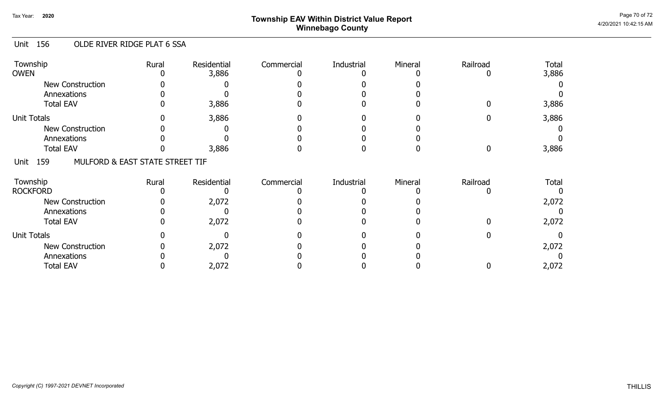# Page 70 of 72 Page 70 of 72  $^{\sf Page\,70\,of\,72}$ Winnebago County

#### Unit 156 OLDE RIVER RIDGE PLAT 6 SSA

| Township<br><b>OWEN</b> | Rural                           | Residential<br>3,886 | Commercial | Industrial | Mineral | Railroad | Total<br>3,886 |
|-------------------------|---------------------------------|----------------------|------------|------------|---------|----------|----------------|
| New Construction        |                                 |                      |            |            |         |          |                |
| Annexations             |                                 |                      |            |            |         |          |                |
| <b>Total EAV</b>        |                                 | 3,886                |            |            |         |          | 3,886          |
| <b>Unit Totals</b>      |                                 | 3,886                |            |            |         |          | 3,886          |
| New Construction        |                                 |                      |            |            |         |          |                |
| Annexations             |                                 |                      |            |            |         |          |                |
| <b>Total EAV</b>        |                                 | 3,886                |            |            |         |          | 3,886          |
| 159<br>Unit             | MULFORD & EAST STATE STREET TIF |                      |            |            |         |          |                |
| Township                | Rural                           | Residential          | Commercial | Industrial | Mineral | Railroad | Total          |
| <b>ROCKFORD</b>         |                                 |                      |            |            |         |          |                |
| <b>New Construction</b> |                                 | 2,072                |            |            |         |          | 2,072          |
| Annexations             |                                 |                      |            |            |         |          |                |
| <b>Total EAV</b>        |                                 | 2,072                |            |            |         |          | 2,072          |
| <b>Unit Totals</b>      |                                 |                      |            |            |         |          |                |
| <b>New Construction</b> |                                 | 2,072                |            |            |         |          | 2,072          |
| Annexations             |                                 |                      |            |            |         |          |                |
| <b>Total EAV</b>        |                                 | 2,072                |            |            |         |          | 2,072          |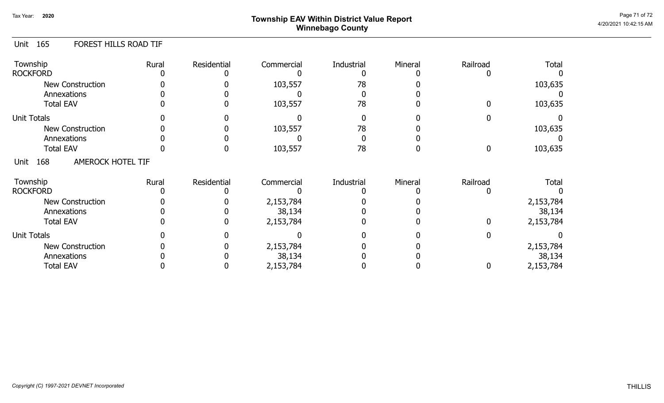# Page 71 of 72  $^{\sf Page\,71\,of\,72}$   $^{\sf Page\,71\,of\,72}$ Winnebago County

#### Unit 165 FOREST HILLS ROAD TIF

| Township<br><b>ROCKFORD</b>            | Rural | Residential | Commercial | Industrial | Mineral | Railroad | <b>Total</b> |
|----------------------------------------|-------|-------------|------------|------------|---------|----------|--------------|
| <b>New Construction</b><br>Annexations |       |             | 103,557    | 78         |         |          | 103,635      |
| <b>Total EAV</b>                       |       |             | 103,557    | 78         |         |          | 103,635      |
| <b>Unit Totals</b>                     |       |             |            |            |         |          |              |
| <b>New Construction</b>                |       |             | 103,557    | 78         |         |          | 103,635      |
| Annexations                            |       |             |            |            |         |          |              |
| <b>Total EAV</b>                       |       |             | 103,557    | 78         |         | 0        | 103,635      |
| AMEROCK HOTEL TIF<br>168<br>Unit       |       |             |            |            |         |          |              |
| Township                               | Rural | Residential | Commercial | Industrial | Mineral | Railroad | <b>Total</b> |
| <b>ROCKFORD</b>                        |       |             |            |            |         |          |              |
| <b>New Construction</b>                |       |             | 2,153,784  |            |         |          | 2,153,784    |
| Annexations                            |       |             | 38,134     |            |         |          | 38,134       |
| <b>Total EAV</b>                       |       |             | 2,153,784  |            |         |          | 2,153,784    |
| <b>Unit Totals</b>                     |       |             |            |            |         |          |              |
| <b>New Construction</b>                |       |             | 2,153,784  |            |         |          | 2,153,784    |
| Annexations                            |       |             | 38,134     |            |         |          | 38,134       |
| <b>Total EAV</b>                       |       |             | 2,153,784  |            |         | 0        | 2,153,784    |